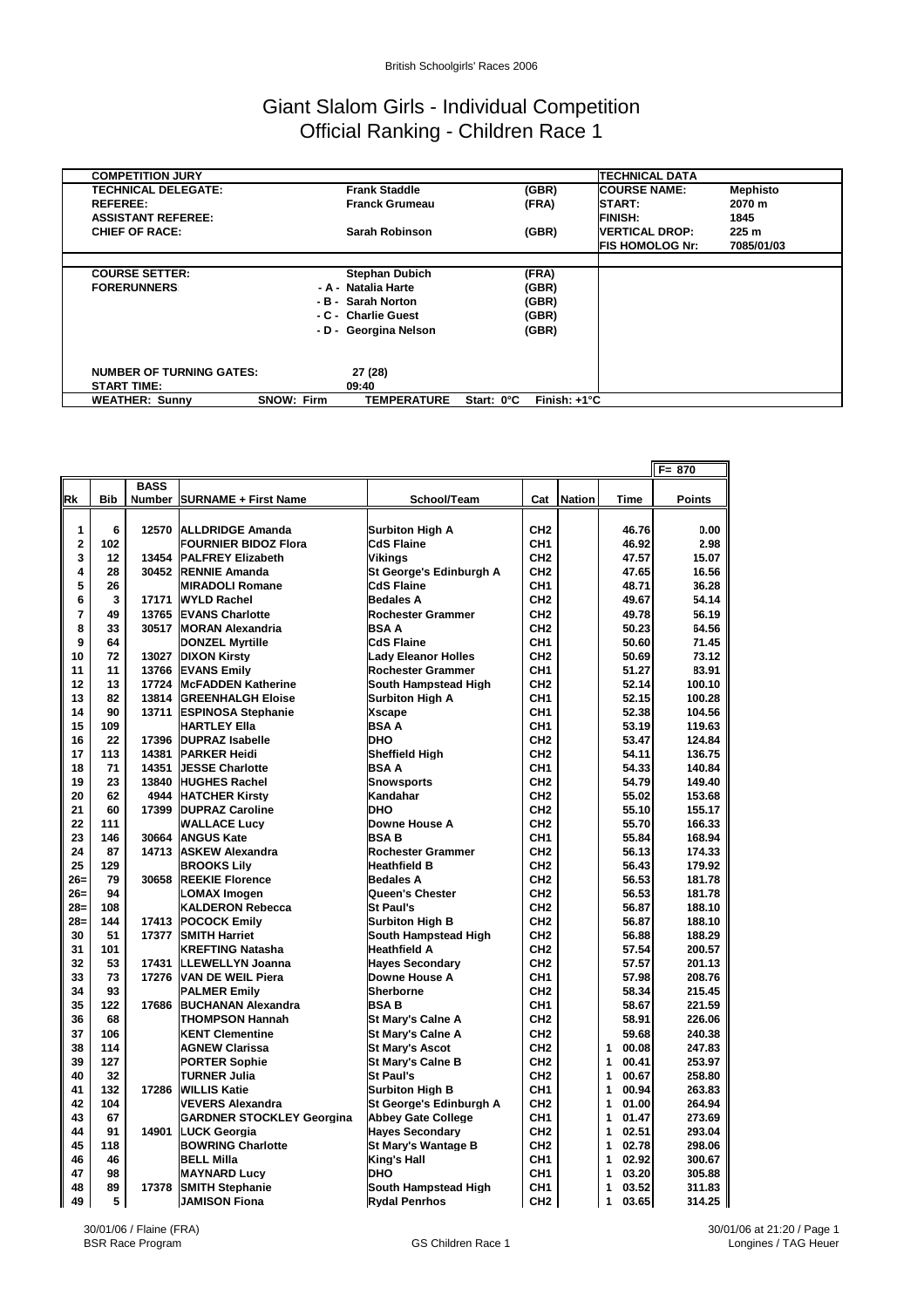## Giant Slalom Girls - Individual Competition Official Ranking - Children Race 1

| <b>COMPETITION JURY</b>         |                                         |                                     | <b>TECHNICAL DATA</b>  |                 |
|---------------------------------|-----------------------------------------|-------------------------------------|------------------------|-----------------|
| <b>TECHNICAL DELEGATE:</b>      | <b>Frank Staddle</b>                    | (GBR)                               | <b>COURSE NAME:</b>    | <b>Mephisto</b> |
| <b>REFEREE:</b>                 | <b>Franck Grumeau</b>                   | (FRA)                               | <b>START:</b>          | 2070 m          |
| <b>ASSISTANT REFEREE:</b>       |                                         |                                     | <b>FINISH:</b>         | 1845            |
| <b>CHIEF OF RACE:</b>           | Sarah Robinson                          | (GBR)                               | <b>IVERTICAL DROP:</b> | 225 m           |
|                                 |                                         |                                     | <b>FIS HOMOLOG Nr:</b> | 7085/01/03      |
|                                 |                                         |                                     |                        |                 |
| <b>COURSE SETTER:</b>           | <b>Stephan Dubich</b>                   | (FRA)                               |                        |                 |
| <b>FORERUNNERS</b>              | - A - Natalia Harte                     | (GBR)                               |                        |                 |
|                                 | - B - Sarah Norton                      | (GBR)                               |                        |                 |
|                                 | - C - Charlie Guest                     | (GBR)                               |                        |                 |
|                                 | - D - Georgina Nelson                   | (GBR)                               |                        |                 |
|                                 |                                         |                                     |                        |                 |
|                                 |                                         |                                     |                        |                 |
| <b>NUMBER OF TURNING GATES:</b> | 27 (28)                                 |                                     |                        |                 |
| <b>START TIME:</b>              | 09:40                                   |                                     |                        |                 |
| <b>WEATHER: Sunny</b>           | <b>SNOW: Firm</b><br><b>TEMPERATURE</b> | Finish: $+1^{\circ}C$<br>Start: 0°C |                        |                 |

|                         |            |             |                                  |                            |                 |               |            | $F = 870$     |
|-------------------------|------------|-------------|----------------------------------|----------------------------|-----------------|---------------|------------|---------------|
|                         |            | <b>BASS</b> |                                  |                            |                 |               |            |               |
| Rk                      | <b>Bib</b> |             | Number   SURNAME + First Name    | School/Team                | Cat             | <b>Nation</b> | Time       | <b>Points</b> |
|                         |            |             |                                  |                            |                 |               |            |               |
| 1                       | 6          |             | 12570 ALLDRIDGE Amanda           | <b>Surbiton High A</b>     | CH <sub>2</sub> |               | 46.76      | 0.00          |
| $\overline{\mathbf{2}}$ | 102        |             | <b>FOURNIER BIDOZ Flora</b>      | <b>CdS Flaine</b>          | CH <sub>1</sub> |               | 46.92      | 2.98          |
| 3                       | 12         | 13454       | <b>PALFREY Elizabeth</b>         | Vikinas                    | CH <sub>2</sub> |               | 47.57      | 15.07         |
| 4                       | 28         |             | 30452 RENNIE Amanda              | St George's Edinburgh A    | CH <sub>2</sub> |               | 47.65      | 16.56         |
| 5                       | 26         |             | <b>MIRADOLI Romane</b>           | <b>CdS Flaine</b>          | CH <sub>1</sub> |               | 48.71      | 36.28         |
| 6                       | 3          | 17171       | <b>WYLD Rachel</b>               | <b>Bedales A</b>           | CH <sub>2</sub> |               | 49.67      | 54.14         |
| 7                       | 49         | 13765       | <b>EVANS Charlotte</b>           | Rochester Grammer          | CH <sub>2</sub> |               | 49.78      | 56.19         |
| 8                       | 33         | 30517       | <b>MORAN Alexandria</b>          | <b>BSAA</b>                | CH <sub>2</sub> |               | 50.23      | 64.56         |
| 9                       | 64         |             | <b>DONZEL Myrtille</b>           | <b>CdS Flaine</b>          | CH <sub>1</sub> |               | 50.60      | 71.45         |
| 10                      | 72         |             | 13027 DIXON Kirsty               | <b>Lady Eleanor Holles</b> | CH <sub>2</sub> |               | 50.69      | 73.12         |
| 11                      | 11         |             | 13766 EVANS Emily                | <b>Rochester Grammer</b>   | CH <sub>1</sub> |               | 51.27      | 83.91         |
| 12                      | 13         | 17724       | <b>McFADDEN Katherine</b>        | South Hampstead High       | CH <sub>2</sub> |               | 52.14      | 100.10        |
| 13                      | 82         | 13814       | <b>GREENHALGH Eloise</b>         | Surbiton High A            | CH <sub>1</sub> |               | 52.15      | 100.28        |
| 14                      | 90         | 13711       | <b>ESPINOSA Stephanie</b>        | <b>Xscape</b>              | CH <sub>1</sub> |               | 52.38      | 104.56        |
| 15                      | 109        |             | HARTLEY Ella                     | <b>BSAA</b>                | CH <sub>1</sub> |               | 53.19      | 119.63        |
| 16                      | 22         |             | 17396 DUPRAZ Isabelle            | DHO                        | CH <sub>2</sub> |               | 53.47      | 124.84        |
| 17                      | 113        | 14381       | <b>PARKER Heidi</b>              | <b>Sheffield High</b>      | CH <sub>2</sub> |               | 54.11      | 136.75        |
| 18                      | 71         | 14351       | <b>JESSE Charlotte</b>           | <b>BSAA</b>                | CH <sub>1</sub> |               | 54.33      | 140.84        |
| 19                      | 23         |             | 13840 HUGHES Rachel              | <b>Snowsports</b>          | CH <sub>2</sub> |               | 54.79      | 149.40        |
| 20                      | 62         |             | 4944 HATCHER Kirsty              | Kandahar                   | CH <sub>2</sub> |               | 55.02      | 153.68        |
| 21                      | 60         |             | 17399 DUPRAZ Caroline            | <b>DHO</b>                 | CH <sub>2</sub> |               | 55.10      | 155.17        |
| 22                      | 111        |             | <b>WALLACE Lucv</b>              | Downe House A              | CH <sub>2</sub> |               | 55.70      | 166.33        |
| 23                      | 146        | 30664       | <b>ANGUS Kate</b>                | <b>BSAB</b>                | CH <sub>1</sub> |               | 55.84      | 168.94        |
| 24                      | 87         | 14713       | <b>ASKEW Alexandra</b>           | Rochester Grammer          | CH <sub>2</sub> |               | 56.13      | 174.33        |
| 25                      | 129        |             | <b>BROOKS Lily</b>               | <b>Heathfield B</b>        | CH <sub>2</sub> |               | 56.43      | 179.92        |
| $26=$                   | 79         | 30658       | <b>REEKIE Florence</b>           | <b>Bedales A</b>           | CH <sub>2</sub> |               | 56.53      | 181.78        |
| $26 =$                  | 94         |             | <b>LOMAX Imogen</b>              | Queen's Chester            | CH <sub>2</sub> |               | 56.53      | 181.78        |
| 28=                     | 108        |             | <b>KALDERON Rebecca</b>          | <b>St Paul's</b>           | CH <sub>2</sub> |               | 56.87      | 188.10        |
| $28 -$                  | 144        | 17413       | <b>POCOCK Emily</b>              | <b>Surbiton High B</b>     | CH <sub>2</sub> |               | 56.87      | 188.10        |
| 30                      | 51         | 17377       | <b>SMITH Harriet</b>             | South Hampstead High       | CH <sub>2</sub> |               | 56.88      | 188.29        |
| 31                      | 101        |             | <b>KREFTING Natasha</b>          | <b>Heathfield A</b>        | CH <sub>2</sub> |               | 57.54      | 200.57        |
| 32                      | 53         | 17431       | <b>LLEWELLYN Joanna</b>          | <b>Haves Secondarv</b>     | CH <sub>2</sub> |               | 57.57      | 201.13        |
| 33                      | 73         | 17276       | <b>VAN DE WEIL Piera</b>         | Downe House A              | CH <sub>1</sub> |               | 57.98      | 208.76        |
| 34                      | 93         |             | <b>PALMER Emilv</b>              | <b>Sherborne</b>           | CH <sub>2</sub> |               | 58.34      | 215.45        |
| 35                      | 122        | 17686       | <b>BUCHANAN Alexandra</b>        | <b>BSAB</b>                | CH <sub>1</sub> |               | 58.67      | 221.59        |
| 36                      | 68         |             | <b>THOMPSON Hannah</b>           | <b>St Mary's Calne A</b>   | CH <sub>2</sub> |               | 58.91      | 226.06        |
| 37                      | 106        |             | <b>KENT Clementine</b>           | <b>St Mary's Calne A</b>   | CH <sub>2</sub> |               | 59.68      | 240.38        |
| 38                      | 114        |             | <b>AGNEW Clarissa</b>            | <b>St Mary's Ascot</b>     | CH <sub>2</sub> |               | 1<br>00.08 | 247.83        |
| 39                      | 127        |             | <b>PORTER Sophie</b>             | <b>St Marv's Calne B</b>   | CH <sub>2</sub> |               | 00.41<br>1 | 253.97        |
| 40                      | 32         |             | <b>TURNER Julia</b>              | <b>St Paul's</b>           | CH <sub>2</sub> |               | 1<br>00.67 | 258.80        |
| 41                      | 132        | 17286       | <b>WILLIS Katie</b>              | <b>Surbiton High B</b>     | CH <sub>1</sub> |               | 1<br>00.94 | 263.83        |
| 42                      | 104        |             | <b>VEVERS Alexandra</b>          | St George's Edinburgh A    | CH <sub>2</sub> |               | 1<br>01.00 | 264.94        |
| 43                      | 67         |             | <b>GARDNER STOCKLEY Georgina</b> | <b>Abbey Gate College</b>  | CH <sub>1</sub> |               | 01.47<br>1 | 273.69        |
| 44                      | 91         | 14901       | <b>LUCK Georgia</b>              | <b>Haves Secondarv</b>     | CH <sub>2</sub> |               | 02.51<br>1 | 293.04        |
| 45                      | 118        |             | <b>BOWRING Charlotte</b>         | <b>St Mary's Wantage B</b> | CH <sub>2</sub> |               | 1<br>02.78 | 298.06        |
| 46                      | 46         |             | <b>BELL Milla</b>                | King's Hall                | CH <sub>1</sub> |               | 02.92<br>1 | 300.67        |
| 47                      | 98         |             | <b>MAYNARD Lucy</b>              | <b>DHO</b>                 | CH <sub>1</sub> |               | 03.20<br>1 | 305.88        |
| 48                      | 89         | 17378       | <b>SMITH Stephanie</b>           | South Hampstead High       | CH <sub>1</sub> |               | 1<br>03.52 | 311.83        |
| 49                      | 5          |             | <b>JAMISON Fiona</b>             | <b>Rydal Penrhos</b>       | CH <sub>2</sub> |               | 1<br>03.65 | 314.25        |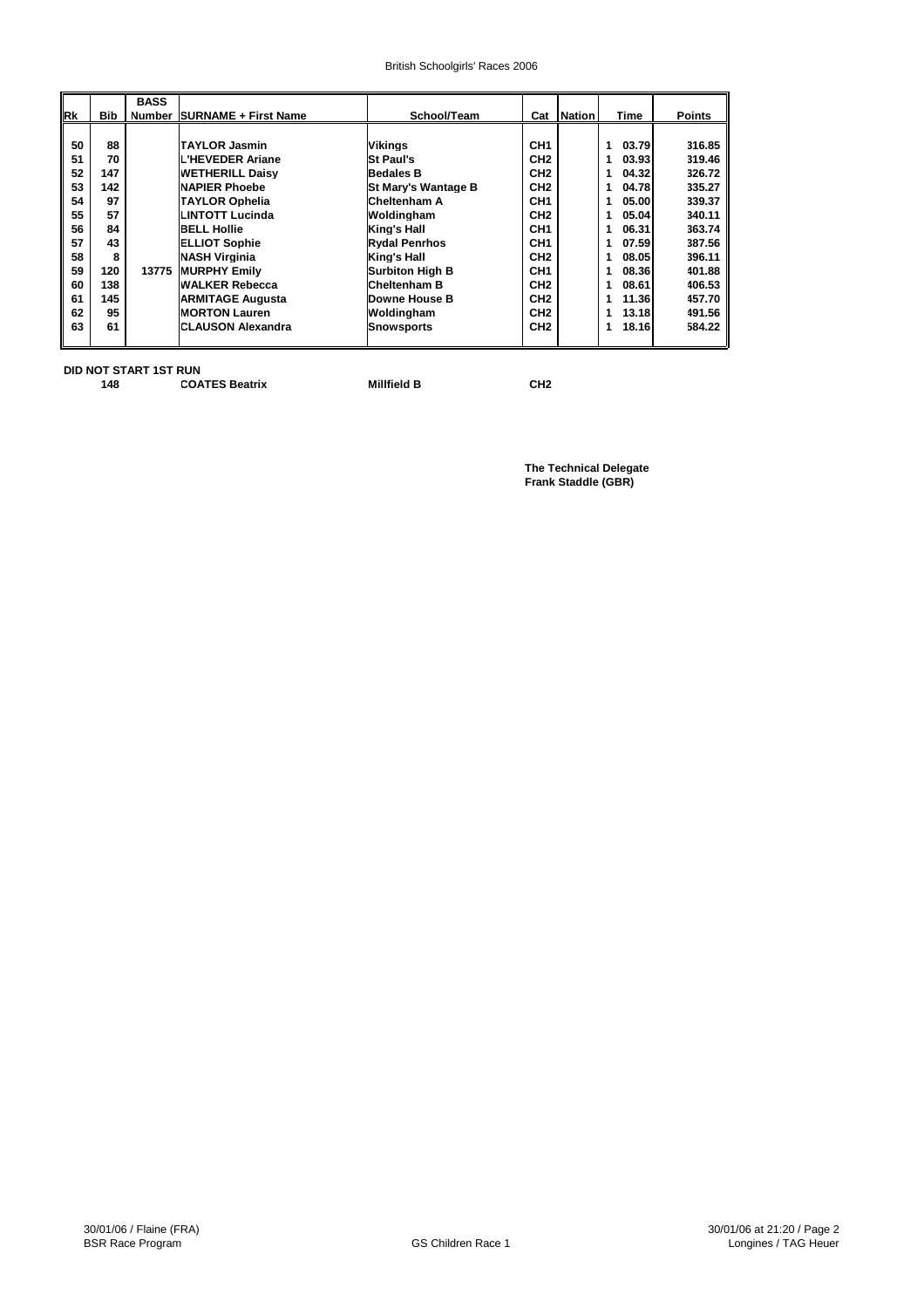#### British Schoolgirls' Races 2006

|    |            | <b>BASS</b> |                             |                            |                 |               |            |               |
|----|------------|-------------|-----------------------------|----------------------------|-----------------|---------------|------------|---------------|
| Rk | <b>Bib</b> | Number      | <b>SURNAME + First Name</b> | School/Team                | Cat             | <b>Nation</b> | Time       | <b>Points</b> |
|    |            |             |                             |                            |                 |               |            |               |
| 50 | 88         |             | <b>ITAYLOR Jasmin</b>       | Vikings                    | CH <sub>1</sub> |               | 03.79<br>1 | 316.85        |
| 51 | 70         |             | L'HEVEDER Ariane            | <b>St Paul's</b>           | CH <sub>2</sub> |               | 03.93<br>1 | 319.46        |
| 52 | 147        |             | <b>WETHERILL Daisv</b>      | <b>Bedales B</b>           | CH <sub>2</sub> |               | 04.32      | 326.72        |
| 53 | 142        |             | <b>NAPIER Phoebe</b>        | <b>St Mary's Wantage B</b> | CH <sub>2</sub> |               | 04.78      | 335.27 ll     |
| 54 | 97         |             | <b>TAYLOR Ophelia</b>       | <b>Cheltenham A</b>        | CH1             |               | 05.00      | 339.37 ll     |
| 55 | 57         |             | <b>LINTOTT Lucinda</b>      | Woldingham                 | CH <sub>2</sub> |               | 05.04      | 340.11 l      |
| 56 | 84         |             | <b>BELL Hollie</b>          | King's Hall                | CH <sub>1</sub> |               | 06.31      | 363.74 l      |
| 57 | 43         |             | <b>ELLIOT Sophie</b>        | <b>Rydal Penrhos</b>       | CH <sub>1</sub> |               | 07.59      | 387.56        |
| 58 | 8          |             | <b>NASH Virginia</b>        | King's Hall                | CH <sub>2</sub> |               | 08.05      | 396.11 ll     |
| 59 | 120        | 13775       | <b>MURPHY Emily</b>         | Surbiton High B            | CH <sub>1</sub> |               | 08.36      | 401.88        |
| 60 | 138        |             | <b>WALKER Rebecca</b>       | <b>Cheltenham B</b>        | CH <sub>2</sub> |               | 08.61      | 406.53 l      |
| 61 | 145        |             | <b>IARMITAGE Augusta</b>    | Downe House B              | CH <sub>2</sub> |               | 11.36      | 457.70 ll     |
| 62 | 95         |             | <b>IMORTON Lauren</b>       | Woldingham                 | CH <sub>2</sub> |               | 13.18      | 491.56 l      |
| 63 | 61         |             | <b>ICLAUSON Alexandra</b>   | Snowsports                 | CH <sub>2</sub> |               | 18.16      | 584.22        |
|    |            |             |                             |                            |                 |               |            |               |

**DID NOT START 1ST RUN**

| .  |                       |                    |     |
|----|-----------------------|--------------------|-----|
| 48 | <b>COATES Beatrix</b> | <b>Millfield B</b> | CH2 |

**The Technical Delegate Frank Staddle (GBR)**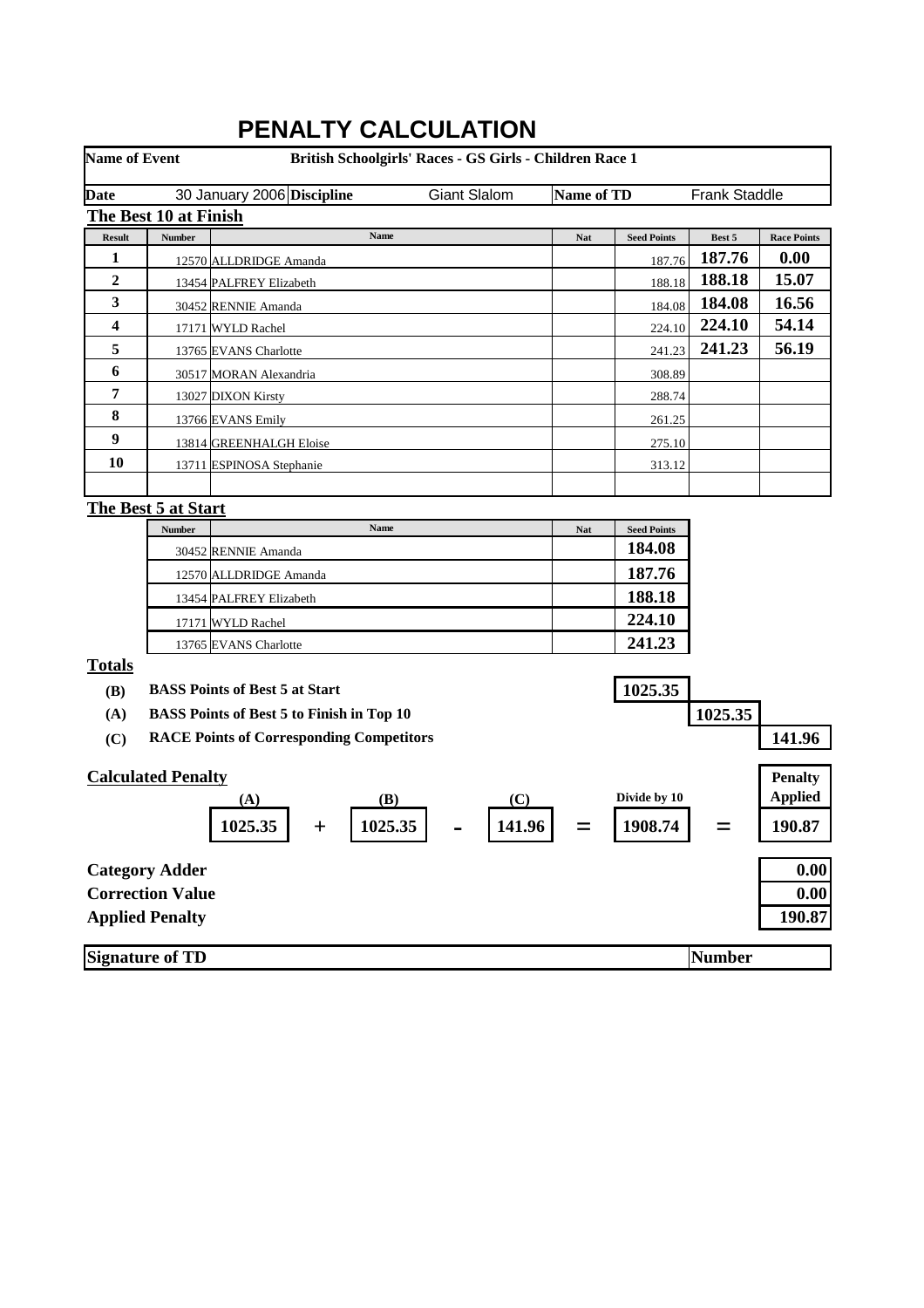| <b>Name of Event</b> |                           | PENALIY CALCULATION                              | British Schoolgirls' Races - GS Girls - Children Race 1 |                   |                    |                      |                    |
|----------------------|---------------------------|--------------------------------------------------|---------------------------------------------------------|-------------------|--------------------|----------------------|--------------------|
| Date                 |                           | 30 January 2006 Discipline                       | <b>Giant Slalom</b>                                     | <b>Name of TD</b> |                    | <b>Frank Staddle</b> |                    |
|                      | The Best 10 at Finish     |                                                  |                                                         |                   |                    |                      |                    |
| <b>Result</b>        | <b>Number</b>             | Name                                             |                                                         | Nat               | <b>Seed Points</b> | Best 5               | <b>Race Points</b> |
| 1                    |                           | 12570 ALLDRIDGE Amanda                           |                                                         |                   | 187.76             | 187.76               | 0.00               |
| $\boldsymbol{2}$     |                           | 13454 PALFREY Elizabeth                          |                                                         |                   | 188.18             | 188.18               | 15.07              |
| 3                    |                           | 30452 RENNIE Amanda                              |                                                         |                   | 184.08             | 184.08               | 16.56              |
| 4                    |                           | 17171 WYLD Rachel                                |                                                         |                   | 224.10             | 224.10               | 54.14              |
| 5                    |                           | 13765 EVANS Charlotte                            |                                                         |                   | 241.23             | 241.23               | 56.19              |
| 6                    |                           | 30517 MORAN Alexandria                           |                                                         |                   | 308.89             |                      |                    |
| 7                    |                           | 13027 DIXON Kirsty                               |                                                         |                   | 288.74             |                      |                    |
| 8                    |                           | 13766 EVANS Emily                                |                                                         |                   | 261.25             |                      |                    |
| 9                    |                           | 13814 GREENHALGH Eloise                          |                                                         |                   | 275.10             |                      |                    |
| 10                   |                           | 13711 ESPINOSA Stephanie                         |                                                         |                   | 313.12             |                      |                    |
|                      |                           |                                                  |                                                         |                   |                    |                      |                    |
|                      | The Best 5 at Start       |                                                  |                                                         |                   |                    |                      |                    |
|                      | <b>Number</b>             | Name                                             |                                                         | <b>Nat</b>        | <b>Seed Points</b> |                      |                    |
|                      |                           | 30452 RENNIE Amanda                              |                                                         |                   | 184.08             |                      |                    |
|                      |                           | 12570 ALLDRIDGE Amanda                           |                                                         |                   | 187.76             |                      |                    |
|                      |                           | 13454 PALFREY Elizabeth                          |                                                         |                   | 188.18             |                      |                    |
|                      |                           | 17171 WYLD Rachel                                |                                                         |                   | 224.10             |                      |                    |
|                      |                           | 13765 EVANS Charlotte                            |                                                         |                   | 241.23             |                      |                    |
| <b>Totals</b>        |                           |                                                  |                                                         |                   |                    |                      |                    |
| <b>(B)</b>           |                           | <b>BASS Points of Best 5 at Start</b>            |                                                         |                   | 1025.35            |                      |                    |
| (A)                  |                           | <b>BASS Points of Best 5 to Finish in Top 10</b> |                                                         |                   |                    | 1025.35              |                    |
| (C)                  |                           | <b>RACE Points of Corresponding Competitors</b>  |                                                         |                   |                    |                      | 141.96             |
|                      |                           |                                                  |                                                         |                   |                    |                      |                    |
|                      | <b>Calculated Penalty</b> |                                                  |                                                         |                   |                    |                      | <b>Penalty</b>     |
|                      |                           | (B)<br>(A)                                       | (C)                                                     |                   | Divide by 10       |                      | <b>Applied</b>     |
|                      |                           | 1025.35<br>1025.35<br>$\mathbf +$                | 141.96                                                  |                   | 1908.74            |                      | 190.87             |
|                      | <b>Category Adder</b>     |                                                  |                                                         |                   |                    |                      | 0.00               |
|                      | <b>Correction Value</b>   |                                                  |                                                         |                   |                    |                      | 0.00               |
|                      | <b>Applied Penalty</b>    |                                                  |                                                         |                   |                    |                      | 190.87             |
|                      |                           |                                                  |                                                         |                   |                    |                      |                    |
|                      | <b>Signature of TD</b>    |                                                  |                                                         |                   |                    | <b>Number</b>        |                    |

# **PENALTY CALCULATION**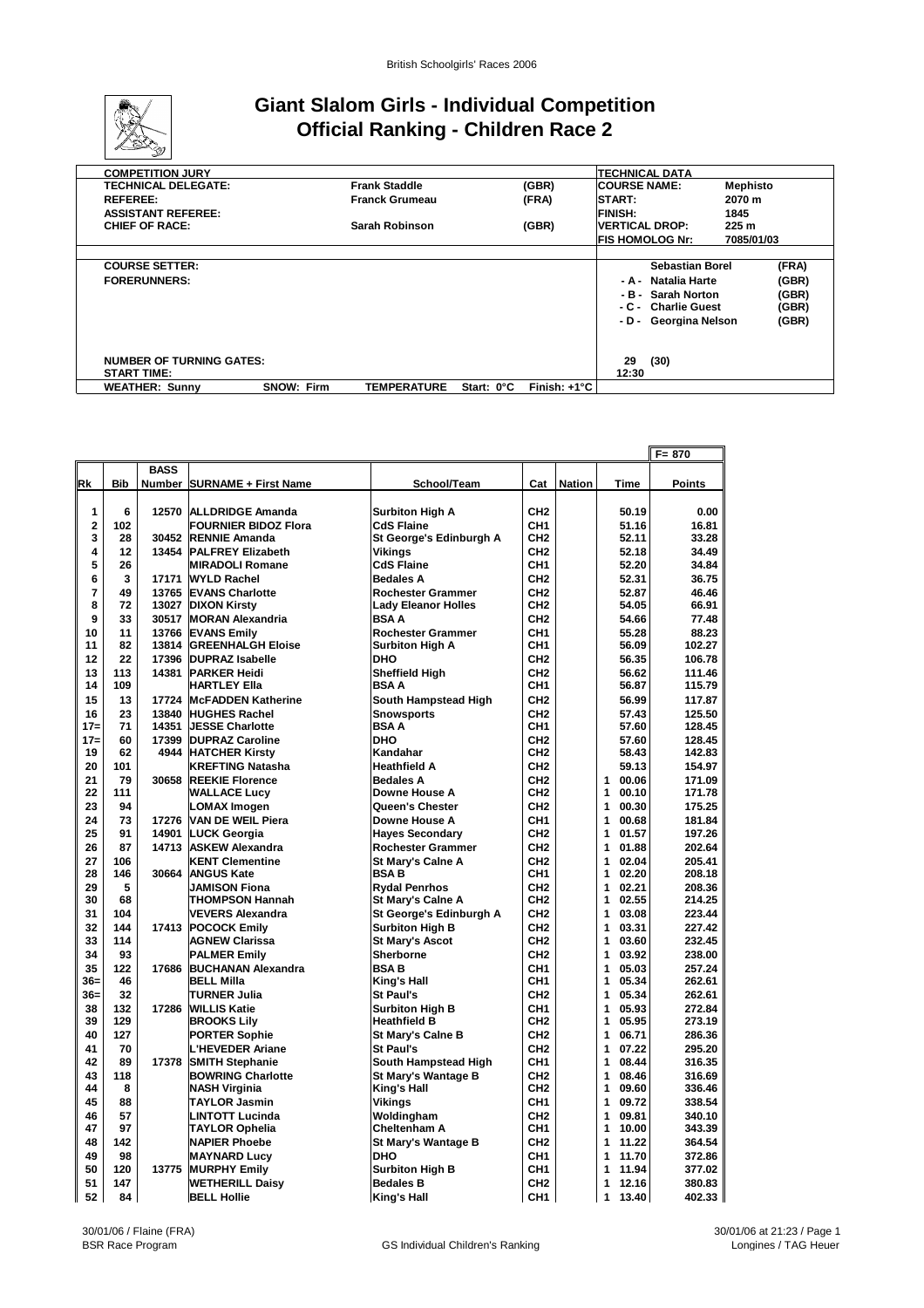

## **Giant Slalom Girls - Individual Competition Official Ranking - Children Race 2**

| <b>COMPETITION JURY</b>         |                   |                       |            |              | ITECHNICAL DATA       |                        |                  |       |
|---------------------------------|-------------------|-----------------------|------------|--------------|-----------------------|------------------------|------------------|-------|
| <b>TECHNICAL DELEGATE:</b>      |                   | <b>Frank Staddle</b>  |            | (GBR)        | <b>COURSE NAME:</b>   |                        | Mephisto         |       |
| <b>REFEREE:</b>                 |                   | <b>Franck Grumeau</b> |            | (FRA)        | <b>START:</b>         |                        | 2070 m           |       |
| <b>ASSISTANT REFEREE:</b>       |                   |                       |            |              | <b>FINISH:</b>        |                        | 1845             |       |
| <b>CHIEF OF RACE:</b>           |                   | Sarah Robinson        |            | (GBR)        | <b>VERTICAL DROP:</b> |                        | 225 <sub>m</sub> |       |
|                                 |                   |                       |            |              |                       | <b>FIS HOMOLOG Nr:</b> | 7085/01/03       |       |
|                                 |                   |                       |            |              |                       |                        |                  |       |
| <b>COURSE SETTER:</b>           |                   |                       |            |              |                       | <b>Sebastian Borel</b> |                  | (FRA) |
| <b>FORERUNNERS:</b>             |                   |                       |            |              |                       | - A - Natalia Harte    |                  | (GBR) |
|                                 |                   |                       |            |              |                       | - B - Sarah Norton     |                  | (GBR) |
|                                 |                   |                       |            |              | - C -                 | <b>Charlie Guest</b>   |                  | (GBR) |
|                                 |                   |                       |            |              |                       | - D - Georgina Nelson  |                  | (GBR) |
|                                 |                   |                       |            |              |                       |                        |                  |       |
|                                 |                   |                       |            |              |                       |                        |                  |       |
| <b>NUMBER OF TURNING GATES:</b> |                   |                       |            |              | 29                    | (30)                   |                  |       |
| <b>START TIME:</b>              |                   |                       |            |              | 12:30                 |                        |                  |       |
| <b>WEATHER: Sunny</b>           | <b>SNOW: Firm</b> | <b>TEMPERATURE</b>    | Start: 0°C | Finish: +1°C |                       |                        |                  |       |

|                         |            |                |                                             |                                   |                                    |               |                                     | $F = 870$        |
|-------------------------|------------|----------------|---------------------------------------------|-----------------------------------|------------------------------------|---------------|-------------------------------------|------------------|
|                         |            | <b>BASS</b>    |                                             |                                   |                                    |               |                                     |                  |
| Rk                      | <b>Bib</b> |                | <b>Number SURNAME + First Name</b>          | School/Team                       | Cat                                | <b>Nation</b> | Time                                | Points           |
|                         |            |                |                                             |                                   |                                    |               |                                     |                  |
| 1                       | 6          | 12570          | <b>ALLDRIDGE Amanda</b>                     | <b>Surbiton High A</b>            | CH <sub>2</sub>                    |               | 50.19                               | 0.00             |
| $\overline{\mathbf{2}}$ | 102        |                | <b>FOURNIER BIDOZ Flora</b>                 | <b>CdS Flaine</b>                 | CH <sub>1</sub>                    |               | 51.16                               | 16.81            |
| 3                       | 28         | 30452          | <b>RENNIE Amanda</b>                        | St George's Edinburgh A           | CH <sub>2</sub>                    |               | 52.11                               | 33.28            |
| 4                       | 12         | 13454          | <b>PALFREY Elizabeth</b>                    | Vikings                           | CH <sub>2</sub>                    |               | 52.18                               | 34.49            |
| 5                       | 26         |                | <b>MIRADOLI Romane</b>                      | <b>CdS Flaine</b>                 | CH <sub>1</sub>                    |               | 52.20                               | 34.84            |
| 6                       | 3          | 17171          | <b>WYLD Rachel</b>                          | <b>Bedales A</b>                  | CH <sub>2</sub>                    |               | 52.31                               | 36.75            |
| 7                       | 49         |                | 13765 EVANS Charlotte                       | <b>Rochester Grammer</b>          | CH <sub>2</sub>                    |               | 52.87                               | 46.46            |
| 8                       | 72         |                | 13027 DIXON Kirsty                          | <b>Lady Eleanor Holles</b>        | CH <sub>2</sub>                    |               | 54.05                               | 66.91            |
| 9                       | 33         |                | 30517 MORAN Alexandria                      | <b>BSAA</b>                       | CH <sub>2</sub>                    |               | 54.66                               | 77.48            |
| 10                      | 11         |                | 13766 EVANS Emily                           | <b>Rochester Grammer</b>          | CH <sub>1</sub>                    |               | 55.28                               | 88.23            |
| 11                      | 82         | 13814          | <b>GREENHALGH Eloise</b>                    | <b>Surbiton High A</b>            | CH <sub>1</sub>                    |               | 56.09                               | 102.27           |
| 12                      | 22         | 17396          | <b>DUPRAZ Isabelle</b>                      | <b>DHO</b>                        | CH <sub>2</sub>                    |               | 56.35                               | 106.78           |
| 13                      | 113        | 14381          | <b>PARKER Heidi</b>                         | <b>Sheffield High</b>             | CH <sub>2</sub>                    |               | 56.62                               | 111.46           |
| 14                      | 109        |                | HARTLEY Ella                                | BSA A                             | CH <sub>1</sub>                    |               | 56.87                               | 115.79           |
| 15                      | 13         |                | 17724 McFADDEN Katherine                    | South Hampstead High              | CH <sub>2</sub>                    |               | 56.99                               | 117.87           |
| 16                      | 23         |                | 13840 HUGHES Rachel                         | <b>Snowsports</b>                 | CH <sub>2</sub>                    |               | 57.43                               | 125.50           |
| $17 =$                  | 71         |                | 14351 JESSE Charlotte                       | <b>BSA A</b>                      | CH <sub>1</sub>                    |               | 57.60                               | 128.45           |
| $17 =$                  | 60         | 17399          | <b>DUPRAZ Caroline</b>                      | <b>DHO</b>                        | CH <sub>2</sub>                    |               | 57.60                               | 128.45           |
| 19                      | 62         | 4944           | <b>HATCHER Kirsty</b>                       | Kandahar                          | CH <sub>2</sub>                    |               | 58.43                               | 142.83           |
| 20                      | 101        |                | <b>KREFTING Natasha</b>                     | <b>Heathfield A</b>               | CH <sub>2</sub>                    |               | 59.13                               | 154.97           |
| 21<br>22                | 79<br>111  | 30658          | <b>REEKIE Florence</b>                      | <b>Bedales A</b><br>Downe House A | CH <sub>2</sub><br>CH <sub>2</sub> |               | 00.06<br>$\mathbf{1}$<br>00.10<br>1 | 171.09           |
| 23                      | 94         |                | <b>WALLACE Lucy</b>                         |                                   | CH <sub>2</sub>                    |               | 00.30<br>1                          | 171.78           |
|                         |            |                | <b>LOMAX Imogen</b>                         | Queen's Chester                   |                                    |               | 00.68<br>1                          | 175.25           |
| 24<br>25                | 73<br>91   | 17276<br>14901 | <b>VAN DE WEIL Piera</b>                    | Downe House A                     | CH <sub>1</sub><br>CH <sub>2</sub> |               | 01.57<br>1                          | 181.84           |
| 26                      | 87         | 14713          | <b>LUCK Georgia</b>                         | <b>Hayes Secondary</b>            | CH <sub>2</sub>                    |               | 1<br>01.88                          | 197.26           |
|                         | 106        |                | <b>ASKEW Alexandra</b>                      | <b>Rochester Grammer</b>          | CH <sub>2</sub>                    |               | 1<br>02.04                          | 202.64           |
| 27<br>28                | 146        | 30664          | <b>KENT Clementine</b><br><b>ANGUS Kate</b> | St Mary's Calne A<br><b>BSAB</b>  | CH <sub>1</sub>                    |               | 1<br>02.20                          | 205.41<br>208.18 |
| 29                      | 5          |                | <b>JAMISON Fiona</b>                        | <b>Rydal Penrhos</b>              | CH <sub>2</sub>                    |               | 1<br>02.21                          | 208.36           |
| 30                      | 68         |                | THOMPSON Hannah                             | St Mary's Calne A                 | CH <sub>2</sub>                    |               | 1<br>02.55                          | 214.25           |
| 31                      | 104        |                | VEVERS Alexandra                            | St George's Edinburgh A           | CH <sub>2</sub>                    |               | 1<br>03.08                          | 223.44           |
| 32                      | 144        | 17413          | <b>POCOCK Emily</b>                         | <b>Surbiton High B</b>            | CH <sub>2</sub>                    |               | 03.31<br>1                          | 227.42           |
| 33                      | 114        |                | <b>AGNEW Clarissa</b>                       | <b>St Mary's Ascot</b>            | CH <sub>2</sub>                    |               | 1<br>03.60                          | 232.45           |
| 34                      | 93         |                | <b>PALMER Emily</b>                         | <b>Sherborne</b>                  | CH <sub>2</sub>                    |               | 03.92<br>1                          | 238.00           |
| 35                      | 122        | 17686          | <b>BUCHANAN Alexandra</b>                   | <b>BSAB</b>                       | CH <sub>1</sub>                    |               | 1<br>05.03                          | 257.24           |
| $36=$                   | 46         |                | <b>BELL Milla</b>                           | King's Hall                       | CH <sub>1</sub>                    |               | 1<br>05.34                          | 262.61           |
| $36=$                   | 32         |                | TURNER Julia                                | St Paul's                         | CH <sub>2</sub>                    |               | 05.34<br>1                          | 262.61           |
| 38                      | 132        | 17286          | <b>WILLIS Katie</b>                         | <b>Surbiton High B</b>            | CH <sub>1</sub>                    |               | 05.93<br>1                          | 272.84           |
| 39                      | 129        |                | <b>BROOKS Lily</b>                          | <b>Heathfield B</b>               | CH <sub>2</sub>                    |               | 1<br>05.95                          | 273.19           |
| 40                      | 127        |                | <b>PORTER Sophie</b>                        | St Mary's Calne B                 | CH <sub>2</sub>                    |               | 1<br>06.71                          | 286.36           |
| 41                      | 70         |                | L'HEVEDER Ariane                            | <b>St Paul's</b>                  | CH <sub>2</sub>                    |               | 1<br>07.22                          | 295.20           |
| 42                      | 89         | 17378          | <b>SMITH Stephanie</b>                      | South Hampstead High              | CH <sub>1</sub>                    |               | 1<br>08.44                          | 316.35           |
| 43                      | 118        |                | <b>BOWRING Charlotte</b>                    | St Mary's Wantage B               | CH <sub>2</sub>                    |               | 1<br>08.46                          | 316.69           |
| 44                      | 8          |                | NASH Virginia                               | King's Hall                       | CH <sub>2</sub>                    |               | 1<br>09.60                          | 336.46           |
| 45                      | 88         |                | TAYLOR Jasmin                               | Vikings                           | CH <sub>1</sub>                    |               | 09.72<br>1                          | 338.54           |
| 46                      | 57         |                | LINTOTT Lucinda                             | Woldingham                        | CH <sub>2</sub>                    |               | 1<br>09.81                          | 340.10           |
| 47                      | 97         |                | <b>TAYLOR Ophelia</b>                       | <b>Cheltenham A</b>               | CH <sub>1</sub>                    |               | 10.00<br>1                          | 343.39           |
| 48                      | 142        |                | <b>NAPIER Phoebe</b>                        | St Mary's Wantage B               | CH <sub>2</sub>                    |               | 11.22<br>1                          | 364.54           |
| 49                      | 98         |                | <b>MAYNARD Lucy</b>                         | DHO                               | CH <sub>1</sub>                    |               | 1<br>11.70                          | 372.86           |
| 50                      | 120        | 13775          | <b>MURPHY Emily</b>                         | <b>Surbiton High B</b>            | CH <sub>1</sub>                    |               | 1<br>11.94                          | 377.02           |
| 51                      | 147        |                | <b>WETHERILL Daisy</b>                      | <b>Bedales B</b>                  | CH <sub>2</sub>                    |               | 12.16<br>1                          | 380.83           |
| 52                      | 84         |                | <b>BELL Hollie</b>                          | King's Hall                       | CH <sub>1</sub>                    |               | 1<br>13.40                          | 402.33           |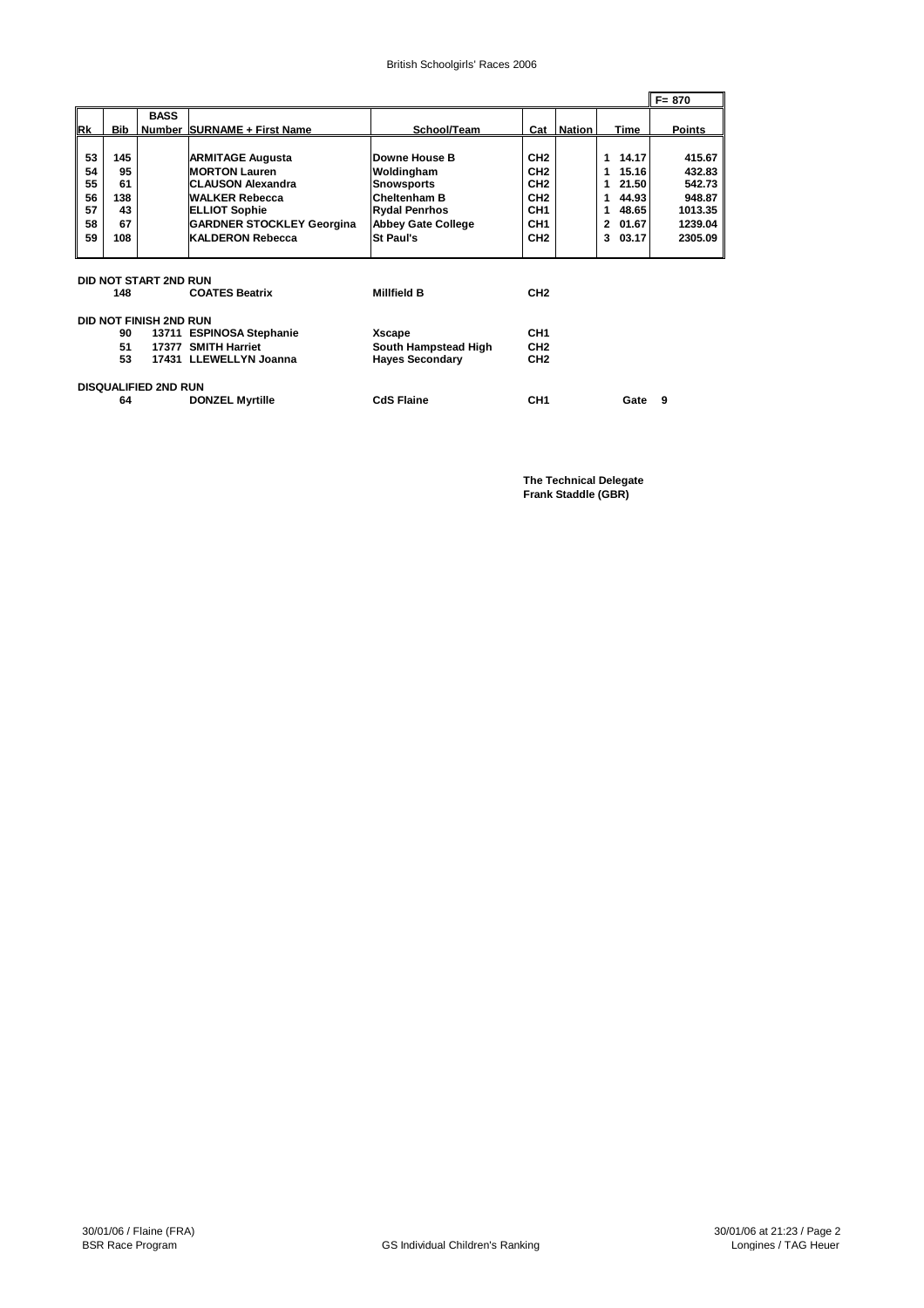#### British Schoolgirls' Races 2006

|           |                             |                               |                                  |                           |                 |               |            |  | l F= 870      |
|-----------|-----------------------------|-------------------------------|----------------------------------|---------------------------|-----------------|---------------|------------|--|---------------|
|           |                             | <b>BASS</b>                   |                                  |                           |                 |               |            |  |               |
| <b>Rk</b> | Bib                         |                               | Number SURNAME + First Name      | School/Team               | Cat             | <b>Nation</b> | Time       |  | <b>Points</b> |
|           |                             |                               |                                  |                           |                 |               |            |  |               |
| 53        | 145                         |                               | <b>ARMITAGE Augusta</b>          | Downe House B             | CH <sub>2</sub> |               | 14.17<br>1 |  | 415.67        |
| 54        | 95                          |                               | <b>MORTON Lauren</b>             | Woldingham                | CH <sub>2</sub> |               | 15.16<br>1 |  | 432.83        |
| 55        | 61                          |                               | <b>CLAUSON Alexandra</b>         | <b>Snowsports</b>         | CH <sub>2</sub> |               | 21.50<br>1 |  | 542.73        |
| 56        | 138                         |                               | <b>WALKER Rebecca</b>            | <b>Cheltenham B</b>       | CH <sub>2</sub> |               | 44.93<br>1 |  | 948.87        |
| 57        | 43                          |                               | <b>ELLIOT Sophie</b>             | <b>Rydal Penrhos</b>      | CH <sub>1</sub> |               | 48.65<br>1 |  | 1013.35       |
| 58        | 67                          |                               | <b>GARDNER STOCKLEY Georgina</b> | <b>Abbey Gate College</b> | CH <sub>1</sub> |               | 01.67<br>2 |  | 1239.04       |
| 59        | 108                         |                               | <b>KALDERON Rebecca</b>          | St Paul's                 | CH <sub>2</sub> |               | 03.17<br>3 |  | 2305.09       |
|           |                             |                               |                                  |                           |                 |               |            |  |               |
|           |                             |                               |                                  |                           |                 |               |            |  |               |
|           |                             | DID NOT START 2ND RUN         |                                  |                           |                 |               |            |  |               |
|           | 148                         |                               | <b>COATES Beatrix</b>            | <b>Millfield B</b>        | CH <sub>2</sub> |               |            |  |               |
|           |                             |                               |                                  |                           |                 |               |            |  |               |
|           |                             | <b>DID NOT FINISH 2ND RUN</b> |                                  |                           |                 |               |            |  |               |
|           | 90                          |                               | 13711 ESPINOSA Stephanie         | Xscape                    | CH <sub>1</sub> |               |            |  |               |
|           | 51                          |                               | 17377 SMITH Harriet              | South Hampstead High      | CH <sub>2</sub> |               |            |  |               |
|           | 53                          |                               | 17431 LLEWELLYN Joanna           | <b>Hayes Secondary</b>    | CH <sub>2</sub> |               |            |  |               |
|           |                             |                               |                                  |                           |                 |               |            |  |               |
|           | <b>DISQUALIFIED 2ND RUN</b> |                               |                                  |                           |                 |               |            |  |               |
|           | 64                          |                               | <b>DONZEL Myrtille</b>           | <b>CdS Flaine</b>         | CH <sub>1</sub> |               | Gate       |  | 9             |
|           |                             |                               |                                  |                           |                 |               |            |  |               |

**The Technical Delegate Frank Staddle (GBR)**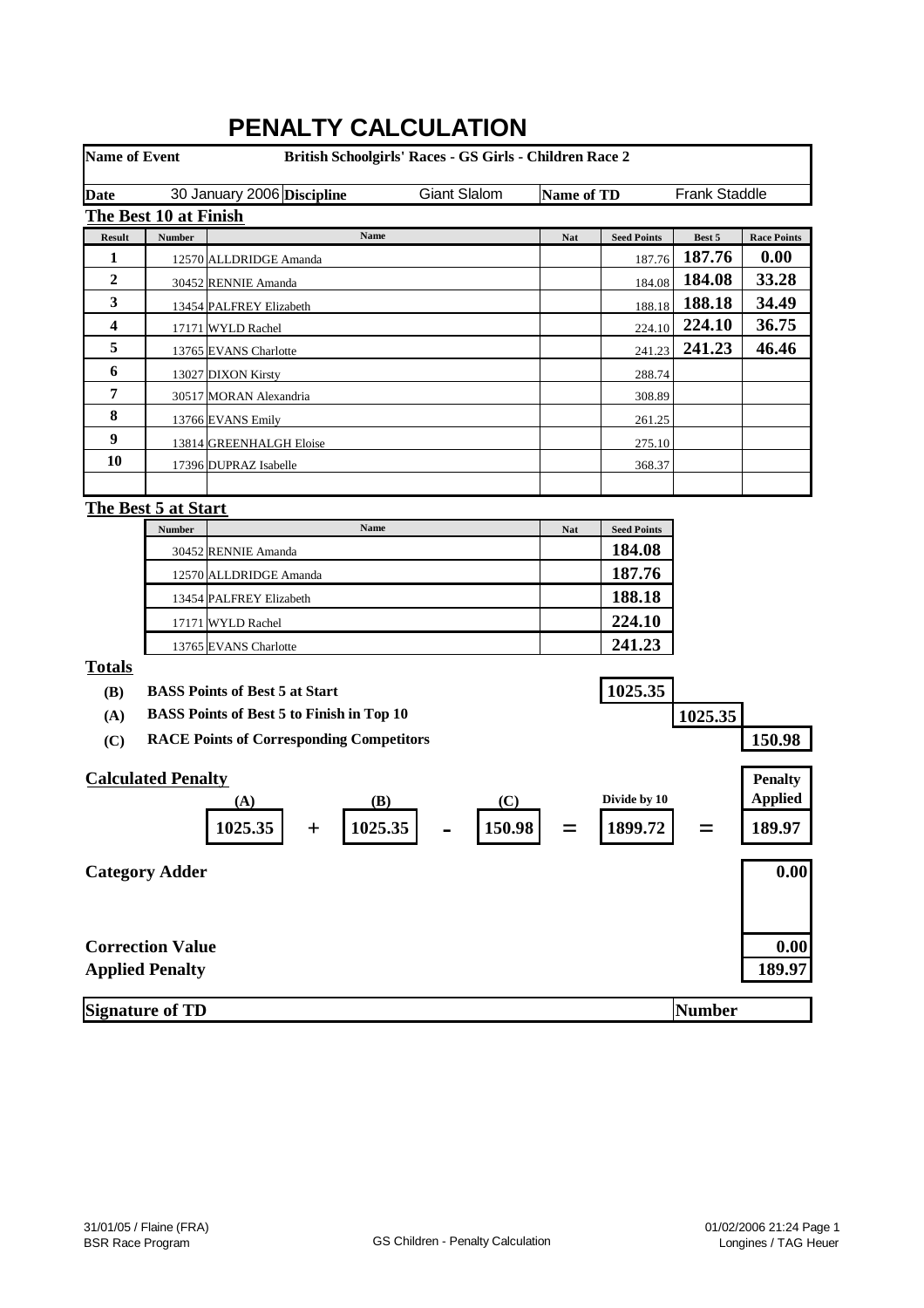| <b>Name of Event</b>    |                                                   |                                                  | British Schoolgirls' Races - GS Girls - Children Race 2 |                   |                    |                      |                                  |
|-------------------------|---------------------------------------------------|--------------------------------------------------|---------------------------------------------------------|-------------------|--------------------|----------------------|----------------------------------|
| <b>Date</b>             |                                                   | 30 January 2006 Discipline                       | Giant Slalom                                            | <b>Name of TD</b> |                    | <b>Frank Staddle</b> |                                  |
|                         | The Best 10 at Finish                             |                                                  |                                                         |                   |                    |                      |                                  |
| <b>Result</b>           | Number                                            | Name                                             |                                                         | <b>Nat</b>        | <b>Seed Points</b> | Best 5               | <b>Race Points</b>               |
| 1                       |                                                   | 12570 ALLDRIDGE Amanda                           |                                                         |                   | 187.76             | 187.76               | 0.00                             |
| $\boldsymbol{2}$        |                                                   | 30452 RENNIE Amanda                              |                                                         |                   | 184.08             | 184.08               | 33.28                            |
| 3                       |                                                   | 13454 PALFREY Elizabeth                          |                                                         |                   | 188.18             | 188.18               | 34.49                            |
| $\overline{\mathbf{4}}$ |                                                   | 17171 WYLD Rachel                                |                                                         |                   | 224.10             | 224.10               | 36.75                            |
| 5                       |                                                   | 13765 EVANS Charlotte                            |                                                         |                   | 241.23             | 241.23               | 46.46                            |
| 6                       |                                                   | 13027 DIXON Kirsty                               |                                                         |                   | 288.74             |                      |                                  |
| 7                       |                                                   | 30517 MORAN Alexandria                           |                                                         |                   | 308.89             |                      |                                  |
| 8                       |                                                   | 13766 EVANS Emily                                |                                                         |                   | 261.25             |                      |                                  |
| 9                       |                                                   | 13814 GREENHALGH Eloise                          |                                                         |                   | 275.10             |                      |                                  |
| 10                      |                                                   | 17396 DUPRAZ Isabelle                            |                                                         |                   | 368.37             |                      |                                  |
|                         |                                                   |                                                  |                                                         |                   |                    |                      |                                  |
|                         | <b>The Best 5 at Start</b>                        |                                                  |                                                         |                   |                    |                      |                                  |
|                         | Number                                            | Name                                             |                                                         | <b>Nat</b>        | <b>Seed Points</b> |                      |                                  |
|                         |                                                   | 30452 RENNIE Amanda                              |                                                         |                   | 184.08             |                      |                                  |
|                         |                                                   | 12570 ALLDRIDGE Amanda                           |                                                         |                   | 187.76             |                      |                                  |
|                         |                                                   | 13454 PALFREY Elizabeth                          |                                                         |                   | 188.18             |                      |                                  |
|                         |                                                   | 17171 WYLD Rachel                                |                                                         |                   | 224.10             |                      |                                  |
|                         |                                                   | 13765 EVANS Charlotte                            |                                                         |                   | 241.23             |                      |                                  |
| <b>Totals</b>           |                                                   | <b>BASS Points of Best 5 at Start</b>            |                                                         |                   | 1025.35            |                      |                                  |
| (B)                     |                                                   | <b>BASS Points of Best 5 to Finish in Top 10</b> |                                                         |                   |                    |                      |                                  |
| (A)<br>(C)              |                                                   | <b>RACE Points of Corresponding Competitors</b>  |                                                         |                   |                    | 1025.35              | 150.98                           |
|                         |                                                   |                                                  |                                                         |                   |                    |                      |                                  |
|                         | <b>Calculated Penalty</b>                         | (B)<br>(A)                                       | (C)                                                     |                   | Divide by 10       |                      | <b>Penalty</b><br><b>Applied</b> |
|                         |                                                   | 1025.35<br>1025.35<br>$\pm$                      | 150.98                                                  |                   | 1899.72            |                      | 189.97                           |
|                         | <b>Category Adder</b>                             |                                                  |                                                         |                   |                    |                      | 0.00                             |
|                         | <b>Correction Value</b><br><b>Applied Penalty</b> |                                                  |                                                         |                   |                    |                      | 0.00<br>189.97                   |
|                         | <b>Signature of TD</b>                            |                                                  |                                                         |                   |                    | <b>Number</b>        |                                  |

# **PENALTY CALCULATION**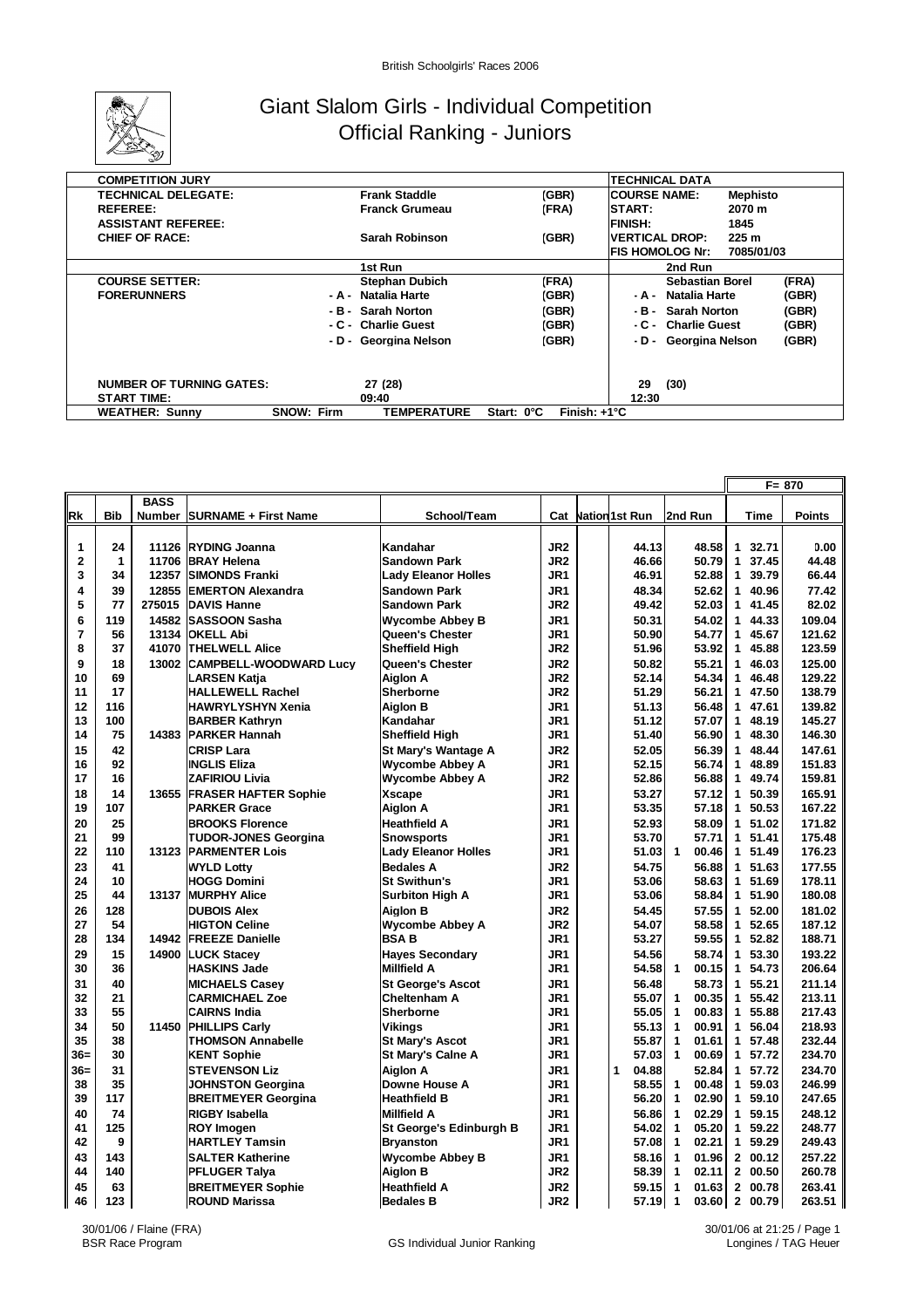

## Giant Slalom Girls - Individual Competition Official Ranking - Juniors

| <b>TECHNICAL DATA</b><br><b>COMPETITION JURY</b><br>(GBR)<br><b>ICOURSE NAME:</b><br><b>TECHNICAL DELEGATE:</b><br><b>Frank Staddle</b><br><b>Mephisto</b><br><b>Franck Grumeau</b><br><b>ISTART:</b><br><b>REFEREE:</b><br>(FRA)<br>2070 m<br><b>FINISH:</b><br><b>ASSISTANT REFEREE:</b><br>1845<br>Sarah Robinson<br>(GBR)<br><b>VERTICAL DROP:</b><br>225 <sub>m</sub><br><b>CHIEF OF RACE:</b><br><b>IFIS HOMOLOG Nr:</b><br>7085/01/03<br>1st Run<br>2nd Run<br><b>COURSE SETTER:</b><br><b>Stephan Dubich</b><br>(FRA)<br>(FRA)<br>Sebastian Borel<br>Natalia Harte<br><b>FORERUNNERS</b><br>(GBR)<br>(GBR)<br>- A - Natalia Harte<br>- A -<br>(GBR)<br>Sarah Norton<br>(GBR)<br><b>Sarah Norton</b><br>- в -<br>-в-<br>(GBR)<br>- C - Charlie Guest<br>- C - Charlie Guest<br>(GBR)<br>- D - Georgina Nelson<br>(GBR)<br>- D - Georgina Nelson<br>(GBR)<br><b>NUMBER OF TURNING GATES:</b><br>27 (28)<br>29<br>(30)<br><b>START TIME:</b><br>12:30<br>09:40 |                       |                                         |                                     |  |
|---------------------------------------------------------------------------------------------------------------------------------------------------------------------------------------------------------------------------------------------------------------------------------------------------------------------------------------------------------------------------------------------------------------------------------------------------------------------------------------------------------------------------------------------------------------------------------------------------------------------------------------------------------------------------------------------------------------------------------------------------------------------------------------------------------------------------------------------------------------------------------------------------------------------------------------------------------------------|-----------------------|-----------------------------------------|-------------------------------------|--|
|                                                                                                                                                                                                                                                                                                                                                                                                                                                                                                                                                                                                                                                                                                                                                                                                                                                                                                                                                                     |                       |                                         |                                     |  |
|                                                                                                                                                                                                                                                                                                                                                                                                                                                                                                                                                                                                                                                                                                                                                                                                                                                                                                                                                                     |                       |                                         |                                     |  |
|                                                                                                                                                                                                                                                                                                                                                                                                                                                                                                                                                                                                                                                                                                                                                                                                                                                                                                                                                                     |                       |                                         |                                     |  |
|                                                                                                                                                                                                                                                                                                                                                                                                                                                                                                                                                                                                                                                                                                                                                                                                                                                                                                                                                                     |                       |                                         |                                     |  |
|                                                                                                                                                                                                                                                                                                                                                                                                                                                                                                                                                                                                                                                                                                                                                                                                                                                                                                                                                                     |                       |                                         |                                     |  |
|                                                                                                                                                                                                                                                                                                                                                                                                                                                                                                                                                                                                                                                                                                                                                                                                                                                                                                                                                                     |                       |                                         |                                     |  |
|                                                                                                                                                                                                                                                                                                                                                                                                                                                                                                                                                                                                                                                                                                                                                                                                                                                                                                                                                                     |                       |                                         |                                     |  |
|                                                                                                                                                                                                                                                                                                                                                                                                                                                                                                                                                                                                                                                                                                                                                                                                                                                                                                                                                                     |                       |                                         |                                     |  |
|                                                                                                                                                                                                                                                                                                                                                                                                                                                                                                                                                                                                                                                                                                                                                                                                                                                                                                                                                                     |                       |                                         |                                     |  |
|                                                                                                                                                                                                                                                                                                                                                                                                                                                                                                                                                                                                                                                                                                                                                                                                                                                                                                                                                                     |                       |                                         |                                     |  |
|                                                                                                                                                                                                                                                                                                                                                                                                                                                                                                                                                                                                                                                                                                                                                                                                                                                                                                                                                                     |                       |                                         |                                     |  |
|                                                                                                                                                                                                                                                                                                                                                                                                                                                                                                                                                                                                                                                                                                                                                                                                                                                                                                                                                                     |                       |                                         |                                     |  |
|                                                                                                                                                                                                                                                                                                                                                                                                                                                                                                                                                                                                                                                                                                                                                                                                                                                                                                                                                                     |                       |                                         |                                     |  |
|                                                                                                                                                                                                                                                                                                                                                                                                                                                                                                                                                                                                                                                                                                                                                                                                                                                                                                                                                                     |                       |                                         |                                     |  |
|                                                                                                                                                                                                                                                                                                                                                                                                                                                                                                                                                                                                                                                                                                                                                                                                                                                                                                                                                                     |                       |                                         |                                     |  |
|                                                                                                                                                                                                                                                                                                                                                                                                                                                                                                                                                                                                                                                                                                                                                                                                                                                                                                                                                                     | <b>WEATHER: Sunny</b> | <b>SNOW: Firm</b><br><b>TEMPERATURE</b> | Finish: $+1^{\circ}C$<br>Start: 0°C |  |

|           |            |             |                             |                            |                 |                    |                       |              |         | $F = 870$     |
|-----------|------------|-------------|-----------------------------|----------------------------|-----------------|--------------------|-----------------------|--------------|---------|---------------|
|           |            | <b>BASS</b> |                             |                            |                 |                    |                       |              |         |               |
| <b>Rk</b> | <b>Bib</b> |             | Number SURNAME + First Name | School/Team                |                 | Cat Nation 1st Run | 2nd Run               |              | Time    | <b>Points</b> |
|           |            |             |                             |                            |                 |                    |                       |              |         |               |
| 1         | 24         | 11126       | <b>RYDING Joanna</b>        | Kandahar                   | JR <sub>2</sub> | 44.13              | 48.58                 |              | 1 32.71 | 0.00          |
| 2         | 1          | 11706       | <b>BRAY Helena</b>          | <b>Sandown Park</b>        | JR <sub>2</sub> | 46.66              | 50.79                 |              | 1 37.45 | 44.48         |
| 3         | 34         | 12357       | <b>SIMONDS Franki</b>       | <b>Lady Eleanor Holles</b> | JR1             | 46.91              | 52.88                 |              | 1 39.79 | 66.44         |
| 4         | 39         | 12855       | <b>EMERTON Alexandra</b>    | <b>Sandown Park</b>        | JR1             | 48.34              | 52.62                 |              | 1 40.96 | 77.42         |
| 5         | 77         | 275015      | DAVIS Hanne                 | <b>Sandown Park</b>        | JR2             | 49.42              | 52.03                 |              | 1 41.45 | 82.02         |
| 6         | 119        | 14582       | <b>ISASSOON Sasha</b>       | <b>Wycombe Abbey B</b>     | JR1             | 50.31              | 54.02                 |              | 1 44.33 | 109.04        |
| 7         | 56         | 13134       | <b>OKELL Abi</b>            | Queen's Chester            | JR1             | 50.90              | 54.77                 |              | 1 45.67 | 121.62        |
| 8         | 37         | 41070       | <b>THELWELL Alice</b>       | <b>Sheffield High</b>      | JR <sub>2</sub> | 51.96              | 53.92                 |              | 1 45.88 | 123.59        |
| 9         | 18         | 13002       | CAMPBELL-WOODWARD Lucv      | Queen's Chester            | JR <sub>2</sub> | 50.82              | 55.21                 | $\mathbf{1}$ | 46.03   | 125.00        |
| 10        | 69         |             | <b>LARSEN Katja</b>         | <b>Aiglon A</b>            | JR <sub>2</sub> | 52.14              | 54.34                 |              | 1 46.48 | 129.22        |
| 11        | 17         |             | <b>HALLEWELL Rachel</b>     | Sherborne                  | JR2             | 51.29              | 56.21                 |              | 1 47.50 | 138.79        |
| 12        | 116        |             | <b>HAWRYLYSHYN Xenia</b>    | <b>Aiglon B</b>            | JR1             | 51.13              | 56.48                 |              | 1 47.61 | 139.82        |
| 13        | 100        |             | <b>BARBER Kathryn</b>       | Kandahar                   | JR1             | 51.12              | 57.07                 |              | 1 48.19 | 145.27        |
| 14        | 75         | 14383       | <b>PARKER Hannah</b>        | <b>Sheffield High</b>      | JR1             | 51.40              | 56.90                 |              | 1 48.30 | 146.30        |
| 15        | 42         |             | <b>CRISP Lara</b>           | <b>St Mary's Wantage A</b> | JR2             | 52.05              | 56.39                 | 1            | 48.44   | 147.61        |
| 16        | 92         |             | <b>INGLIS Eliza</b>         | <b>Wycombe Abbey A</b>     | JR1             | 52.15              | 56.74                 |              | 1 48.89 | 151.83        |
| 17        | 16         |             | <b>ZAFIRIOU Livia</b>       | <b>Wycombe Abbey A</b>     | JR <sub>2</sub> | 52.86              | 56.88                 |              | 1 49.74 | 159.81        |
| 18        | 14         | 13655       | <b>FRASER HAFTER Sophie</b> | <b>Xscape</b>              | JR1             | 53.27              | 57.12                 |              | 1 50.39 | 165.91        |
| 19        | 107        |             | <b>PARKER Grace</b>         | <b>Aiglon A</b>            | JR1             | 53.35              | 57.18                 | 1            | 50.53   | 167.22        |
| 20        | 25         |             | <b>BROOKS Florence</b>      | <b>Heathfield A</b>        | JR1             | 52.93              | 58.09                 |              | 1 51.02 | 171.82        |
| 21        | 99         |             | <b>TUDOR-JONES Georgina</b> | <b>Snowsports</b>          | JR1             | 53.70              | 57.71                 |              | 1 51.41 | 175.48        |
| 22        | 110        | 13123       | <b>PARMENTER Lois</b>       | <b>Lady Eleanor Holles</b> | JR1             | 51.03              | $\mathbf{1}$<br>00.46 |              | 1 51.49 | 176.23        |
| 23        | 41         |             | <b>WYLD Lotty</b>           | <b>Bedales A</b>           | JR <sub>2</sub> | 54.75              | 56.88                 |              | 1 51.63 | 177.55        |
| 24        | 10         |             | <b>HOGG Domini</b>          | <b>St Swithun's</b>        | JR1             | 53.06              | 58.63                 |              | 1 51.69 | 178.11        |
| 25        | 44         | 13137       | <b>MURPHY Alice</b>         | <b>Surbiton High A</b>     | JR1             | 53.06              | 58.84                 |              | 1 51.90 | 180.08        |
| 26        | 128        |             | <b>DUBOIS Alex</b>          | <b>Aiglon B</b>            | JR <sub>2</sub> | 54.45              | 57.55                 |              | 1 52.00 | 181.02        |
| 27        | 54         |             | <b>HIGTON Celine</b>        | <b>Wycombe Abbey A</b>     | JR <sub>2</sub> | 54.07              | 58.58                 |              | 1 52.65 | 187.12        |
| 28        | 134        | 14942       | <b>FREEZE Danielle</b>      | <b>BSAB</b>                | JR1             | 53.27              | 59.55                 |              | 1 52.82 | 188.71        |
| 29        | 15         | 14900       | <b>LUCK Stacey</b>          | <b>Hayes Secondary</b>     | JR1             | 54.56              | 58.74                 |              | 1 53.30 | 193.22        |
| 30        | 36         |             | <b>HASKINS Jade</b>         | <b>Millfield A</b>         | JR1             | 54.58              | $\mathbf{1}$<br>00.15 |              | 1 54.73 | 206.64        |
| 31        | 40         |             | <b>MICHAELS Casey</b>       | <b>St George's Ascot</b>   | JR1             | 56.48              | 58.73                 |              | 1 55.21 | 211.14        |
| 32        | 21         |             | <b>CARMICHAEL Zoe</b>       | <b>Cheltenham A</b>        | JR1             | 55.07              | $\mathbf{1}$<br>00.35 |              | 1 55.42 | 213.11        |
| 33        | 55         |             | <b>CAIRNS India</b>         | Sherborne                  | JR1             | 55.05              | $\mathbf{1}$<br>00.83 |              | 1 55.88 | 217.43        |
| 34        | 50         | 11450       | <b>PHILLIPS Carly</b>       | Vikings                    | JR1             | 55.13              | $\mathbf{1}$<br>00.91 |              | 1 56.04 | 218.93        |
| 35        | 38         |             | <b>THOMSON Annabelle</b>    | <b>St Mary's Ascot</b>     | JR1             | 55.87              | $\mathbf{1}$<br>01.61 |              | 1 57.48 | 232.44        |
| $36 =$    | 30         |             | <b>KENT Sophie</b>          | <b>St Mary's Calne A</b>   | JR1             | 57.03              | $\mathbf{1}$<br>00.69 |              | 1 57.72 | 234.70        |
| $36=$     | 31         |             | <b>STEVENSON Liz</b>        | <b>Aiglon A</b>            | JR1             | 1<br>04.88         | 52.84                 |              | 1 57.72 | 234.70        |
| 38        | 35         |             | <b>JOHNSTON Georgina</b>    | Downe House A              | JR1             | 58.55              | 00.48<br>$\mathbf{1}$ |              | 1 59.03 | 246.99        |
| 39        | 117        |             | <b>BREITMEYER Georgina</b>  | <b>Heathfield B</b>        | JR1             | 56.20              | $\mathbf{1}$<br>02.90 |              | 1 59.10 | 247.65        |
| 40        | 74         |             | RIGBY Isabella              | <b>Millfield A</b>         | JR1             | 56.86              | $\mathbf{1}$<br>02.29 |              | 1 59.15 | 248.12        |
| 41        | 125        |             | <b>ROY Imogen</b>           | St George's Edinburgh B    | JR1             | 54.02              | $\mathbf{1}$<br>05.20 |              | 1 59.22 | 248.77        |
| 42        | 9          |             | <b>HARTLEY Tamsin</b>       | <b>Bryanston</b>           | JR1             | 57.08              | $\mathbf{1}$<br>02.21 |              | 1 59.29 | 249.43        |
| 43        | 143        |             | <b>SALTER Katherine</b>     | <b>Wycombe Abbey B</b>     | JR1             | 58.16              | $\mathbf{1}$<br>01.96 |              | 2 00.12 | 257.22        |
| 44        | 140        |             | PFLUGER Talya               | <b>Aiglon B</b>            | JR <sub>2</sub> | 58.39              | $\mathbf{1}$<br>02.11 |              | 2 00.50 | 260.78        |
| 45        | 63         |             | <b>BREITMEYER Sophie</b>    | <b>Heathfield A</b>        | JR <sub>2</sub> | 59.15              | $\mathbf{1}$<br>01.63 |              | 2 00.78 | 263.41        |
| 46        | 123        |             | <b>ROUND Marissa</b>        | <b>Bedales B</b>           | JR <sub>2</sub> | 57.19              | $\mathbf{1}$<br>03.60 |              | 2 00.79 | 263.51        |

30/01/06 at 21:25 / Page 1 Longines / TAG Heuer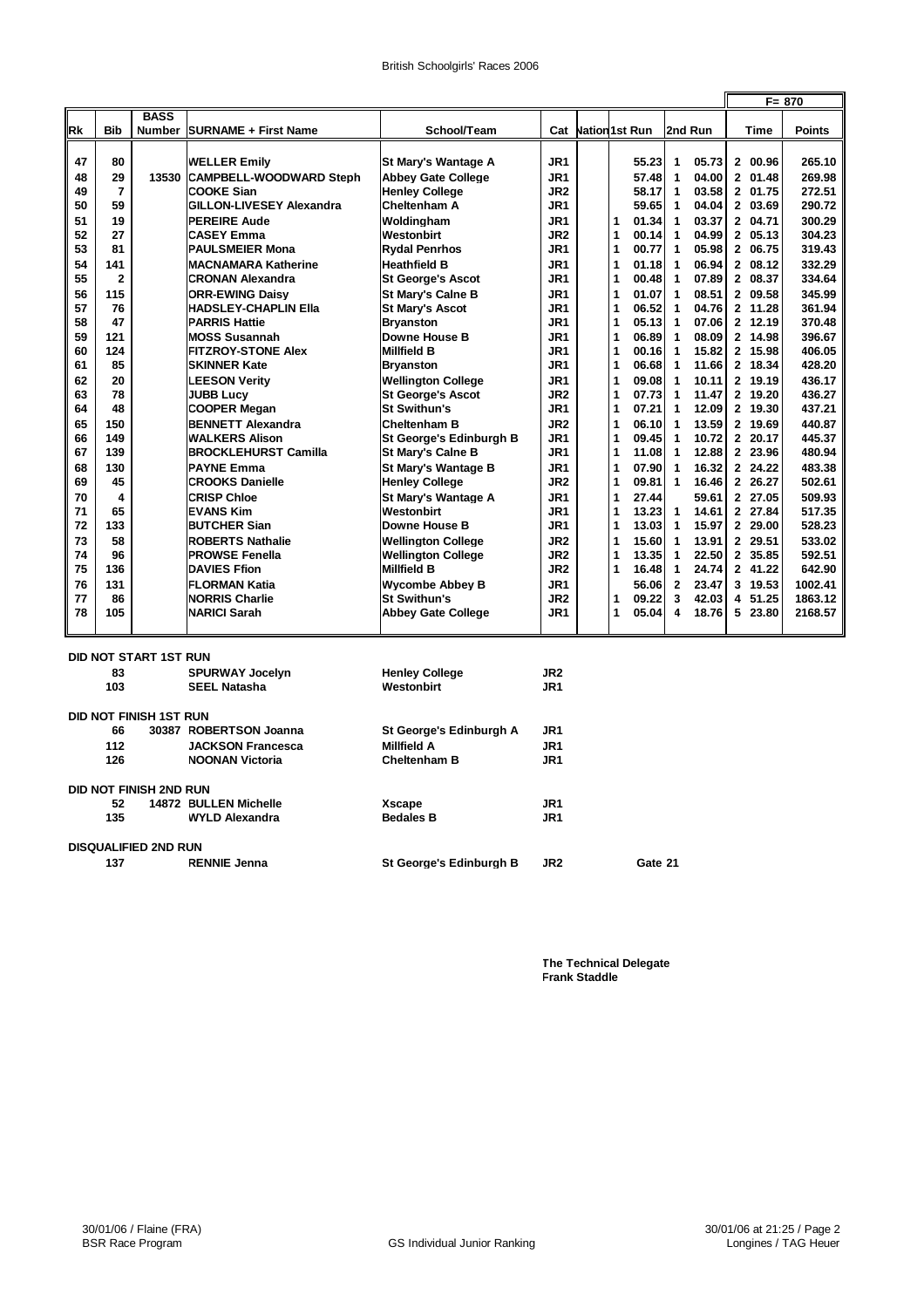|    |                         |                               |                             |                            |                 |                         |                         |         | $F = 870$ |
|----|-------------------------|-------------------------------|-----------------------------|----------------------------|-----------------|-------------------------|-------------------------|---------|-----------|
| Rk | <b>Bib</b>              | <b>BASS</b>                   | Number SURNAME + First Name | School/Team                | Cat             | <b>Nation1st Run</b>    | 2nd Run                 | Time    | Points    |
| 47 | 80                      |                               | <b>WELLER Emily</b>         | St Mary's Wantage A        | JR1             | 55.23                   | 1<br>05.73              | 2 00.96 | 265.10    |
| 48 | 29                      | 13530                         | CAMPBELL-WOODWARD Steph     | <b>Abbey Gate College</b>  | JR1             | 57.48                   | $\mathbf{1}$<br>04.00   | 2 01.48 | 269.98    |
| 49 | $\overline{7}$          |                               | COOKE Sian                  | <b>Henley College</b>      | JR2             | 58.17                   | 1<br>03.58              | 2 01.75 | 272.51    |
| 50 | 59                      |                               | GILLON-LIVESEY Alexandra    | Cheltenham A               | JR1             | 59.65                   | 04.04<br>1              | 2 03.69 | 290.72    |
| 51 | 19                      |                               | <b>PEREIRE Aude</b>         | Woldingham                 | JR1             | 1<br>01.34              | 03.37<br>1              | 2 04.71 | 300.29    |
| 52 | 27                      |                               | <b>CASEY Emma</b>           | Westonbirt                 | JR <sub>2</sub> | 1<br>00.14              | 04.99<br>1              | 2 05.13 | 304.23    |
| 53 | 81                      |                               | <b>PAULSMEIER Mona</b>      | <b>Rydal Penrhos</b>       | JR1             | $\overline{1}$<br>00.77 | 05.98<br>1              | 2 06.75 | 319.43    |
| 54 | 141                     |                               | <b>MACNAMARA Katherine</b>  | <b>Heathfield B</b>        | JR1             | 1<br>01.18              | 1<br>06.94              | 2 08.12 | 332.29    |
| 55 | $\overline{\mathbf{2}}$ |                               | <b>CRONAN Alexandra</b>     | <b>St George's Ascot</b>   | JR1             | 1<br>00.48              | 07.89<br>1              | 2 08.37 | 334.64    |
| 56 | 115                     |                               | <b>ORR-EWING Daisv</b>      | <b>St Mary's Calne B</b>   | JR1             | 1<br>01.07              | 08.51<br>1              | 2 09.58 | 345.99    |
| 57 | 76                      |                               | HADSLEY-CHAPLIN Ella        | <b>St Mary's Ascot</b>     | JR1             | 1<br>06.52              | 04.76<br>1              | 2 11.28 | 361.94    |
| 58 | 47                      |                               | <b>PARRIS Hattie</b>        | <b>Bryanston</b>           | JR1             | 1<br>05.13              | $\mathbf{1}$<br>07.06   | 2 12.19 | 370.48    |
| 59 | 121                     |                               | <b>MOSS Susannah</b>        | Downe House B              | JR1             | 1<br>06.89              | 1<br>08.09              | 2 14.98 | 396.67    |
| 60 | 124                     |                               | <b>FITZROY-STONE Alex</b>   | <b>Millfield B</b>         | JR1             | 1<br>00.16              | 15.82<br>1              | 2 15.98 | 406.05    |
| 61 | 85                      |                               | <b>SKINNER Kate</b>         | <b>Bryanston</b>           | JR1             | 1<br>06.68              | 11.66<br>$\mathbf 1$    | 2 18.34 | 428.20    |
| 62 | 20                      |                               | <b>LEESON Verity</b>        | <b>Wellington College</b>  | JR1             | 1<br>09.08              | 10.11<br>1              | 2 19.19 | 436.17    |
| 63 | 78                      |                               | <b>JUBB Lucy</b>            | <b>St George's Ascot</b>   | JR2             | 1<br>07.73              | 11.47<br>$\mathbf{1}$   | 2 19.20 | 436.27    |
| 64 | 48                      |                               | <b>COOPER Megan</b>         | <b>St Swithun's</b>        | JR1             | 1<br>07.21              | 12.09<br>1              | 2 19.30 | 437.21    |
| 65 | 150                     |                               | <b>BENNETT Alexandra</b>    | <b>Cheltenham B</b>        | JR <sub>2</sub> | 1<br>06.10              | $\mathbf{1}$<br>13.59   | 2 19.69 | 440.87    |
| 66 | 149                     |                               | <b>WALKERS Alison</b>       | St George's Edinburgh B    | JR1             | 1<br>09.45              | 10.72<br>1              | 2 20.17 | 445.37    |
| 67 | 139                     |                               | <b>BROCKLEHURST Camilla</b> | <b>St Mary's Calne B</b>   | JR1             | 1<br>11.08              | 12.88<br>$\mathbf 1$    | 2 23.96 | 480.94    |
| 68 | 130                     |                               | <b>PAYNE Emma</b>           | <b>St Mary's Wantage B</b> | JR1             | 1<br>07.90              | 16.32<br>$\mathbf{1}$   | 2 24.22 | 483.38    |
| 69 | 45                      |                               | <b>CROOKS Danielle</b>      | <b>Henley College</b>      | JR <sub>2</sub> | 1<br>09.81              | 1<br>16.46              | 2 26.27 | 502.61    |
| 70 | 4                       |                               | <b>CRISP Chloe</b>          | <b>St Mary's Wantage A</b> | JR1             | 1<br>27.44              | 59.61                   | 2 27.05 | 509.93    |
| 71 | 65                      |                               | <b>EVANS Kim</b>            | Westonbirt                 | JR1             | 1<br>13.23              | 1<br>14.61              | 2 27.84 | 517.35    |
| 72 | 133                     |                               | <b>BUTCHER Sian</b>         | Downe House B              | JR1             | 1<br>13.03              | 15.97<br>1              | 2 29.00 | 528.23    |
| 73 | 58                      |                               | ROBERTS Nathalie            | <b>Wellington College</b>  | JR <sub>2</sub> | 1<br>15.60              | 13.91<br>$\mathbf{1}$   | 2 29.51 | 533.02    |
| 74 | 96                      |                               | <b>PROWSE Fenella</b>       | <b>Wellington College</b>  | JR <sub>2</sub> | 1<br>13.35              | 22.50<br>1              | 2 35.85 | 592.51    |
| 75 | 136                     |                               | <b>DAVIES Ffion</b>         | <b>Millfield B</b>         | JR2             | 1<br>16.48              | $\mathbf{1}$<br>24.74   | 2 41.22 | 642.90    |
| 76 | 131                     |                               | <b>FLORMAN Katia</b>        | <b>Wycombe Abbey B</b>     | JR1             | 56.06                   | $\overline{2}$<br>23.47 | 3 19.53 | 1002.41   |
| 77 | 86                      |                               | <b>NORRIS Charlie</b>       | <b>St Swithun's</b>        | JR <sub>2</sub> | 1<br>09.22              | 3<br>42.03              | 4 51.25 | 1863.12   |
| 78 | 105                     |                               | <b>NARICI Sarah</b>         | <b>Abbey Gate College</b>  | JR1             | 1<br>05.04              | 18.76<br>4              | 5 23.80 | 2168.57   |
|    |                         | <b>DID NOT START 1ST RUN</b>  |                             |                            |                 |                         |                         |         |           |
|    | 83                      |                               | <b>SPURWAY Jocelyn</b>      | <b>Henley College</b>      | JR2             |                         |                         |         |           |
|    | 103                     |                               | <b>SEEL Natasha</b>         | Westonbirt                 | JR <sub>1</sub> |                         |                         |         |           |
|    |                         | <b>DID NOT FINISH 1ST RUN</b> |                             |                            |                 |                         |                         |         |           |
|    | 66                      |                               | 30387 ROBERTSON Joanna      | St George's Edinburgh A    | JR1             |                         |                         |         |           |
|    | 112                     |                               | <b>JACKSON Francesca</b>    | <b>Millfield A</b>         | JR <sub>1</sub> |                         |                         |         |           |
|    | 126                     |                               | <b>NOONAN Victoria</b>      | <b>Cheltenham B</b>        | JR <sub>1</sub> |                         |                         |         |           |
|    |                         | <b>DID NOT FINISH 2ND RUN</b> |                             |                            |                 |                         |                         |         |           |
|    | 52                      |                               | 14872 BULLEN Michelle       | <b>Xscape</b>              | JR1             |                         |                         |         |           |
|    | 135                     |                               | <b>WYLD Alexandra</b>       | <b>Bedales B</b>           | JR1             |                         |                         |         |           |
|    |                         | <b>DISQUALIFIED 2ND RUN</b>   |                             |                            |                 |                         |                         |         |           |
|    | 137                     |                               | <b>RENNIE Jenna</b>         | St George's Edinburgh B    | JR <sub>2</sub> | Gate 21                 |                         |         |           |

**The Technical Delegate Frank Staddle**

 $\overline{a}$ 

 $\blacksquare$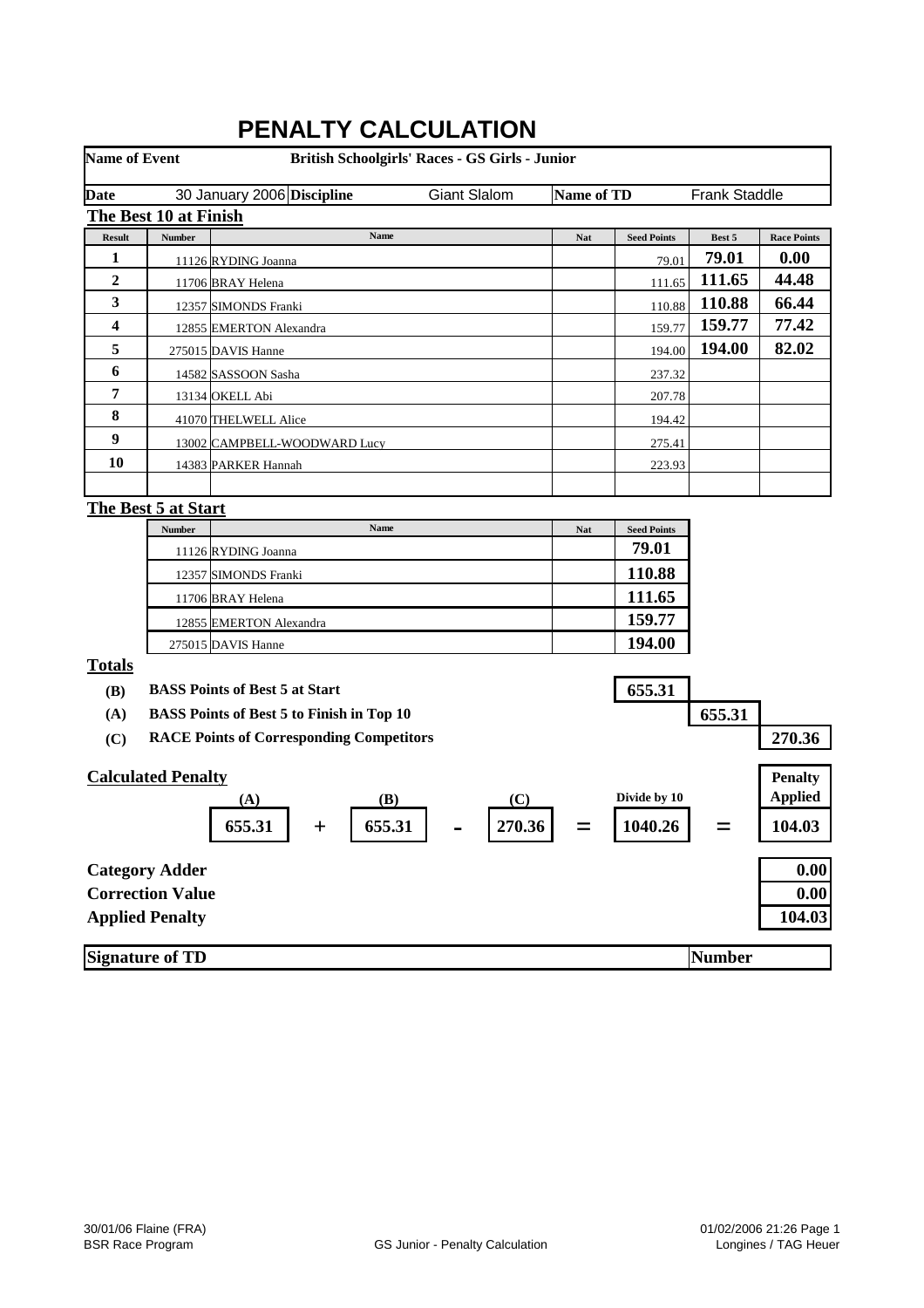| <b>Name of Event</b> |                           | British Schoolgirls' Races - GS Girls - Junior   |                     |                   |                    |                      |                    |
|----------------------|---------------------------|--------------------------------------------------|---------------------|-------------------|--------------------|----------------------|--------------------|
| <b>Date</b>          |                           | 30 January 2006 Discipline                       | <b>Giant Slalom</b> | <b>Name of TD</b> |                    | <b>Frank Staddle</b> |                    |
|                      | The Best 10 at Finish     |                                                  |                     |                   |                    |                      |                    |
| <b>Result</b>        | <b>Number</b>             | Name                                             |                     | Nat               | <b>Seed Points</b> | Best 5               | <b>Race Points</b> |
| 1                    |                           | 11126 RYDING Joanna                              |                     |                   | 79.01              | 79.01                | 0.00               |
| $\boldsymbol{2}$     |                           | 11706 BRAY Helena                                |                     |                   | 111.65             | 111.65               | 44.48              |
| 3                    |                           | 12357 SIMONDS Franki                             |                     |                   | 110.88             | 110.88               | 66.44              |
| 4                    |                           | 12855 EMERTON Alexandra                          |                     |                   | 159.77             | 159.77               | 77.42              |
| 5                    |                           | 275015 DAVIS Hanne                               |                     |                   | 194.00             | 194.00               | 82.02              |
| 6                    |                           | 14582 SASSOON Sasha                              |                     |                   | 237.32             |                      |                    |
| 7                    |                           | 13134 OKELL Abi                                  |                     |                   | 207.78             |                      |                    |
| 8                    |                           | 41070 THELWELL Alice                             |                     |                   | 194.42             |                      |                    |
| 9                    |                           | 13002 CAMPBELL-WOODWARD Lucy                     |                     |                   | 275.41             |                      |                    |
| 10                   |                           | 14383 PARKER Hannah                              |                     |                   | 223.93             |                      |                    |
|                      |                           |                                                  |                     |                   |                    |                      |                    |
|                      | The Best 5 at Start       |                                                  |                     |                   |                    |                      |                    |
|                      | <b>Number</b>             | Name                                             |                     | <b>Nat</b>        | <b>Seed Points</b> |                      |                    |
|                      |                           | 11126 RYDING Joanna                              |                     |                   | 79.01              |                      |                    |
|                      |                           | 12357 SIMONDS Franki                             |                     |                   | 110.88             |                      |                    |
|                      |                           | 11706 BRAY Helena                                |                     |                   | 111.65             |                      |                    |
|                      |                           | 12855 EMERTON Alexandra                          |                     |                   | 159.77             |                      |                    |
|                      |                           | 275015 DAVIS Hanne                               |                     |                   | 194.00             |                      |                    |
| <b>Totals</b>        |                           |                                                  |                     |                   |                    |                      |                    |
| (B)                  |                           | <b>BASS Points of Best 5 at Start</b>            |                     |                   | 655.31             |                      |                    |
| (A)                  |                           | <b>BASS Points of Best 5 to Finish in Top 10</b> |                     |                   |                    | 655.31               |                    |
| (C)                  |                           | <b>RACE Points of Corresponding Competitors</b>  |                     |                   |                    |                      | 270.36             |
|                      |                           |                                                  |                     |                   |                    |                      |                    |
|                      | <b>Calculated Penalty</b> |                                                  |                     |                   |                    |                      | <b>Penalty</b>     |
|                      |                           | (B)<br>(A)                                       | (C)                 |                   | Divide by 10       |                      | <b>Applied</b>     |
|                      |                           | 655.31<br>655.31<br>$+$                          | 270.36              |                   | 1040.26            |                      | 104.03             |
|                      | <b>Category Adder</b>     |                                                  |                     |                   |                    |                      | 0.00               |
|                      | <b>Correction Value</b>   |                                                  |                     |                   |                    |                      | 0.00               |
|                      | <b>Applied Penalty</b>    |                                                  |                     |                   |                    |                      | 104.03             |
|                      |                           |                                                  |                     |                   |                    |                      |                    |
|                      | <b>Signature of TD</b>    |                                                  |                     |                   |                    | Number               |                    |

# **PENALTY CALCULATION**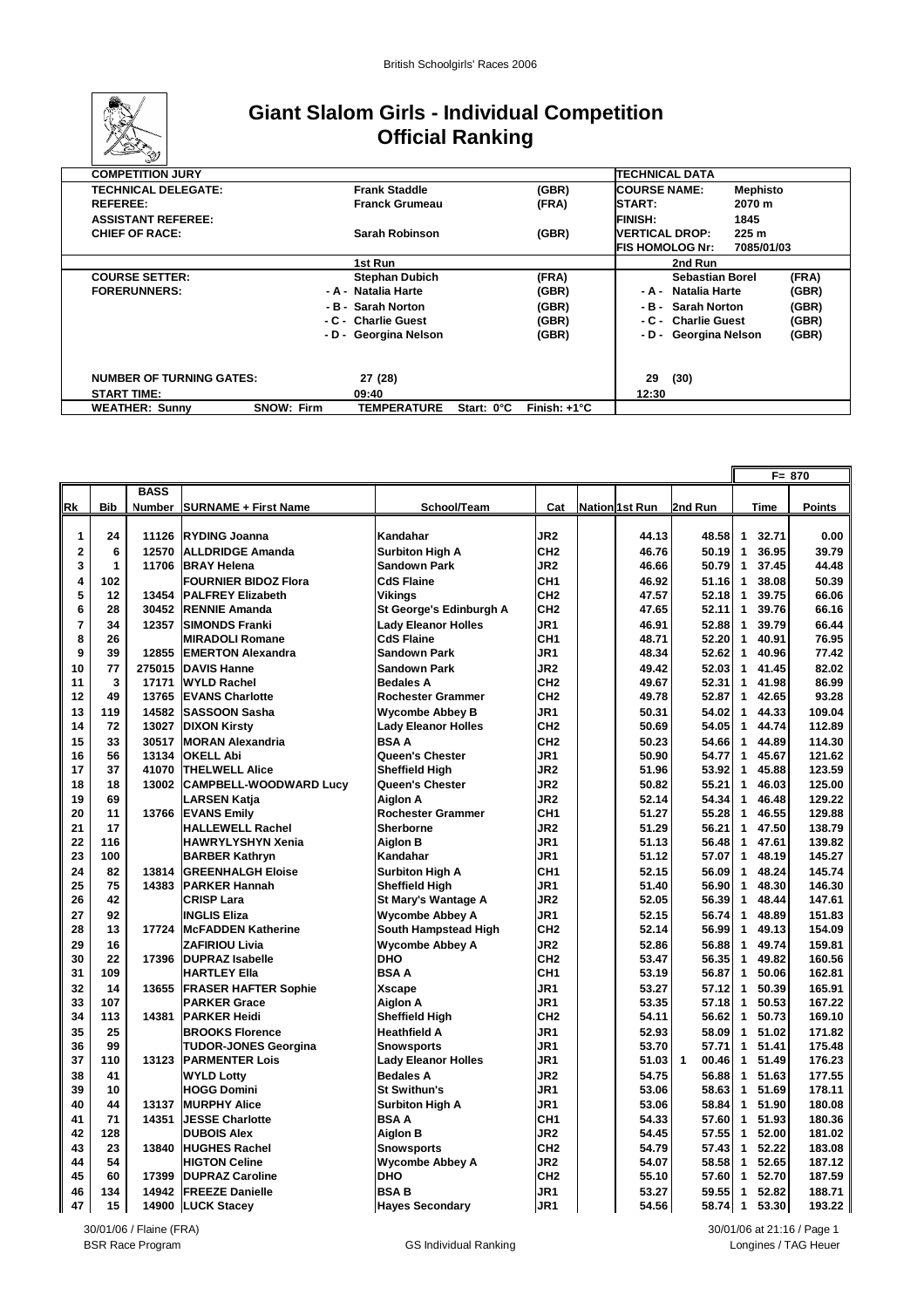

### **Giant Slalom Girls - Individual Competition Official Ranking**

|                    | <b>COMPETITION JURY</b>         |                   |                       |            |                       | <b>TECHNICAL DATA</b>   |                       |                  |       |
|--------------------|---------------------------------|-------------------|-----------------------|------------|-----------------------|-------------------------|-----------------------|------------------|-------|
|                    | <b>TECHNICAL DELEGATE:</b>      |                   | <b>Frank Staddle</b>  |            | (GBR)                 | <b>COURSE NAME:</b>     |                       | <b>Mephisto</b>  |       |
| <b>REFEREE:</b>    |                                 |                   | <b>Franck Grumeau</b> |            | (FRA)                 | <b>START:</b>           |                       | 2070 m           |       |
|                    | <b>ASSISTANT REFEREE:</b>       |                   |                       |            |                       | <b>FINISH:</b>          |                       | 1845             |       |
|                    | <b>CHIEF OF RACE:</b>           |                   | Sarah Robinson        |            | (GBR)                 | <b>VERTICAL DROP:</b>   |                       | 225 <sub>m</sub> |       |
|                    |                                 |                   |                       |            |                       | <b>IFIS HOMOLOG Nr:</b> |                       | 7085/01/03       |       |
|                    |                                 |                   | 1st Run               |            |                       |                         | 2nd Run               |                  |       |
|                    | <b>COURSE SETTER:</b>           |                   | <b>Stephan Dubich</b> |            | (FRA)                 |                         | Sebastian Borel       |                  | (FRA) |
|                    | <b>FORERUNNERS:</b>             |                   | - A - Natalia Harte   |            | (GBR)                 |                         | - A - Natalia Harte   |                  | (GBR) |
|                    |                                 |                   | - B - Sarah Norton    |            | (GBR)                 |                         | - B - Sarah Norton    |                  | (GBR) |
|                    |                                 |                   | - C - Charlie Guest   |            | (GBR)                 |                         | - C - Charlie Guest   |                  | (GBR) |
|                    |                                 |                   | - D - Georgina Nelson |            | (GBR)                 |                         | - D - Georgina Nelson |                  | (GBR) |
|                    |                                 |                   |                       |            |                       |                         |                       |                  |       |
|                    |                                 |                   |                       |            |                       |                         |                       |                  |       |
|                    | <b>NUMBER OF TURNING GATES:</b> |                   | 27 (28)               |            |                       | 29                      | (30)                  |                  |       |
| <b>START TIME:</b> |                                 |                   | 09:40                 |            |                       | 12:30                   |                       |                  |       |
|                    | <b>WEATHER: Sunny</b>           | <b>SNOW: Firm</b> | <b>TEMPERATURE</b>    | Start: 0°C | Finish: $+1^{\circ}C$ |                         |                       |                  |       |

|                |              |             |                               |                            |                 |                       |                       |                |             | F= 870        |
|----------------|--------------|-------------|-------------------------------|----------------------------|-----------------|-----------------------|-----------------------|----------------|-------------|---------------|
|                |              | <b>BASS</b> |                               |                            |                 |                       |                       |                |             |               |
| Rk             | <b>Bib</b>   |             | Number SURNAME + First Name   | School/Team                | Cat             | <b>Nation 1st Run</b> | 2nd Run               |                | <b>Time</b> | <b>Points</b> |
|                |              |             |                               |                            |                 |                       |                       |                |             |               |
| $\mathbf{1}$   | 24           | 11126       | <b>RYDING Joanna</b>          | Kandahar                   | JR <sub>2</sub> | 44.13                 | 48.58                 | 1              | 32.71       | 0.00          |
| $\mathbf 2$    | 6            | 12570       | <b>ALLDRIDGE Amanda</b>       | <b>Surbiton High A</b>     | CH <sub>2</sub> | 46.76                 | 50.19                 | 1              | 36.95       | 39.79         |
| 3              | $\mathbf{1}$ | 11706       | <b>BRAY Helena</b>            | <b>Sandown Park</b>        | JR <sub>2</sub> | 46.66                 | 50.79                 | $\overline{1}$ | 37.45       | 44.48         |
| 4              | 102          |             | <b>FOURNIER BIDOZ Flora</b>   | <b>CdS Flaine</b>          | CH <sub>1</sub> | 46.92                 | 51.16                 | $\mathbf{1}$   | 38.08       | 50.39         |
| 5              | 12           | 13454       | <b>PALFREY Elizabeth</b>      | <b>Vikings</b>             | CH <sub>2</sub> | 47.57                 | $52.18$ 1             |                | 39.75       | 66.06         |
| 6              | 28           | 30452       | <b>RENNIE Amanda</b>          | St George's Edinburgh A    | CH <sub>2</sub> | 47.65                 | 52.11                 | 1              | 39.76       | 66.16         |
| $\overline{7}$ | 34           | 12357       | <b>SIMONDS Franki</b>         | <b>Lady Eleanor Holles</b> | JR <sub>1</sub> | 46.91                 | 52.88                 | $\mathbf{1}$   | 39.79       | 66.44         |
| 8              | 26           |             | <b>MIRADOLI Romane</b>        | <b>CdS Flaine</b>          | CH <sub>1</sub> | 48.71                 | 52.20                 | 1              | 40.91       | 76.95         |
| 9              | 39           | 12855       | <b>EMERTON Alexandra</b>      | <b>Sandown Park</b>        | JR1             | 48.34                 | 52.62                 | 1              | 40.96       | 77.42         |
| 10             | 77           | 275015      | <b>DAVIS Hanne</b>            | <b>Sandown Park</b>        | JR <sub>2</sub> | 49.42                 | 52.03                 | $\mathbf{1}$   | 41.45       | 82.02         |
| 11             | 3            | 17171       | <b>WYLD Rachel</b>            | <b>Bedales A</b>           | CH <sub>2</sub> | 49.67                 | 52.31                 | 1              | 41.98       | 86.99         |
| 12             | 49           | 13765       | <b>EVANS Charlotte</b>        | <b>Rochester Grammer</b>   | CH <sub>2</sub> | 49.78                 | 52.87                 | 1              | 42.65       | 93.28         |
| 13             | 119          | 14582       | <b>SASSOON Sasha</b>          | <b>Wycombe Abbey B</b>     | JR1             | 50.31                 | 54.02                 | $\mathbf{1}$   | 44.33       | 109.04        |
| 14             | 72           | 13027       | <b>DIXON Kirsty</b>           | <b>Lady Eleanor Holles</b> | CH <sub>2</sub> | 50.69                 | 54.05                 | $\mathbf{1}$   | 44.74       | 112.89        |
| 15             | 33           | 30517       | <b>MORAN Alexandria</b>       | <b>BSAA</b>                | CH <sub>2</sub> | 50.23                 | 54.66                 | $\mathbf{1}$   | 44.89       | 114.30        |
| 16             | 56           | 13134       | <b>OKELL Abi</b>              | Queen's Chester            | JR1             | 50.90                 | 54.77                 | $\mathbf{1}$   | 45.67       | 121.62        |
| 17             | 37           | 41070       | <b>THELWELL Alice</b>         | <b>Sheffield High</b>      | JR <sub>2</sub> | 51.96                 | 53.92                 | $\mathbf{1}$   | 45.88       | 123.59        |
| 18             | 18           | 13002       | <b>CAMPBELL-WOODWARD Lucy</b> | Queen's Chester            | JR <sub>2</sub> | 50.82                 | 55.21                 | $\mathbf{1}$   | 46.03       | 125.00        |
| 19             | 69           |             | <b>LARSEN Katja</b>           | Aiglon A                   | JR <sub>2</sub> | 52.14                 | 54.34                 | 1              | 46.48       | 129.22        |
| 20             | 11           | 13766       | <b>EVANS Emily</b>            | <b>Rochester Grammer</b>   | CH <sub>1</sub> | 51.27                 | 55.28                 | 1              | 46.55       | 129.88        |
| 21             | 17           |             | <b>HALLEWELL Rachel</b>       | <b>Sherborne</b>           | JR <sub>2</sub> | 51.29                 | 56.21                 | 1              | 47.50       | 138.79        |
| 22             | 116          |             | <b>HAWRYLYSHYN Xenia</b>      | <b>Aiglon B</b>            | JR1             | 51.13                 | 56.48                 | $\mathbf{1}$   | 47.61       | 139.82        |
| 23             | 100          |             | <b>BARBER Kathryn</b>         | Kandahar                   | JR1             | 51.12                 | 57.07                 | $\mathbf{1}$   | 48.19       | 145.27        |
| 24             | 82           | 13814       | <b>GREENHALGH Eloise</b>      | <b>Surbiton High A</b>     | CH <sub>1</sub> | 52.15                 | 56.09                 | $\mathbf{1}$   | 48.24       | 145.74        |
| 25             | 75           | 14383       | <b>PARKER Hannah</b>          | <b>Sheffield High</b>      | JR1             | 51.40                 | 56.90                 | $\mathbf{1}$   | 48.30       | 146.30        |
| 26             | 42           |             | <b>CRISP Lara</b>             | St Mary's Wantage A        | JR <sub>2</sub> | 52.05                 | 56.39                 | $\mathbf{1}$   | 48.44       | 147.61        |
| 27             | 92           |             | <b>INGLIS Eliza</b>           | <b>Wycombe Abbey A</b>     | JR <sub>1</sub> | 52.15                 | 56.74                 | $\mathbf{1}$   | 48.89       | 151.83        |
| 28             | 13           | 17724       | <b>McFADDEN Katherine</b>     | South Hampstead High       | CH <sub>2</sub> | 52.14                 | 56.99                 | $\mathbf{1}$   | 49.13       | 154.09        |
| 29             | 16           |             | <b>ZAFIRIOU Livia</b>         | <b>Wycombe Abbey A</b>     | JR <sub>2</sub> | 52.86                 | 56.88                 | 1              | 49.74       | 159.81        |
| 30             | 22           | 17396       | <b>DUPRAZ Isabelle</b>        | <b>DHO</b>                 | CH <sub>2</sub> | 53.47                 | 56.35                 | 1              | 49.82       | 160.56        |
| 31             | 109          |             | <b>HARTLEY Ella</b>           | <b>BSAA</b>                | CH <sub>1</sub> | 53.19                 | 56.87                 | 1              | 50.06       | 162.81        |
| 32             | 14           | 13655       | <b>FRASER HAFTER Sophie</b>   | <b>Xscape</b>              | JR1             | 53.27                 | 57.12                 | $\mathbf{1}$   | 50.39       | 165.91        |
| 33             | 107          |             | <b>PARKER Grace</b>           | <b>Aiglon A</b>            | JR <sub>1</sub> | 53.35                 | 57.18                 | $\mathbf{1}$   | 50.53       | 167.22        |
| 34             | 113          | 14381       | <b>PARKER Heidi</b>           | <b>Sheffield High</b>      | CH <sub>2</sub> | 54.11                 | 56.62                 | $\mathbf{1}$   | 50.73       | 169.10        |
| 35             | 25           |             | <b>BROOKS Florence</b>        | <b>Heathfield A</b>        | JR1             | 52.93                 | 58.09                 | $\mathbf{1}$   | 51.02       | 171.82        |
| 36             | 99           |             | <b>TUDOR-JONES Georgina</b>   | <b>Snowsports</b>          | JR <sub>1</sub> | 53.70                 | 57.71                 | $\mathbf{1}$   | 51.41       | 175.48        |
| 37             | 110          | 13123       | <b>PARMENTER Lois</b>         | <b>Lady Eleanor Holles</b> | JR1             | 51.03                 | $\mathbf{1}$<br>00.46 | $\mathbf{1}$   | 51.49       | 176.23        |
| 38             | 41           |             | <b>WYLD Lotty</b>             | <b>Bedales A</b>           | JR <sub>2</sub> | 54.75                 | 56.88                 | $\mathbf{1}$   | 51.63       | 177.55        |
| 39             | 10           |             | <b>HOGG Domini</b>            | <b>St Swithun's</b>        | JR1             | 53.06                 | 58.63                 | $\mathbf{1}$   | 51.69       | 178.11        |
| 40             | 44           | 13137       | <b>MURPHY Alice</b>           | <b>Surbiton High A</b>     | JR <sub>1</sub> | 53.06                 | 58.84                 | $\mathbf{1}$   | 51.90       | 180.08        |
| 41             | 71           | 14351       | JESSE Charlotte               | <b>BSAA</b>                | CH <sub>1</sub> | 54.33                 | 57.60                 | $\mathbf{1}$   | 51.93       | 180.36        |
| 42             | 128          |             | <b>DUBOIS Alex</b>            | <b>Aiglon B</b>            | JR <sub>2</sub> | 54.45                 | 57.55                 | $\mathbf{1}$   | 52.00       | 181.02        |
| 43             | 23           | 13840       | <b>HUGHES Rachel</b>          | <b>Snowsports</b>          | CH <sub>2</sub> | 54.79                 | 57.43                 | $\mathbf{1}$   | 52.22       | 183.08        |
| 44<br>45       | 54<br>60     |             | <b>HIGTON Celine</b>          | <b>Wycombe Abbey A</b>     | JR <sub>2</sub> | 54.07                 | 58.58                 | $\mathbf{1}$   | 52.65       | 187.12        |
|                |              | 17399       | <b>DUPRAZ Caroline</b>        | <b>DHO</b>                 | CH <sub>2</sub> | 55.10                 | 57.60                 | $\mathbf{1}$   | 52.70       | 187.59        |
| 46             | 134          | 14942       | <b>FREEZE Danielle</b>        | <b>BSAB</b>                | JR <sub>1</sub> | 53.27                 | 59.55                 | 1              | 52.82       | 188.71        |
| 47             | 15           |             | 14900 LUCK Stacey             | <b>Hayes Secondary</b>     | JR <sub>1</sub> | 54.56                 | 58.74 1               |                | 53.30       | 193.22        |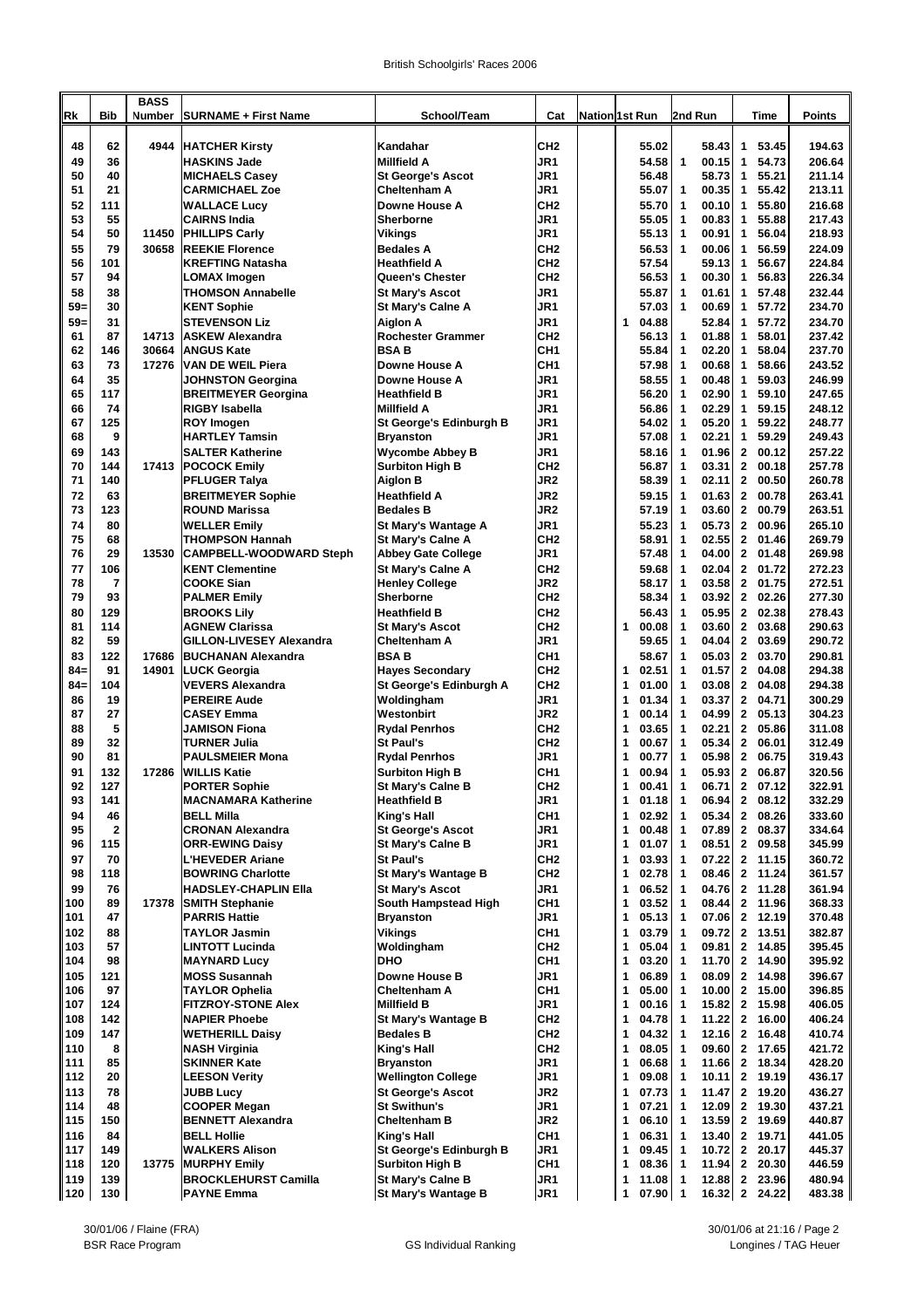| <b>Nation 1st Run</b><br>48<br>62<br>Kandahar<br>CH <sub>2</sub><br>55.02<br>53.45<br>194.63<br>4944<br><b>HATCHER Kirsty</b><br>58.43<br>1<br>49<br>36<br>JR1<br>54.73<br>206.64<br><b>HASKINS Jade</b><br><b>Millfield A</b><br>54.58<br>$\mathbf{1}$<br>00.15<br>1<br>50<br>40<br>JR1<br>56.48<br>58.73<br>1<br>55.21<br>211.14<br><b>MICHAELS Casey</b><br><b>St George's Ascot</b><br>51<br>21<br><b>Cheltenham A</b><br>JR1<br>55.07<br>00.35<br>55.42<br>213.11<br><b>CARMICHAEL Zoe</b><br>$\mathbf 1$<br>1<br>52<br>111<br>Downe House A<br>CH <sub>2</sub><br>$\mathbf{1}$<br>00.10<br>$\mathbf{1}$<br>55.80<br>216.68<br><b>WALLACE Lucy</b><br>55.70<br>53<br>55<br>JR1<br>00.83<br>1<br>55.88<br>217.43<br><b>CAIRNS India</b><br>Sherborne<br>55.05<br>$\mathbf 1$<br>54<br>50<br>JR1<br>00.91<br>$\mathbf{1}$<br>56.04<br>218.93<br>11450<br><b>PHILLIPS Carly</b><br>Vikings<br>55.13<br>$\mathbf 1$<br>55<br>79<br>224.09<br>30658<br><b>REEKIE Florence</b><br><b>Bedales A</b><br>CH <sub>2</sub><br>56.53<br>00.06<br>1<br>56.59<br>$\mathbf 1$<br>56<br>56.67<br>101<br>CH <sub>2</sub><br>57.54<br>59.13<br>224.84<br><b>IKREFTING Natasha</b><br><b>Heathfield A</b><br>1<br>57<br>94<br>00.30<br>226.34<br>CH <sub>2</sub><br>56.53<br>56.83<br><b>LOMAX Imogen</b><br>Queen's Chester<br>$\overline{\mathbf{1}}$<br>1<br>58<br>38<br>57.48<br>232.44<br><b>THOMSON Annabelle</b><br>JR1<br>55.87<br>01.61<br><b>St Mary's Ascot</b><br>$\mathbf 1$<br>1<br>$59=$<br>30<br><b>KENT Sophie</b><br>JR1<br>57.03<br>00.69<br>1<br>57.72<br>234.70<br>St Mary's Calne A<br>$\mathbf 1$<br>59=<br>31<br><b>Aiglon A</b><br>JR1<br>04.88<br>52.84<br>1<br>57.72<br>234.70<br><b>STEVENSON Liz</b><br>1<br>61<br>87<br><b>Rochester Grammer</b><br>CH <sub>2</sub><br>01.88<br>$\mathbf{1}$<br>58.01<br>237.42<br>14713<br><b>ASKEW Alexandra</b><br>56.13<br>1<br>62<br>146<br>30664<br><b>ANGUS Kate</b><br><b>BSAB</b><br>CH <sub>1</sub><br>55.84<br>02.20<br>1<br>58.04<br>237.70<br>$\mathbf{1}$<br>63<br>73<br>Downe House A<br>CH <sub>1</sub><br>00.68<br>1<br>58.66<br>243.52<br>17276<br>VAN DE WEIL Piera<br>57.98<br>$\mathbf 1$<br>64<br>35<br>59.03<br>246.99<br>Downe House A<br>JR1<br>58.55<br>00.48<br>1<br>JOHNSTON Georgina<br>$\mathbf 1$<br>65<br>117<br>JR1<br>02.90<br>59.10<br>247.65<br><b>BREITMEYER Georgina</b><br><b>Heathfield B</b><br>56.20<br>$\mathbf 1$<br>1<br>66<br>02.29<br>74<br><b>RIGBY Isabella</b><br><b>Millfield A</b><br>JR1<br>56.86<br>1<br>59.15<br>248.12<br>$\overline{\mathbf{1}}$<br>67<br>125<br>05.20<br>248.77<br>JR1<br>1<br>59.22<br><b>ROY Imogen</b><br>St George's Edinburgh B<br>54.02<br>$\mathbf 1$<br>68<br>9<br>JR1<br>02.21<br>1<br>59.29<br>249.43<br><b>HARTLEY Tamsin</b><br><b>Bryanston</b><br>57.08<br>$\mathbf 1$<br>69<br>143<br><b>SALTER Katherine</b><br><b>Wycombe Abbey B</b><br>JR1<br>01.96<br>$\mathbf{2}$<br>00.12<br>257.22<br>58.16<br>$\mathbf 1$<br>70<br>144<br>17413<br><b>POCOCK Emily</b><br><b>Surbiton High B</b><br>CH <sub>2</sub><br>03.31<br>$\mathbf{2}$<br>00.18<br>257.78<br>56.87<br>1<br>71<br>140<br>JR2<br>58.39<br>02.11<br>$\mathbf{2}$<br>00.50<br>260.78<br><b>PFLUGER Talya</b><br>Aiglon B<br>$\mathbf{1}$<br>72<br>63<br><b>Heathfield A</b><br>JR2<br>01.63<br>$\mathbf{2}$<br>00.78<br>263.41<br><b>BREITMEYER Sophie</b><br>59.15<br>$\mathbf 1$<br>73<br>00.79<br>123<br><b>Bedales B</b><br>JR2<br>03.60<br>$\mathbf{2}$<br>263.51<br><b>ROUND Marissa</b><br>57.19<br>$\mathbf{1}$<br>80<br>05.73<br>00.96<br>265.10<br>74<br>JR1<br>55.23<br>$\mathbf{2}$<br><b>WELLER Emily</b><br>St Mary's Wantage A<br>$\mathbf 1$<br>75<br>68<br><b>THOMPSON Hannah</b><br>CH <sub>2</sub><br>58.91<br>02.55<br>$\mathbf{2}$<br>01.46<br>269.79<br>St Mary's Calne A<br>$\mathbf 1$<br>29<br>76<br>13530<br>JR1<br>57.48<br>04.00<br>$\mathbf{2}$<br>01.48<br>269.98<br>CAMPBELL-WOODWARD Steph<br><b>Abbey Gate College</b><br>$\mathbf 1$<br>02.04<br>77<br>106<br><b>KENT Clementine</b><br>St Mary's Calne A<br>CH <sub>2</sub><br>59.68<br>$\mathbf{2}$<br>01.72<br>272.23<br>$\mathbf 1$<br>78<br>$\overline{7}$<br><b>COOKE Sian</b><br>JR2<br>03.58<br>$\mathbf{2}$<br>01.75<br>272.51<br><b>Henley College</b><br>58.17<br>$\mathbf 1$<br>79<br>93<br>CH <sub>2</sub><br>58.34<br>03.92<br>$\mathbf{2}$<br>02.26<br>277.30<br>Sherborne<br>$\mathbf 1$<br><b>PALMER Emily</b><br>CH <sub>2</sub><br>05.95<br>$\mathbf{2}$<br>80<br>129<br>56.43<br>02.38<br>278.43<br><b>BROOKS Lily</b><br><b>Heathfield B</b><br>$\mathbf 1$<br>03.68<br>81<br>114<br>CH <sub>2</sub><br>00.08<br>03.60<br>$\mathbf{2}$<br>290.63<br><b>AGNEW Clarissa</b><br><b>St Mary's Ascot</b><br>1<br>$\mathbf 1$<br>82<br>59<br><b>GILLON-LIVESEY Alexandra</b><br>JR1<br>59.65<br>04.04<br>$\mathbf{2}$<br>03.69<br>290.72<br><b>Cheltenham A</b><br>$\mathbf 1$<br>83<br>122<br><b>BSAB</b><br>CH <sub>1</sub><br>05.03<br>03.70<br>290.81<br>17686<br><b>BUCHANAN Alexandra</b><br>58.67<br>$\mathbf{2}$<br>$\mathbf 1$<br>$84-$<br>91<br>14901<br><b>Hayes Secondary</b><br>CH <sub>2</sub><br>02.51<br>01.57<br>$\mathbf{2}$<br>04.08<br>294.38<br>LUCK Georgia<br>1<br>$\mathbf 1$<br>294.38<br>$84 -$<br>104<br><b>VEVERS Alexandra</b><br>St George's Edinburgh A<br>CH <sub>2</sub><br>1<br>01.00<br>$\mathbf{1}$<br>03.08<br>$\mathbf{2}$<br>04.08<br>86<br>19<br>JR1<br>1<br>01.34<br>03.37<br>2 04.71<br>300.29<br><b>PEREIRE Aude</b><br>Woldingham<br>$\mathbf 1$<br>87<br>27<br>Westonbirt<br>JR2<br>00.14<br>04.99<br>$\mathbf{2}$<br>05.13<br>304.23<br><b>CASEY Emma</b><br>1<br>$\overline{1}$<br>5<br>02.21<br>05.86<br>88<br>CH <sub>2</sub><br>03.65<br>$\mathbf{2}$<br>311.08<br><b>JAMISON Fiona</b><br><b>Rydal Penrhos</b><br>1<br>$\mathbf 1$<br>00.67<br>05.34<br>06.01<br>89<br>32<br><b>St Paul's</b><br>CH <sub>2</sub><br>$\mathbf{2}$<br>312.49<br>TURNER Julia<br>1<br>$\mathbf{1}$<br>90<br>81<br>JR1<br>00.77<br>05.98<br>$\mathbf{2}$<br>06.75<br>319.43<br><b>PAULSMEIER Mona</b><br><b>Rydal Penrhos</b><br>1<br>$\mathbf 1$<br>91<br>132<br>CH <sub>1</sub><br>05.93<br>320.56<br>17286<br><b>WILLIS Katie</b><br>00.94<br>$\mathbf{1}$<br>$\mathbf{2}$<br>06.87<br><b>Surbiton High B</b><br>1<br>92<br>127<br>PORTER Sophie<br>CH <sub>2</sub><br>06.71<br>2 07.12<br>322.91<br>St Mary's Calne B<br>1<br>00.41<br>$\mathbf{1}$<br>93<br>JR <sub>1</sub><br>2 08.12<br>332.29<br>141<br><b>MACNAMARA Katherine</b><br>1<br>01.18<br>$\mathbf{1}$<br>06.94<br>Heathfield B<br>94<br>333.60<br>46<br><b>BELL Milla</b><br>King's Hall<br>CH <sub>1</sub><br>1<br>02.92<br>05.34<br>2 08.26<br>1<br>95<br>JR1<br>00.48<br>07.89<br>334.64<br>2<br><b>CRONAN Alexandra</b><br><b>St George's Ascot</b><br>1<br>1<br>$\mathbf{2}$<br>08.37<br>96<br>JR1<br>08.51<br>345.99<br>115<br><b>ORR-EWING Daisy</b><br><b>St Mary's Calne B</b><br>1<br>01.07<br>1<br>$\mathbf{2}$<br>09.58<br>97<br>70<br>CH <sub>2</sub><br>03.93<br>07.22<br>2 11.15<br>360.72<br><b>L'HEVEDER Ariane</b><br>St Paul's<br>1<br>$\mathbf 1$<br>98<br>CH <sub>2</sub><br>02.78<br>08.46<br>2 11.24<br>361.57<br>118<br><b>BOWRING Charlotte</b><br>St Mary's Wantage B<br>1<br>$\mathbf 1$<br>99<br>76<br><b>St Mary's Ascot</b><br>JR1<br>06.52<br>04.76<br>2 11.28<br>361.94<br><b>HADSLEY-CHAPLIN Ella</b><br>1<br>-1<br>100<br>89<br>CH <sub>1</sub><br>03.52<br>08.44<br>368.33<br>17378<br><b>SMITH Stephanie</b><br>South Hampstead High<br>1<br>2 11.96<br>-1<br>47<br>JR1<br>05.13<br>370.48<br>101<br><b>PARRIS Hattie</b><br><b>Bryanston</b><br>1<br>07.06<br>2 12.19<br>$\mathbf 1$<br>102<br><b>TAYLOR Jasmin</b><br>CH <sub>1</sub><br>1<br>03.79<br>09.72<br>2 13.51<br>382.87<br>88<br>Vikings<br>1<br>103<br>57<br>CH <sub>2</sub><br>05.04<br>395.45<br><b>LINTOTT Lucinda</b><br>Woldingham<br>1<br>1<br>09.81<br>2 14.85<br>DHO<br>CH <sub>1</sub><br>395.92<br>104<br>98<br><b>MAYNARD Lucy</b><br>1<br>03.20<br>11.70<br>2 14.90<br>$\mathbf 1$<br>396.67<br>105<br><b>MOSS Susannah</b><br>JR1<br>06.89<br>08.09<br>2 14.98<br>121<br>Downe House B<br>1<br>-1<br>97<br>CH <sub>1</sub><br>05.00<br>10.00<br>2 15.00<br>396.85<br>106<br><b>TAYLOR Ophelia</b><br><b>Cheltenham A</b><br>1<br>-1<br>107<br>JR1<br>00.16<br>15.82<br>406.05<br>124<br><b>FITZROY-STONE Alex</b><br><b>Millfield B</b><br>1<br>2 15.98<br>$\overline{\mathbf{1}}$<br>406.24<br>108<br>142<br><b>NAPIER Phoebe</b><br>CH <sub>2</sub><br>1<br>04.78<br>11.22<br>2 16.00<br>St Mary's Wantage B<br>-1<br>109<br>147<br>CH <sub>2</sub><br>1<br>410.74<br><b>WETHERILL Daisy</b><br><b>Bedales B</b><br>04.32<br>12.16<br>2 16.48<br>$\mathbf 1$<br>CH <sub>2</sub><br>421.72<br>110<br>8<br><b>NASH Virginia</b><br>1<br>08.05<br>09.60<br>2 17.65<br>King's Hall<br>-1<br>111<br>85<br><b>SKINNER Kate</b><br>JR1<br>1<br>06.68<br>11.66<br>2 18.34<br>428.20<br><b>Bryanston</b><br>1<br>112<br>JR1<br>09.08<br>2 19.19<br>436.17<br>20<br><b>LEESON Verity</b><br><b>Wellington College</b><br>1<br>10.11<br>$\mathbf 1$<br>113<br>78<br>JR2<br>07.73<br>11.47<br>2 19.20<br>436.27<br><b>JUBB Lucy</b><br><b>St George's Ascot</b><br>1<br>$\mathbf 1$<br>114<br>JR1<br>07.21<br>12.09<br>2 19.30<br>437.21<br>48<br>COOPER Megan<br><b>St Swithun's</b><br>1<br>$\mathbf 1$<br>115<br>06.10<br>13.59<br>2 19.69<br>440.87<br>150<br><b>BENNETT Alexandra</b><br><b>Cheltenham B</b><br>JR2<br>1<br>$\blacksquare$<br>116<br>84<br>CH <sub>1</sub><br>1<br>06.31<br>13.40<br>2 19.71<br>441.05<br><b>BELL Hollie</b><br>King's Hall<br>-1<br>117<br>445.37<br>149<br><b>WALKERS Alison</b><br>St George's Edinburgh B<br>JR1<br>1<br>09.45<br>10.72<br>2 20.17<br>$\overline{\mathbf{1}}$<br>118<br>CH <sub>1</sub><br>446.59<br>120<br>13775<br><b>MURPHY Emily</b><br><b>Surbiton High B</b><br>1<br>08.36 1<br>11.94<br>$\mathbf{2}$<br>20.30<br>480.94<br>119<br>139<br><b>BROCKLEHURST Camilla</b><br><b>St Mary's Calne B</b><br>JR1<br>11.08<br>12.88<br>2 23.96<br>1<br>-1<br>120<br>$07.90$ 1<br>16.32 2 24.22<br>483.38<br>130<br><b>PAYNE Emma</b><br>St Mary's Wantage B<br>UR1<br>1 | Rk | <b>Bib</b> | <b>BASS</b><br>Number | <b>SURNAME + First Name</b> | School/Team | Cat |  | 2nd Run | Time | <b>Points</b> |
|------------------------------------------------------------------------------------------------------------------------------------------------------------------------------------------------------------------------------------------------------------------------------------------------------------------------------------------------------------------------------------------------------------------------------------------------------------------------------------------------------------------------------------------------------------------------------------------------------------------------------------------------------------------------------------------------------------------------------------------------------------------------------------------------------------------------------------------------------------------------------------------------------------------------------------------------------------------------------------------------------------------------------------------------------------------------------------------------------------------------------------------------------------------------------------------------------------------------------------------------------------------------------------------------------------------------------------------------------------------------------------------------------------------------------------------------------------------------------------------------------------------------------------------------------------------------------------------------------------------------------------------------------------------------------------------------------------------------------------------------------------------------------------------------------------------------------------------------------------------------------------------------------------------------------------------------------------------------------------------------------------------------------------------------------------------------------------------------------------------------------------------------------------------------------------------------------------------------------------------------------------------------------------------------------------------------------------------------------------------------------------------------------------------------------------------------------------------------------------------------------------------------------------------------------------------------------------------------------------------------------------------------------------------------------------------------------------------------------------------------------------------------------------------------------------------------------------------------------------------------------------------------------------------------------------------------------------------------------------------------------------------------------------------------------------------------------------------------------------------------------------------------------------------------------------------------------------------------------------------------------------------------------------------------------------------------------------------------------------------------------------------------------------------------------------------------------------------------------------------------------------------------------------------------------------------------------------------------------------------------------------------------------------------------------------------------------------------------------------------------------------------------------------------------------------------------------------------------------------------------------------------------------------------------------------------------------------------------------------------------------------------------------------------------------------------------------------------------------------------------------------------------------------------------------------------------------------------------------------------------------------------------------------------------------------------------------------------------------------------------------------------------------------------------------------------------------------------------------------------------------------------------------------------------------------------------------------------------------------------------------------------------------------------------------------------------------------------------------------------------------------------------------------------------------------------------------------------------------------------------------------------------------------------------------------------------------------------------------------------------------------------------------------------------------------------------------------------------------------------------------------------------------------------------------------------------------------------------------------------------------------------------------------------------------------------------------------------------------------------------------------------------------------------------------------------------------------------------------------------------------------------------------------------------------------------------------------------------------------------------------------------------------------------------------------------------------------------------------------------------------------------------------------------------------------------------------------------------------------------------------------------------------------------------------------------------------------------------------------------------------------------------------------------------------------------------------------------------------------------------------------------------------------------------------------------------------------------------------------------------------------------------------------------------------------------------------------------------------------------------------------------------------------------------------------------------------------------------------------------------------------------------------------------------------------------------------------------------------------------------------------------------------------------------------------------------------------------------------------------------------------------------------------------------------------------------------------------------------------------------------------------------------------------------------------------------------------------------------------------------------------------------------------------------------------------------------------------------------------------------------------------------------------------------------------------------------------------------------------------------------------------------------------------------------------------------------------------------------------------------------------------------------------------------------------------------------------------------------------------------------------------------------------------------------------------------------------------------------------------------------------------------------------------------------------------------------------------------------------------------------------------------------------------------------------------------------------------------------------------------------------------------------------------------------------------------------------------------------------------------------------------------------------------------------------------------------------------------------------------------------------------------------------------------------------------------------------------------------------------------------------------------------------------------------------------------------------------------------------------------------------------------------------------------------------------------------------------------------------------------------------------------------------------------------------------------------------------------------------------------------------------------------------------------------------------------------------------------------------------------------------------------------------------------------------------------------------------------------------------------------------------------------------------------------------------------------------------------------------------------------------------------------------------------------------------------------------------------------------------------------------------------------------------------------------------------------------------------------------------------------------------------------------------------------------------------------------------------------------------------------------------------------------------------------------------------------------------------------------------------------------------------------------------------------------------------------------------------------------------------------------------------------------------------------------------------------------------------------------------------------------------------------------------------------------------------------------------------------------------------------------------------------------------------------------------------------------------------------------------------------------------------------------------------------------------------------------------------------------------------------------------|----|------------|-----------------------|-----------------------------|-------------|-----|--|---------|------|---------------|
|                                                                                                                                                                                                                                                                                                                                                                                                                                                                                                                                                                                                                                                                                                                                                                                                                                                                                                                                                                                                                                                                                                                                                                                                                                                                                                                                                                                                                                                                                                                                                                                                                                                                                                                                                                                                                                                                                                                                                                                                                                                                                                                                                                                                                                                                                                                                                                                                                                                                                                                                                                                                                                                                                                                                                                                                                                                                                                                                                                                                                                                                                                                                                                                                                                                                                                                                                                                                                                                                                                                                                                                                                                                                                                                                                                                                                                                                                                                                                                                                                                                                                                                                                                                                                                                                                                                                                                                                                                                                                                                                                                                                                                                                                                                                                                                                                                                                                                                                                                                                                                                                                                                                                                                                                                                                                                                                                                                                                                                                                                                                                                                                                                                                                                                                                                                                                                                                                                                                                                                                                                                                                                                                                                                                                                                                                                                                                                                                                                                                                                                                                                                                                                                                                                                                                                                                                                                                                                                                                                                                                                                                                                                                                                                                                                                                                                                                                                                                                                                                                                                                                                                                                                                                                                                                                                                                                                                                                                                                                                                                                                                                                                                                                                                                                                                                                                                                                                                                                                                                                                                                                                                                                                                                                                                                                                                                                                                                                                                                                                                                                                                                                                                                                                                                                                                                                                                                                                                                                                                                                                                                                                                                                                                                                                                                                                                                                                                                                                                                                                                                                                                                                                                                          |    |            |                       |                             |             |     |  |         |      |               |
|                                                                                                                                                                                                                                                                                                                                                                                                                                                                                                                                                                                                                                                                                                                                                                                                                                                                                                                                                                                                                                                                                                                                                                                                                                                                                                                                                                                                                                                                                                                                                                                                                                                                                                                                                                                                                                                                                                                                                                                                                                                                                                                                                                                                                                                                                                                                                                                                                                                                                                                                                                                                                                                                                                                                                                                                                                                                                                                                                                                                                                                                                                                                                                                                                                                                                                                                                                                                                                                                                                                                                                                                                                                                                                                                                                                                                                                                                                                                                                                                                                                                                                                                                                                                                                                                                                                                                                                                                                                                                                                                                                                                                                                                                                                                                                                                                                                                                                                                                                                                                                                                                                                                                                                                                                                                                                                                                                                                                                                                                                                                                                                                                                                                                                                                                                                                                                                                                                                                                                                                                                                                                                                                                                                                                                                                                                                                                                                                                                                                                                                                                                                                                                                                                                                                                                                                                                                                                                                                                                                                                                                                                                                                                                                                                                                                                                                                                                                                                                                                                                                                                                                                                                                                                                                                                                                                                                                                                                                                                                                                                                                                                                                                                                                                                                                                                                                                                                                                                                                                                                                                                                                                                                                                                                                                                                                                                                                                                                                                                                                                                                                                                                                                                                                                                                                                                                                                                                                                                                                                                                                                                                                                                                                                                                                                                                                                                                                                                                                                                                                                                                                                                                                                          |    |            |                       |                             |             |     |  |         |      |               |
|                                                                                                                                                                                                                                                                                                                                                                                                                                                                                                                                                                                                                                                                                                                                                                                                                                                                                                                                                                                                                                                                                                                                                                                                                                                                                                                                                                                                                                                                                                                                                                                                                                                                                                                                                                                                                                                                                                                                                                                                                                                                                                                                                                                                                                                                                                                                                                                                                                                                                                                                                                                                                                                                                                                                                                                                                                                                                                                                                                                                                                                                                                                                                                                                                                                                                                                                                                                                                                                                                                                                                                                                                                                                                                                                                                                                                                                                                                                                                                                                                                                                                                                                                                                                                                                                                                                                                                                                                                                                                                                                                                                                                                                                                                                                                                                                                                                                                                                                                                                                                                                                                                                                                                                                                                                                                                                                                                                                                                                                                                                                                                                                                                                                                                                                                                                                                                                                                                                                                                                                                                                                                                                                                                                                                                                                                                                                                                                                                                                                                                                                                                                                                                                                                                                                                                                                                                                                                                                                                                                                                                                                                                                                                                                                                                                                                                                                                                                                                                                                                                                                                                                                                                                                                                                                                                                                                                                                                                                                                                                                                                                                                                                                                                                                                                                                                                                                                                                                                                                                                                                                                                                                                                                                                                                                                                                                                                                                                                                                                                                                                                                                                                                                                                                                                                                                                                                                                                                                                                                                                                                                                                                                                                                                                                                                                                                                                                                                                                                                                                                                                                                                                                                                          |    |            |                       |                             |             |     |  |         |      |               |
|                                                                                                                                                                                                                                                                                                                                                                                                                                                                                                                                                                                                                                                                                                                                                                                                                                                                                                                                                                                                                                                                                                                                                                                                                                                                                                                                                                                                                                                                                                                                                                                                                                                                                                                                                                                                                                                                                                                                                                                                                                                                                                                                                                                                                                                                                                                                                                                                                                                                                                                                                                                                                                                                                                                                                                                                                                                                                                                                                                                                                                                                                                                                                                                                                                                                                                                                                                                                                                                                                                                                                                                                                                                                                                                                                                                                                                                                                                                                                                                                                                                                                                                                                                                                                                                                                                                                                                                                                                                                                                                                                                                                                                                                                                                                                                                                                                                                                                                                                                                                                                                                                                                                                                                                                                                                                                                                                                                                                                                                                                                                                                                                                                                                                                                                                                                                                                                                                                                                                                                                                                                                                                                                                                                                                                                                                                                                                                                                                                                                                                                                                                                                                                                                                                                                                                                                                                                                                                                                                                                                                                                                                                                                                                                                                                                                                                                                                                                                                                                                                                                                                                                                                                                                                                                                                                                                                                                                                                                                                                                                                                                                                                                                                                                                                                                                                                                                                                                                                                                                                                                                                                                                                                                                                                                                                                                                                                                                                                                                                                                                                                                                                                                                                                                                                                                                                                                                                                                                                                                                                                                                                                                                                                                                                                                                                                                                                                                                                                                                                                                                                                                                                                                                          |    |            |                       |                             |             |     |  |         |      |               |
|                                                                                                                                                                                                                                                                                                                                                                                                                                                                                                                                                                                                                                                                                                                                                                                                                                                                                                                                                                                                                                                                                                                                                                                                                                                                                                                                                                                                                                                                                                                                                                                                                                                                                                                                                                                                                                                                                                                                                                                                                                                                                                                                                                                                                                                                                                                                                                                                                                                                                                                                                                                                                                                                                                                                                                                                                                                                                                                                                                                                                                                                                                                                                                                                                                                                                                                                                                                                                                                                                                                                                                                                                                                                                                                                                                                                                                                                                                                                                                                                                                                                                                                                                                                                                                                                                                                                                                                                                                                                                                                                                                                                                                                                                                                                                                                                                                                                                                                                                                                                                                                                                                                                                                                                                                                                                                                                                                                                                                                                                                                                                                                                                                                                                                                                                                                                                                                                                                                                                                                                                                                                                                                                                                                                                                                                                                                                                                                                                                                                                                                                                                                                                                                                                                                                                                                                                                                                                                                                                                                                                                                                                                                                                                                                                                                                                                                                                                                                                                                                                                                                                                                                                                                                                                                                                                                                                                                                                                                                                                                                                                                                                                                                                                                                                                                                                                                                                                                                                                                                                                                                                                                                                                                                                                                                                                                                                                                                                                                                                                                                                                                                                                                                                                                                                                                                                                                                                                                                                                                                                                                                                                                                                                                                                                                                                                                                                                                                                                                                                                                                                                                                                                                                          |    |            |                       |                             |             |     |  |         |      |               |
|                                                                                                                                                                                                                                                                                                                                                                                                                                                                                                                                                                                                                                                                                                                                                                                                                                                                                                                                                                                                                                                                                                                                                                                                                                                                                                                                                                                                                                                                                                                                                                                                                                                                                                                                                                                                                                                                                                                                                                                                                                                                                                                                                                                                                                                                                                                                                                                                                                                                                                                                                                                                                                                                                                                                                                                                                                                                                                                                                                                                                                                                                                                                                                                                                                                                                                                                                                                                                                                                                                                                                                                                                                                                                                                                                                                                                                                                                                                                                                                                                                                                                                                                                                                                                                                                                                                                                                                                                                                                                                                                                                                                                                                                                                                                                                                                                                                                                                                                                                                                                                                                                                                                                                                                                                                                                                                                                                                                                                                                                                                                                                                                                                                                                                                                                                                                                                                                                                                                                                                                                                                                                                                                                                                                                                                                                                                                                                                                                                                                                                                                                                                                                                                                                                                                                                                                                                                                                                                                                                                                                                                                                                                                                                                                                                                                                                                                                                                                                                                                                                                                                                                                                                                                                                                                                                                                                                                                                                                                                                                                                                                                                                                                                                                                                                                                                                                                                                                                                                                                                                                                                                                                                                                                                                                                                                                                                                                                                                                                                                                                                                                                                                                                                                                                                                                                                                                                                                                                                                                                                                                                                                                                                                                                                                                                                                                                                                                                                                                                                                                                                                                                                                                                          |    |            |                       |                             |             |     |  |         |      |               |
|                                                                                                                                                                                                                                                                                                                                                                                                                                                                                                                                                                                                                                                                                                                                                                                                                                                                                                                                                                                                                                                                                                                                                                                                                                                                                                                                                                                                                                                                                                                                                                                                                                                                                                                                                                                                                                                                                                                                                                                                                                                                                                                                                                                                                                                                                                                                                                                                                                                                                                                                                                                                                                                                                                                                                                                                                                                                                                                                                                                                                                                                                                                                                                                                                                                                                                                                                                                                                                                                                                                                                                                                                                                                                                                                                                                                                                                                                                                                                                                                                                                                                                                                                                                                                                                                                                                                                                                                                                                                                                                                                                                                                                                                                                                                                                                                                                                                                                                                                                                                                                                                                                                                                                                                                                                                                                                                                                                                                                                                                                                                                                                                                                                                                                                                                                                                                                                                                                                                                                                                                                                                                                                                                                                                                                                                                                                                                                                                                                                                                                                                                                                                                                                                                                                                                                                                                                                                                                                                                                                                                                                                                                                                                                                                                                                                                                                                                                                                                                                                                                                                                                                                                                                                                                                                                                                                                                                                                                                                                                                                                                                                                                                                                                                                                                                                                                                                                                                                                                                                                                                                                                                                                                                                                                                                                                                                                                                                                                                                                                                                                                                                                                                                                                                                                                                                                                                                                                                                                                                                                                                                                                                                                                                                                                                                                                                                                                                                                                                                                                                                                                                                                                                                          |    |            |                       |                             |             |     |  |         |      |               |
|                                                                                                                                                                                                                                                                                                                                                                                                                                                                                                                                                                                                                                                                                                                                                                                                                                                                                                                                                                                                                                                                                                                                                                                                                                                                                                                                                                                                                                                                                                                                                                                                                                                                                                                                                                                                                                                                                                                                                                                                                                                                                                                                                                                                                                                                                                                                                                                                                                                                                                                                                                                                                                                                                                                                                                                                                                                                                                                                                                                                                                                                                                                                                                                                                                                                                                                                                                                                                                                                                                                                                                                                                                                                                                                                                                                                                                                                                                                                                                                                                                                                                                                                                                                                                                                                                                                                                                                                                                                                                                                                                                                                                                                                                                                                                                                                                                                                                                                                                                                                                                                                                                                                                                                                                                                                                                                                                                                                                                                                                                                                                                                                                                                                                                                                                                                                                                                                                                                                                                                                                                                                                                                                                                                                                                                                                                                                                                                                                                                                                                                                                                                                                                                                                                                                                                                                                                                                                                                                                                                                                                                                                                                                                                                                                                                                                                                                                                                                                                                                                                                                                                                                                                                                                                                                                                                                                                                                                                                                                                                                                                                                                                                                                                                                                                                                                                                                                                                                                                                                                                                                                                                                                                                                                                                                                                                                                                                                                                                                                                                                                                                                                                                                                                                                                                                                                                                                                                                                                                                                                                                                                                                                                                                                                                                                                                                                                                                                                                                                                                                                                                                                                                                                          |    |            |                       |                             |             |     |  |         |      |               |
|                                                                                                                                                                                                                                                                                                                                                                                                                                                                                                                                                                                                                                                                                                                                                                                                                                                                                                                                                                                                                                                                                                                                                                                                                                                                                                                                                                                                                                                                                                                                                                                                                                                                                                                                                                                                                                                                                                                                                                                                                                                                                                                                                                                                                                                                                                                                                                                                                                                                                                                                                                                                                                                                                                                                                                                                                                                                                                                                                                                                                                                                                                                                                                                                                                                                                                                                                                                                                                                                                                                                                                                                                                                                                                                                                                                                                                                                                                                                                                                                                                                                                                                                                                                                                                                                                                                                                                                                                                                                                                                                                                                                                                                                                                                                                                                                                                                                                                                                                                                                                                                                                                                                                                                                                                                                                                                                                                                                                                                                                                                                                                                                                                                                                                                                                                                                                                                                                                                                                                                                                                                                                                                                                                                                                                                                                                                                                                                                                                                                                                                                                                                                                                                                                                                                                                                                                                                                                                                                                                                                                                                                                                                                                                                                                                                                                                                                                                                                                                                                                                                                                                                                                                                                                                                                                                                                                                                                                                                                                                                                                                                                                                                                                                                                                                                                                                                                                                                                                                                                                                                                                                                                                                                                                                                                                                                                                                                                                                                                                                                                                                                                                                                                                                                                                                                                                                                                                                                                                                                                                                                                                                                                                                                                                                                                                                                                                                                                                                                                                                                                                                                                                                                                          |    |            |                       |                             |             |     |  |         |      |               |
|                                                                                                                                                                                                                                                                                                                                                                                                                                                                                                                                                                                                                                                                                                                                                                                                                                                                                                                                                                                                                                                                                                                                                                                                                                                                                                                                                                                                                                                                                                                                                                                                                                                                                                                                                                                                                                                                                                                                                                                                                                                                                                                                                                                                                                                                                                                                                                                                                                                                                                                                                                                                                                                                                                                                                                                                                                                                                                                                                                                                                                                                                                                                                                                                                                                                                                                                                                                                                                                                                                                                                                                                                                                                                                                                                                                                                                                                                                                                                                                                                                                                                                                                                                                                                                                                                                                                                                                                                                                                                                                                                                                                                                                                                                                                                                                                                                                                                                                                                                                                                                                                                                                                                                                                                                                                                                                                                                                                                                                                                                                                                                                                                                                                                                                                                                                                                                                                                                                                                                                                                                                                                                                                                                                                                                                                                                                                                                                                                                                                                                                                                                                                                                                                                                                                                                                                                                                                                                                                                                                                                                                                                                                                                                                                                                                                                                                                                                                                                                                                                                                                                                                                                                                                                                                                                                                                                                                                                                                                                                                                                                                                                                                                                                                                                                                                                                                                                                                                                                                                                                                                                                                                                                                                                                                                                                                                                                                                                                                                                                                                                                                                                                                                                                                                                                                                                                                                                                                                                                                                                                                                                                                                                                                                                                                                                                                                                                                                                                                                                                                                                                                                                                                                          |    |            |                       |                             |             |     |  |         |      |               |
|                                                                                                                                                                                                                                                                                                                                                                                                                                                                                                                                                                                                                                                                                                                                                                                                                                                                                                                                                                                                                                                                                                                                                                                                                                                                                                                                                                                                                                                                                                                                                                                                                                                                                                                                                                                                                                                                                                                                                                                                                                                                                                                                                                                                                                                                                                                                                                                                                                                                                                                                                                                                                                                                                                                                                                                                                                                                                                                                                                                                                                                                                                                                                                                                                                                                                                                                                                                                                                                                                                                                                                                                                                                                                                                                                                                                                                                                                                                                                                                                                                                                                                                                                                                                                                                                                                                                                                                                                                                                                                                                                                                                                                                                                                                                                                                                                                                                                                                                                                                                                                                                                                                                                                                                                                                                                                                                                                                                                                                                                                                                                                                                                                                                                                                                                                                                                                                                                                                                                                                                                                                                                                                                                                                                                                                                                                                                                                                                                                                                                                                                                                                                                                                                                                                                                                                                                                                                                                                                                                                                                                                                                                                                                                                                                                                                                                                                                                                                                                                                                                                                                                                                                                                                                                                                                                                                                                                                                                                                                                                                                                                                                                                                                                                                                                                                                                                                                                                                                                                                                                                                                                                                                                                                                                                                                                                                                                                                                                                                                                                                                                                                                                                                                                                                                                                                                                                                                                                                                                                                                                                                                                                                                                                                                                                                                                                                                                                                                                                                                                                                                                                                                                                                          |    |            |                       |                             |             |     |  |         |      |               |
|                                                                                                                                                                                                                                                                                                                                                                                                                                                                                                                                                                                                                                                                                                                                                                                                                                                                                                                                                                                                                                                                                                                                                                                                                                                                                                                                                                                                                                                                                                                                                                                                                                                                                                                                                                                                                                                                                                                                                                                                                                                                                                                                                                                                                                                                                                                                                                                                                                                                                                                                                                                                                                                                                                                                                                                                                                                                                                                                                                                                                                                                                                                                                                                                                                                                                                                                                                                                                                                                                                                                                                                                                                                                                                                                                                                                                                                                                                                                                                                                                                                                                                                                                                                                                                                                                                                                                                                                                                                                                                                                                                                                                                                                                                                                                                                                                                                                                                                                                                                                                                                                                                                                                                                                                                                                                                                                                                                                                                                                                                                                                                                                                                                                                                                                                                                                                                                                                                                                                                                                                                                                                                                                                                                                                                                                                                                                                                                                                                                                                                                                                                                                                                                                                                                                                                                                                                                                                                                                                                                                                                                                                                                                                                                                                                                                                                                                                                                                                                                                                                                                                                                                                                                                                                                                                                                                                                                                                                                                                                                                                                                                                                                                                                                                                                                                                                                                                                                                                                                                                                                                                                                                                                                                                                                                                                                                                                                                                                                                                                                                                                                                                                                                                                                                                                                                                                                                                                                                                                                                                                                                                                                                                                                                                                                                                                                                                                                                                                                                                                                                                                                                                                                                          |    |            |                       |                             |             |     |  |         |      |               |
|                                                                                                                                                                                                                                                                                                                                                                                                                                                                                                                                                                                                                                                                                                                                                                                                                                                                                                                                                                                                                                                                                                                                                                                                                                                                                                                                                                                                                                                                                                                                                                                                                                                                                                                                                                                                                                                                                                                                                                                                                                                                                                                                                                                                                                                                                                                                                                                                                                                                                                                                                                                                                                                                                                                                                                                                                                                                                                                                                                                                                                                                                                                                                                                                                                                                                                                                                                                                                                                                                                                                                                                                                                                                                                                                                                                                                                                                                                                                                                                                                                                                                                                                                                                                                                                                                                                                                                                                                                                                                                                                                                                                                                                                                                                                                                                                                                                                                                                                                                                                                                                                                                                                                                                                                                                                                                                                                                                                                                                                                                                                                                                                                                                                                                                                                                                                                                                                                                                                                                                                                                                                                                                                                                                                                                                                                                                                                                                                                                                                                                                                                                                                                                                                                                                                                                                                                                                                                                                                                                                                                                                                                                                                                                                                                                                                                                                                                                                                                                                                                                                                                                                                                                                                                                                                                                                                                                                                                                                                                                                                                                                                                                                                                                                                                                                                                                                                                                                                                                                                                                                                                                                                                                                                                                                                                                                                                                                                                                                                                                                                                                                                                                                                                                                                                                                                                                                                                                                                                                                                                                                                                                                                                                                                                                                                                                                                                                                                                                                                                                                                                                                                                                                                          |    |            |                       |                             |             |     |  |         |      |               |
|                                                                                                                                                                                                                                                                                                                                                                                                                                                                                                                                                                                                                                                                                                                                                                                                                                                                                                                                                                                                                                                                                                                                                                                                                                                                                                                                                                                                                                                                                                                                                                                                                                                                                                                                                                                                                                                                                                                                                                                                                                                                                                                                                                                                                                                                                                                                                                                                                                                                                                                                                                                                                                                                                                                                                                                                                                                                                                                                                                                                                                                                                                                                                                                                                                                                                                                                                                                                                                                                                                                                                                                                                                                                                                                                                                                                                                                                                                                                                                                                                                                                                                                                                                                                                                                                                                                                                                                                                                                                                                                                                                                                                                                                                                                                                                                                                                                                                                                                                                                                                                                                                                                                                                                                                                                                                                                                                                                                                                                                                                                                                                                                                                                                                                                                                                                                                                                                                                                                                                                                                                                                                                                                                                                                                                                                                                                                                                                                                                                                                                                                                                                                                                                                                                                                                                                                                                                                                                                                                                                                                                                                                                                                                                                                                                                                                                                                                                                                                                                                                                                                                                                                                                                                                                                                                                                                                                                                                                                                                                                                                                                                                                                                                                                                                                                                                                                                                                                                                                                                                                                                                                                                                                                                                                                                                                                                                                                                                                                                                                                                                                                                                                                                                                                                                                                                                                                                                                                                                                                                                                                                                                                                                                                                                                                                                                                                                                                                                                                                                                                                                                                                                                                                          |    |            |                       |                             |             |     |  |         |      |               |
|                                                                                                                                                                                                                                                                                                                                                                                                                                                                                                                                                                                                                                                                                                                                                                                                                                                                                                                                                                                                                                                                                                                                                                                                                                                                                                                                                                                                                                                                                                                                                                                                                                                                                                                                                                                                                                                                                                                                                                                                                                                                                                                                                                                                                                                                                                                                                                                                                                                                                                                                                                                                                                                                                                                                                                                                                                                                                                                                                                                                                                                                                                                                                                                                                                                                                                                                                                                                                                                                                                                                                                                                                                                                                                                                                                                                                                                                                                                                                                                                                                                                                                                                                                                                                                                                                                                                                                                                                                                                                                                                                                                                                                                                                                                                                                                                                                                                                                                                                                                                                                                                                                                                                                                                                                                                                                                                                                                                                                                                                                                                                                                                                                                                                                                                                                                                                                                                                                                                                                                                                                                                                                                                                                                                                                                                                                                                                                                                                                                                                                                                                                                                                                                                                                                                                                                                                                                                                                                                                                                                                                                                                                                                                                                                                                                                                                                                                                                                                                                                                                                                                                                                                                                                                                                                                                                                                                                                                                                                                                                                                                                                                                                                                                                                                                                                                                                                                                                                                                                                                                                                                                                                                                                                                                                                                                                                                                                                                                                                                                                                                                                                                                                                                                                                                                                                                                                                                                                                                                                                                                                                                                                                                                                                                                                                                                                                                                                                                                                                                                                                                                                                                                                                          |    |            |                       |                             |             |     |  |         |      |               |
|                                                                                                                                                                                                                                                                                                                                                                                                                                                                                                                                                                                                                                                                                                                                                                                                                                                                                                                                                                                                                                                                                                                                                                                                                                                                                                                                                                                                                                                                                                                                                                                                                                                                                                                                                                                                                                                                                                                                                                                                                                                                                                                                                                                                                                                                                                                                                                                                                                                                                                                                                                                                                                                                                                                                                                                                                                                                                                                                                                                                                                                                                                                                                                                                                                                                                                                                                                                                                                                                                                                                                                                                                                                                                                                                                                                                                                                                                                                                                                                                                                                                                                                                                                                                                                                                                                                                                                                                                                                                                                                                                                                                                                                                                                                                                                                                                                                                                                                                                                                                                                                                                                                                                                                                                                                                                                                                                                                                                                                                                                                                                                                                                                                                                                                                                                                                                                                                                                                                                                                                                                                                                                                                                                                                                                                                                                                                                                                                                                                                                                                                                                                                                                                                                                                                                                                                                                                                                                                                                                                                                                                                                                                                                                                                                                                                                                                                                                                                                                                                                                                                                                                                                                                                                                                                                                                                                                                                                                                                                                                                                                                                                                                                                                                                                                                                                                                                                                                                                                                                                                                                                                                                                                                                                                                                                                                                                                                                                                                                                                                                                                                                                                                                                                                                                                                                                                                                                                                                                                                                                                                                                                                                                                                                                                                                                                                                                                                                                                                                                                                                                                                                                                                                          |    |            |                       |                             |             |     |  |         |      |               |
|                                                                                                                                                                                                                                                                                                                                                                                                                                                                                                                                                                                                                                                                                                                                                                                                                                                                                                                                                                                                                                                                                                                                                                                                                                                                                                                                                                                                                                                                                                                                                                                                                                                                                                                                                                                                                                                                                                                                                                                                                                                                                                                                                                                                                                                                                                                                                                                                                                                                                                                                                                                                                                                                                                                                                                                                                                                                                                                                                                                                                                                                                                                                                                                                                                                                                                                                                                                                                                                                                                                                                                                                                                                                                                                                                                                                                                                                                                                                                                                                                                                                                                                                                                                                                                                                                                                                                                                                                                                                                                                                                                                                                                                                                                                                                                                                                                                                                                                                                                                                                                                                                                                                                                                                                                                                                                                                                                                                                                                                                                                                                                                                                                                                                                                                                                                                                                                                                                                                                                                                                                                                                                                                                                                                                                                                                                                                                                                                                                                                                                                                                                                                                                                                                                                                                                                                                                                                                                                                                                                                                                                                                                                                                                                                                                                                                                                                                                                                                                                                                                                                                                                                                                                                                                                                                                                                                                                                                                                                                                                                                                                                                                                                                                                                                                                                                                                                                                                                                                                                                                                                                                                                                                                                                                                                                                                                                                                                                                                                                                                                                                                                                                                                                                                                                                                                                                                                                                                                                                                                                                                                                                                                                                                                                                                                                                                                                                                                                                                                                                                                                                                                                                                                          |    |            |                       |                             |             |     |  |         |      |               |
|                                                                                                                                                                                                                                                                                                                                                                                                                                                                                                                                                                                                                                                                                                                                                                                                                                                                                                                                                                                                                                                                                                                                                                                                                                                                                                                                                                                                                                                                                                                                                                                                                                                                                                                                                                                                                                                                                                                                                                                                                                                                                                                                                                                                                                                                                                                                                                                                                                                                                                                                                                                                                                                                                                                                                                                                                                                                                                                                                                                                                                                                                                                                                                                                                                                                                                                                                                                                                                                                                                                                                                                                                                                                                                                                                                                                                                                                                                                                                                                                                                                                                                                                                                                                                                                                                                                                                                                                                                                                                                                                                                                                                                                                                                                                                                                                                                                                                                                                                                                                                                                                                                                                                                                                                                                                                                                                                                                                                                                                                                                                                                                                                                                                                                                                                                                                                                                                                                                                                                                                                                                                                                                                                                                                                                                                                                                                                                                                                                                                                                                                                                                                                                                                                                                                                                                                                                                                                                                                                                                                                                                                                                                                                                                                                                                                                                                                                                                                                                                                                                                                                                                                                                                                                                                                                                                                                                                                                                                                                                                                                                                                                                                                                                                                                                                                                                                                                                                                                                                                                                                                                                                                                                                                                                                                                                                                                                                                                                                                                                                                                                                                                                                                                                                                                                                                                                                                                                                                                                                                                                                                                                                                                                                                                                                                                                                                                                                                                                                                                                                                                                                                                                                                          |    |            |                       |                             |             |     |  |         |      |               |
|                                                                                                                                                                                                                                                                                                                                                                                                                                                                                                                                                                                                                                                                                                                                                                                                                                                                                                                                                                                                                                                                                                                                                                                                                                                                                                                                                                                                                                                                                                                                                                                                                                                                                                                                                                                                                                                                                                                                                                                                                                                                                                                                                                                                                                                                                                                                                                                                                                                                                                                                                                                                                                                                                                                                                                                                                                                                                                                                                                                                                                                                                                                                                                                                                                                                                                                                                                                                                                                                                                                                                                                                                                                                                                                                                                                                                                                                                                                                                                                                                                                                                                                                                                                                                                                                                                                                                                                                                                                                                                                                                                                                                                                                                                                                                                                                                                                                                                                                                                                                                                                                                                                                                                                                                                                                                                                                                                                                                                                                                                                                                                                                                                                                                                                                                                                                                                                                                                                                                                                                                                                                                                                                                                                                                                                                                                                                                                                                                                                                                                                                                                                                                                                                                                                                                                                                                                                                                                                                                                                                                                                                                                                                                                                                                                                                                                                                                                                                                                                                                                                                                                                                                                                                                                                                                                                                                                                                                                                                                                                                                                                                                                                                                                                                                                                                                                                                                                                                                                                                                                                                                                                                                                                                                                                                                                                                                                                                                                                                                                                                                                                                                                                                                                                                                                                                                                                                                                                                                                                                                                                                                                                                                                                                                                                                                                                                                                                                                                                                                                                                                                                                                                                                          |    |            |                       |                             |             |     |  |         |      |               |
|                                                                                                                                                                                                                                                                                                                                                                                                                                                                                                                                                                                                                                                                                                                                                                                                                                                                                                                                                                                                                                                                                                                                                                                                                                                                                                                                                                                                                                                                                                                                                                                                                                                                                                                                                                                                                                                                                                                                                                                                                                                                                                                                                                                                                                                                                                                                                                                                                                                                                                                                                                                                                                                                                                                                                                                                                                                                                                                                                                                                                                                                                                                                                                                                                                                                                                                                                                                                                                                                                                                                                                                                                                                                                                                                                                                                                                                                                                                                                                                                                                                                                                                                                                                                                                                                                                                                                                                                                                                                                                                                                                                                                                                                                                                                                                                                                                                                                                                                                                                                                                                                                                                                                                                                                                                                                                                                                                                                                                                                                                                                                                                                                                                                                                                                                                                                                                                                                                                                                                                                                                                                                                                                                                                                                                                                                                                                                                                                                                                                                                                                                                                                                                                                                                                                                                                                                                                                                                                                                                                                                                                                                                                                                                                                                                                                                                                                                                                                                                                                                                                                                                                                                                                                                                                                                                                                                                                                                                                                                                                                                                                                                                                                                                                                                                                                                                                                                                                                                                                                                                                                                                                                                                                                                                                                                                                                                                                                                                                                                                                                                                                                                                                                                                                                                                                                                                                                                                                                                                                                                                                                                                                                                                                                                                                                                                                                                                                                                                                                                                                                                                                                                                                                          |    |            |                       |                             |             |     |  |         |      |               |
|                                                                                                                                                                                                                                                                                                                                                                                                                                                                                                                                                                                                                                                                                                                                                                                                                                                                                                                                                                                                                                                                                                                                                                                                                                                                                                                                                                                                                                                                                                                                                                                                                                                                                                                                                                                                                                                                                                                                                                                                                                                                                                                                                                                                                                                                                                                                                                                                                                                                                                                                                                                                                                                                                                                                                                                                                                                                                                                                                                                                                                                                                                                                                                                                                                                                                                                                                                                                                                                                                                                                                                                                                                                                                                                                                                                                                                                                                                                                                                                                                                                                                                                                                                                                                                                                                                                                                                                                                                                                                                                                                                                                                                                                                                                                                                                                                                                                                                                                                                                                                                                                                                                                                                                                                                                                                                                                                                                                                                                                                                                                                                                                                                                                                                                                                                                                                                                                                                                                                                                                                                                                                                                                                                                                                                                                                                                                                                                                                                                                                                                                                                                                                                                                                                                                                                                                                                                                                                                                                                                                                                                                                                                                                                                                                                                                                                                                                                                                                                                                                                                                                                                                                                                                                                                                                                                                                                                                                                                                                                                                                                                                                                                                                                                                                                                                                                                                                                                                                                                                                                                                                                                                                                                                                                                                                                                                                                                                                                                                                                                                                                                                                                                                                                                                                                                                                                                                                                                                                                                                                                                                                                                                                                                                                                                                                                                                                                                                                                                                                                                                                                                                                                                                          |    |            |                       |                             |             |     |  |         |      |               |
|                                                                                                                                                                                                                                                                                                                                                                                                                                                                                                                                                                                                                                                                                                                                                                                                                                                                                                                                                                                                                                                                                                                                                                                                                                                                                                                                                                                                                                                                                                                                                                                                                                                                                                                                                                                                                                                                                                                                                                                                                                                                                                                                                                                                                                                                                                                                                                                                                                                                                                                                                                                                                                                                                                                                                                                                                                                                                                                                                                                                                                                                                                                                                                                                                                                                                                                                                                                                                                                                                                                                                                                                                                                                                                                                                                                                                                                                                                                                                                                                                                                                                                                                                                                                                                                                                                                                                                                                                                                                                                                                                                                                                                                                                                                                                                                                                                                                                                                                                                                                                                                                                                                                                                                                                                                                                                                                                                                                                                                                                                                                                                                                                                                                                                                                                                                                                                                                                                                                                                                                                                                                                                                                                                                                                                                                                                                                                                                                                                                                                                                                                                                                                                                                                                                                                                                                                                                                                                                                                                                                                                                                                                                                                                                                                                                                                                                                                                                                                                                                                                                                                                                                                                                                                                                                                                                                                                                                                                                                                                                                                                                                                                                                                                                                                                                                                                                                                                                                                                                                                                                                                                                                                                                                                                                                                                                                                                                                                                                                                                                                                                                                                                                                                                                                                                                                                                                                                                                                                                                                                                                                                                                                                                                                                                                                                                                                                                                                                                                                                                                                                                                                                                                                          |    |            |                       |                             |             |     |  |         |      |               |
|                                                                                                                                                                                                                                                                                                                                                                                                                                                                                                                                                                                                                                                                                                                                                                                                                                                                                                                                                                                                                                                                                                                                                                                                                                                                                                                                                                                                                                                                                                                                                                                                                                                                                                                                                                                                                                                                                                                                                                                                                                                                                                                                                                                                                                                                                                                                                                                                                                                                                                                                                                                                                                                                                                                                                                                                                                                                                                                                                                                                                                                                                                                                                                                                                                                                                                                                                                                                                                                                                                                                                                                                                                                                                                                                                                                                                                                                                                                                                                                                                                                                                                                                                                                                                                                                                                                                                                                                                                                                                                                                                                                                                                                                                                                                                                                                                                                                                                                                                                                                                                                                                                                                                                                                                                                                                                                                                                                                                                                                                                                                                                                                                                                                                                                                                                                                                                                                                                                                                                                                                                                                                                                                                                                                                                                                                                                                                                                                                                                                                                                                                                                                                                                                                                                                                                                                                                                                                                                                                                                                                                                                                                                                                                                                                                                                                                                                                                                                                                                                                                                                                                                                                                                                                                                                                                                                                                                                                                                                                                                                                                                                                                                                                                                                                                                                                                                                                                                                                                                                                                                                                                                                                                                                                                                                                                                                                                                                                                                                                                                                                                                                                                                                                                                                                                                                                                                                                                                                                                                                                                                                                                                                                                                                                                                                                                                                                                                                                                                                                                                                                                                                                                                                          |    |            |                       |                             |             |     |  |         |      |               |
|                                                                                                                                                                                                                                                                                                                                                                                                                                                                                                                                                                                                                                                                                                                                                                                                                                                                                                                                                                                                                                                                                                                                                                                                                                                                                                                                                                                                                                                                                                                                                                                                                                                                                                                                                                                                                                                                                                                                                                                                                                                                                                                                                                                                                                                                                                                                                                                                                                                                                                                                                                                                                                                                                                                                                                                                                                                                                                                                                                                                                                                                                                                                                                                                                                                                                                                                                                                                                                                                                                                                                                                                                                                                                                                                                                                                                                                                                                                                                                                                                                                                                                                                                                                                                                                                                                                                                                                                                                                                                                                                                                                                                                                                                                                                                                                                                                                                                                                                                                                                                                                                                                                                                                                                                                                                                                                                                                                                                                                                                                                                                                                                                                                                                                                                                                                                                                                                                                                                                                                                                                                                                                                                                                                                                                                                                                                                                                                                                                                                                                                                                                                                                                                                                                                                                                                                                                                                                                                                                                                                                                                                                                                                                                                                                                                                                                                                                                                                                                                                                                                                                                                                                                                                                                                                                                                                                                                                                                                                                                                                                                                                                                                                                                                                                                                                                                                                                                                                                                                                                                                                                                                                                                                                                                                                                                                                                                                                                                                                                                                                                                                                                                                                                                                                                                                                                                                                                                                                                                                                                                                                                                                                                                                                                                                                                                                                                                                                                                                                                                                                                                                                                                                                          |    |            |                       |                             |             |     |  |         |      |               |
|                                                                                                                                                                                                                                                                                                                                                                                                                                                                                                                                                                                                                                                                                                                                                                                                                                                                                                                                                                                                                                                                                                                                                                                                                                                                                                                                                                                                                                                                                                                                                                                                                                                                                                                                                                                                                                                                                                                                                                                                                                                                                                                                                                                                                                                                                                                                                                                                                                                                                                                                                                                                                                                                                                                                                                                                                                                                                                                                                                                                                                                                                                                                                                                                                                                                                                                                                                                                                                                                                                                                                                                                                                                                                                                                                                                                                                                                                                                                                                                                                                                                                                                                                                                                                                                                                                                                                                                                                                                                                                                                                                                                                                                                                                                                                                                                                                                                                                                                                                                                                                                                                                                                                                                                                                                                                                                                                                                                                                                                                                                                                                                                                                                                                                                                                                                                                                                                                                                                                                                                                                                                                                                                                                                                                                                                                                                                                                                                                                                                                                                                                                                                                                                                                                                                                                                                                                                                                                                                                                                                                                                                                                                                                                                                                                                                                                                                                                                                                                                                                                                                                                                                                                                                                                                                                                                                                                                                                                                                                                                                                                                                                                                                                                                                                                                                                                                                                                                                                                                                                                                                                                                                                                                                                                                                                                                                                                                                                                                                                                                                                                                                                                                                                                                                                                                                                                                                                                                                                                                                                                                                                                                                                                                                                                                                                                                                                                                                                                                                                                                                                                                                                                                                          |    |            |                       |                             |             |     |  |         |      |               |
|                                                                                                                                                                                                                                                                                                                                                                                                                                                                                                                                                                                                                                                                                                                                                                                                                                                                                                                                                                                                                                                                                                                                                                                                                                                                                                                                                                                                                                                                                                                                                                                                                                                                                                                                                                                                                                                                                                                                                                                                                                                                                                                                                                                                                                                                                                                                                                                                                                                                                                                                                                                                                                                                                                                                                                                                                                                                                                                                                                                                                                                                                                                                                                                                                                                                                                                                                                                                                                                                                                                                                                                                                                                                                                                                                                                                                                                                                                                                                                                                                                                                                                                                                                                                                                                                                                                                                                                                                                                                                                                                                                                                                                                                                                                                                                                                                                                                                                                                                                                                                                                                                                                                                                                                                                                                                                                                                                                                                                                                                                                                                                                                                                                                                                                                                                                                                                                                                                                                                                                                                                                                                                                                                                                                                                                                                                                                                                                                                                                                                                                                                                                                                                                                                                                                                                                                                                                                                                                                                                                                                                                                                                                                                                                                                                                                                                                                                                                                                                                                                                                                                                                                                                                                                                                                                                                                                                                                                                                                                                                                                                                                                                                                                                                                                                                                                                                                                                                                                                                                                                                                                                                                                                                                                                                                                                                                                                                                                                                                                                                                                                                                                                                                                                                                                                                                                                                                                                                                                                                                                                                                                                                                                                                                                                                                                                                                                                                                                                                                                                                                                                                                                                                                          |    |            |                       |                             |             |     |  |         |      |               |
|                                                                                                                                                                                                                                                                                                                                                                                                                                                                                                                                                                                                                                                                                                                                                                                                                                                                                                                                                                                                                                                                                                                                                                                                                                                                                                                                                                                                                                                                                                                                                                                                                                                                                                                                                                                                                                                                                                                                                                                                                                                                                                                                                                                                                                                                                                                                                                                                                                                                                                                                                                                                                                                                                                                                                                                                                                                                                                                                                                                                                                                                                                                                                                                                                                                                                                                                                                                                                                                                                                                                                                                                                                                                                                                                                                                                                                                                                                                                                                                                                                                                                                                                                                                                                                                                                                                                                                                                                                                                                                                                                                                                                                                                                                                                                                                                                                                                                                                                                                                                                                                                                                                                                                                                                                                                                                                                                                                                                                                                                                                                                                                                                                                                                                                                                                                                                                                                                                                                                                                                                                                                                                                                                                                                                                                                                                                                                                                                                                                                                                                                                                                                                                                                                                                                                                                                                                                                                                                                                                                                                                                                                                                                                                                                                                                                                                                                                                                                                                                                                                                                                                                                                                                                                                                                                                                                                                                                                                                                                                                                                                                                                                                                                                                                                                                                                                                                                                                                                                                                                                                                                                                                                                                                                                                                                                                                                                                                                                                                                                                                                                                                                                                                                                                                                                                                                                                                                                                                                                                                                                                                                                                                                                                                                                                                                                                                                                                                                                                                                                                                                                                                                                                                          |    |            |                       |                             |             |     |  |         |      |               |
|                                                                                                                                                                                                                                                                                                                                                                                                                                                                                                                                                                                                                                                                                                                                                                                                                                                                                                                                                                                                                                                                                                                                                                                                                                                                                                                                                                                                                                                                                                                                                                                                                                                                                                                                                                                                                                                                                                                                                                                                                                                                                                                                                                                                                                                                                                                                                                                                                                                                                                                                                                                                                                                                                                                                                                                                                                                                                                                                                                                                                                                                                                                                                                                                                                                                                                                                                                                                                                                                                                                                                                                                                                                                                                                                                                                                                                                                                                                                                                                                                                                                                                                                                                                                                                                                                                                                                                                                                                                                                                                                                                                                                                                                                                                                                                                                                                                                                                                                                                                                                                                                                                                                                                                                                                                                                                                                                                                                                                                                                                                                                                                                                                                                                                                                                                                                                                                                                                                                                                                                                                                                                                                                                                                                                                                                                                                                                                                                                                                                                                                                                                                                                                                                                                                                                                                                                                                                                                                                                                                                                                                                                                                                                                                                                                                                                                                                                                                                                                                                                                                                                                                                                                                                                                                                                                                                                                                                                                                                                                                                                                                                                                                                                                                                                                                                                                                                                                                                                                                                                                                                                                                                                                                                                                                                                                                                                                                                                                                                                                                                                                                                                                                                                                                                                                                                                                                                                                                                                                                                                                                                                                                                                                                                                                                                                                                                                                                                                                                                                                                                                                                                                                                                          |    |            |                       |                             |             |     |  |         |      |               |
|                                                                                                                                                                                                                                                                                                                                                                                                                                                                                                                                                                                                                                                                                                                                                                                                                                                                                                                                                                                                                                                                                                                                                                                                                                                                                                                                                                                                                                                                                                                                                                                                                                                                                                                                                                                                                                                                                                                                                                                                                                                                                                                                                                                                                                                                                                                                                                                                                                                                                                                                                                                                                                                                                                                                                                                                                                                                                                                                                                                                                                                                                                                                                                                                                                                                                                                                                                                                                                                                                                                                                                                                                                                                                                                                                                                                                                                                                                                                                                                                                                                                                                                                                                                                                                                                                                                                                                                                                                                                                                                                                                                                                                                                                                                                                                                                                                                                                                                                                                                                                                                                                                                                                                                                                                                                                                                                                                                                                                                                                                                                                                                                                                                                                                                                                                                                                                                                                                                                                                                                                                                                                                                                                                                                                                                                                                                                                                                                                                                                                                                                                                                                                                                                                                                                                                                                                                                                                                                                                                                                                                                                                                                                                                                                                                                                                                                                                                                                                                                                                                                                                                                                                                                                                                                                                                                                                                                                                                                                                                                                                                                                                                                                                                                                                                                                                                                                                                                                                                                                                                                                                                                                                                                                                                                                                                                                                                                                                                                                                                                                                                                                                                                                                                                                                                                                                                                                                                                                                                                                                                                                                                                                                                                                                                                                                                                                                                                                                                                                                                                                                                                                                                                                          |    |            |                       |                             |             |     |  |         |      |               |
|                                                                                                                                                                                                                                                                                                                                                                                                                                                                                                                                                                                                                                                                                                                                                                                                                                                                                                                                                                                                                                                                                                                                                                                                                                                                                                                                                                                                                                                                                                                                                                                                                                                                                                                                                                                                                                                                                                                                                                                                                                                                                                                                                                                                                                                                                                                                                                                                                                                                                                                                                                                                                                                                                                                                                                                                                                                                                                                                                                                                                                                                                                                                                                                                                                                                                                                                                                                                                                                                                                                                                                                                                                                                                                                                                                                                                                                                                                                                                                                                                                                                                                                                                                                                                                                                                                                                                                                                                                                                                                                                                                                                                                                                                                                                                                                                                                                                                                                                                                                                                                                                                                                                                                                                                                                                                                                                                                                                                                                                                                                                                                                                                                                                                                                                                                                                                                                                                                                                                                                                                                                                                                                                                                                                                                                                                                                                                                                                                                                                                                                                                                                                                                                                                                                                                                                                                                                                                                                                                                                                                                                                                                                                                                                                                                                                                                                                                                                                                                                                                                                                                                                                                                                                                                                                                                                                                                                                                                                                                                                                                                                                                                                                                                                                                                                                                                                                                                                                                                                                                                                                                                                                                                                                                                                                                                                                                                                                                                                                                                                                                                                                                                                                                                                                                                                                                                                                                                                                                                                                                                                                                                                                                                                                                                                                                                                                                                                                                                                                                                                                                                                                                                                                          |    |            |                       |                             |             |     |  |         |      |               |
|                                                                                                                                                                                                                                                                                                                                                                                                                                                                                                                                                                                                                                                                                                                                                                                                                                                                                                                                                                                                                                                                                                                                                                                                                                                                                                                                                                                                                                                                                                                                                                                                                                                                                                                                                                                                                                                                                                                                                                                                                                                                                                                                                                                                                                                                                                                                                                                                                                                                                                                                                                                                                                                                                                                                                                                                                                                                                                                                                                                                                                                                                                                                                                                                                                                                                                                                                                                                                                                                                                                                                                                                                                                                                                                                                                                                                                                                                                                                                                                                                                                                                                                                                                                                                                                                                                                                                                                                                                                                                                                                                                                                                                                                                                                                                                                                                                                                                                                                                                                                                                                                                                                                                                                                                                                                                                                                                                                                                                                                                                                                                                                                                                                                                                                                                                                                                                                                                                                                                                                                                                                                                                                                                                                                                                                                                                                                                                                                                                                                                                                                                                                                                                                                                                                                                                                                                                                                                                                                                                                                                                                                                                                                                                                                                                                                                                                                                                                                                                                                                                                                                                                                                                                                                                                                                                                                                                                                                                                                                                                                                                                                                                                                                                                                                                                                                                                                                                                                                                                                                                                                                                                                                                                                                                                                                                                                                                                                                                                                                                                                                                                                                                                                                                                                                                                                                                                                                                                                                                                                                                                                                                                                                                                                                                                                                                                                                                                                                                                                                                                                                                                                                                                                          |    |            |                       |                             |             |     |  |         |      |               |
|                                                                                                                                                                                                                                                                                                                                                                                                                                                                                                                                                                                                                                                                                                                                                                                                                                                                                                                                                                                                                                                                                                                                                                                                                                                                                                                                                                                                                                                                                                                                                                                                                                                                                                                                                                                                                                                                                                                                                                                                                                                                                                                                                                                                                                                                                                                                                                                                                                                                                                                                                                                                                                                                                                                                                                                                                                                                                                                                                                                                                                                                                                                                                                                                                                                                                                                                                                                                                                                                                                                                                                                                                                                                                                                                                                                                                                                                                                                                                                                                                                                                                                                                                                                                                                                                                                                                                                                                                                                                                                                                                                                                                                                                                                                                                                                                                                                                                                                                                                                                                                                                                                                                                                                                                                                                                                                                                                                                                                                                                                                                                                                                                                                                                                                                                                                                                                                                                                                                                                                                                                                                                                                                                                                                                                                                                                                                                                                                                                                                                                                                                                                                                                                                                                                                                                                                                                                                                                                                                                                                                                                                                                                                                                                                                                                                                                                                                                                                                                                                                                                                                                                                                                                                                                                                                                                                                                                                                                                                                                                                                                                                                                                                                                                                                                                                                                                                                                                                                                                                                                                                                                                                                                                                                                                                                                                                                                                                                                                                                                                                                                                                                                                                                                                                                                                                                                                                                                                                                                                                                                                                                                                                                                                                                                                                                                                                                                                                                                                                                                                                                                                                                                                                          |    |            |                       |                             |             |     |  |         |      |               |
|                                                                                                                                                                                                                                                                                                                                                                                                                                                                                                                                                                                                                                                                                                                                                                                                                                                                                                                                                                                                                                                                                                                                                                                                                                                                                                                                                                                                                                                                                                                                                                                                                                                                                                                                                                                                                                                                                                                                                                                                                                                                                                                                                                                                                                                                                                                                                                                                                                                                                                                                                                                                                                                                                                                                                                                                                                                                                                                                                                                                                                                                                                                                                                                                                                                                                                                                                                                                                                                                                                                                                                                                                                                                                                                                                                                                                                                                                                                                                                                                                                                                                                                                                                                                                                                                                                                                                                                                                                                                                                                                                                                                                                                                                                                                                                                                                                                                                                                                                                                                                                                                                                                                                                                                                                                                                                                                                                                                                                                                                                                                                                                                                                                                                                                                                                                                                                                                                                                                                                                                                                                                                                                                                                                                                                                                                                                                                                                                                                                                                                                                                                                                                                                                                                                                                                                                                                                                                                                                                                                                                                                                                                                                                                                                                                                                                                                                                                                                                                                                                                                                                                                                                                                                                                                                                                                                                                                                                                                                                                                                                                                                                                                                                                                                                                                                                                                                                                                                                                                                                                                                                                                                                                                                                                                                                                                                                                                                                                                                                                                                                                                                                                                                                                                                                                                                                                                                                                                                                                                                                                                                                                                                                                                                                                                                                                                                                                                                                                                                                                                                                                                                                                                                          |    |            |                       |                             |             |     |  |         |      |               |
|                                                                                                                                                                                                                                                                                                                                                                                                                                                                                                                                                                                                                                                                                                                                                                                                                                                                                                                                                                                                                                                                                                                                                                                                                                                                                                                                                                                                                                                                                                                                                                                                                                                                                                                                                                                                                                                                                                                                                                                                                                                                                                                                                                                                                                                                                                                                                                                                                                                                                                                                                                                                                                                                                                                                                                                                                                                                                                                                                                                                                                                                                                                                                                                                                                                                                                                                                                                                                                                                                                                                                                                                                                                                                                                                                                                                                                                                                                                                                                                                                                                                                                                                                                                                                                                                                                                                                                                                                                                                                                                                                                                                                                                                                                                                                                                                                                                                                                                                                                                                                                                                                                                                                                                                                                                                                                                                                                                                                                                                                                                                                                                                                                                                                                                                                                                                                                                                                                                                                                                                                                                                                                                                                                                                                                                                                                                                                                                                                                                                                                                                                                                                                                                                                                                                                                                                                                                                                                                                                                                                                                                                                                                                                                                                                                                                                                                                                                                                                                                                                                                                                                                                                                                                                                                                                                                                                                                                                                                                                                                                                                                                                                                                                                                                                                                                                                                                                                                                                                                                                                                                                                                                                                                                                                                                                                                                                                                                                                                                                                                                                                                                                                                                                                                                                                                                                                                                                                                                                                                                                                                                                                                                                                                                                                                                                                                                                                                                                                                                                                                                                                                                                                                                          |    |            |                       |                             |             |     |  |         |      |               |
|                                                                                                                                                                                                                                                                                                                                                                                                                                                                                                                                                                                                                                                                                                                                                                                                                                                                                                                                                                                                                                                                                                                                                                                                                                                                                                                                                                                                                                                                                                                                                                                                                                                                                                                                                                                                                                                                                                                                                                                                                                                                                                                                                                                                                                                                                                                                                                                                                                                                                                                                                                                                                                                                                                                                                                                                                                                                                                                                                                                                                                                                                                                                                                                                                                                                                                                                                                                                                                                                                                                                                                                                                                                                                                                                                                                                                                                                                                                                                                                                                                                                                                                                                                                                                                                                                                                                                                                                                                                                                                                                                                                                                                                                                                                                                                                                                                                                                                                                                                                                                                                                                                                                                                                                                                                                                                                                                                                                                                                                                                                                                                                                                                                                                                                                                                                                                                                                                                                                                                                                                                                                                                                                                                                                                                                                                                                                                                                                                                                                                                                                                                                                                                                                                                                                                                                                                                                                                                                                                                                                                                                                                                                                                                                                                                                                                                                                                                                                                                                                                                                                                                                                                                                                                                                                                                                                                                                                                                                                                                                                                                                                                                                                                                                                                                                                                                                                                                                                                                                                                                                                                                                                                                                                                                                                                                                                                                                                                                                                                                                                                                                                                                                                                                                                                                                                                                                                                                                                                                                                                                                                                                                                                                                                                                                                                                                                                                                                                                                                                                                                                                                                                                                                          |    |            |                       |                             |             |     |  |         |      |               |
|                                                                                                                                                                                                                                                                                                                                                                                                                                                                                                                                                                                                                                                                                                                                                                                                                                                                                                                                                                                                                                                                                                                                                                                                                                                                                                                                                                                                                                                                                                                                                                                                                                                                                                                                                                                                                                                                                                                                                                                                                                                                                                                                                                                                                                                                                                                                                                                                                                                                                                                                                                                                                                                                                                                                                                                                                                                                                                                                                                                                                                                                                                                                                                                                                                                                                                                                                                                                                                                                                                                                                                                                                                                                                                                                                                                                                                                                                                                                                                                                                                                                                                                                                                                                                                                                                                                                                                                                                                                                                                                                                                                                                                                                                                                                                                                                                                                                                                                                                                                                                                                                                                                                                                                                                                                                                                                                                                                                                                                                                                                                                                                                                                                                                                                                                                                                                                                                                                                                                                                                                                                                                                                                                                                                                                                                                                                                                                                                                                                                                                                                                                                                                                                                                                                                                                                                                                                                                                                                                                                                                                                                                                                                                                                                                                                                                                                                                                                                                                                                                                                                                                                                                                                                                                                                                                                                                                                                                                                                                                                                                                                                                                                                                                                                                                                                                                                                                                                                                                                                                                                                                                                                                                                                                                                                                                                                                                                                                                                                                                                                                                                                                                                                                                                                                                                                                                                                                                                                                                                                                                                                                                                                                                                                                                                                                                                                                                                                                                                                                                                                                                                                                                                                          |    |            |                       |                             |             |     |  |         |      |               |
|                                                                                                                                                                                                                                                                                                                                                                                                                                                                                                                                                                                                                                                                                                                                                                                                                                                                                                                                                                                                                                                                                                                                                                                                                                                                                                                                                                                                                                                                                                                                                                                                                                                                                                                                                                                                                                                                                                                                                                                                                                                                                                                                                                                                                                                                                                                                                                                                                                                                                                                                                                                                                                                                                                                                                                                                                                                                                                                                                                                                                                                                                                                                                                                                                                                                                                                                                                                                                                                                                                                                                                                                                                                                                                                                                                                                                                                                                                                                                                                                                                                                                                                                                                                                                                                                                                                                                                                                                                                                                                                                                                                                                                                                                                                                                                                                                                                                                                                                                                                                                                                                                                                                                                                                                                                                                                                                                                                                                                                                                                                                                                                                                                                                                                                                                                                                                                                                                                                                                                                                                                                                                                                                                                                                                                                                                                                                                                                                                                                                                                                                                                                                                                                                                                                                                                                                                                                                                                                                                                                                                                                                                                                                                                                                                                                                                                                                                                                                                                                                                                                                                                                                                                                                                                                                                                                                                                                                                                                                                                                                                                                                                                                                                                                                                                                                                                                                                                                                                                                                                                                                                                                                                                                                                                                                                                                                                                                                                                                                                                                                                                                                                                                                                                                                                                                                                                                                                                                                                                                                                                                                                                                                                                                                                                                                                                                                                                                                                                                                                                                                                                                                                                                                          |    |            |                       |                             |             |     |  |         |      |               |
|                                                                                                                                                                                                                                                                                                                                                                                                                                                                                                                                                                                                                                                                                                                                                                                                                                                                                                                                                                                                                                                                                                                                                                                                                                                                                                                                                                                                                                                                                                                                                                                                                                                                                                                                                                                                                                                                                                                                                                                                                                                                                                                                                                                                                                                                                                                                                                                                                                                                                                                                                                                                                                                                                                                                                                                                                                                                                                                                                                                                                                                                                                                                                                                                                                                                                                                                                                                                                                                                                                                                                                                                                                                                                                                                                                                                                                                                                                                                                                                                                                                                                                                                                                                                                                                                                                                                                                                                                                                                                                                                                                                                                                                                                                                                                                                                                                                                                                                                                                                                                                                                                                                                                                                                                                                                                                                                                                                                                                                                                                                                                                                                                                                                                                                                                                                                                                                                                                                                                                                                                                                                                                                                                                                                                                                                                                                                                                                                                                                                                                                                                                                                                                                                                                                                                                                                                                                                                                                                                                                                                                                                                                                                                                                                                                                                                                                                                                                                                                                                                                                                                                                                                                                                                                                                                                                                                                                                                                                                                                                                                                                                                                                                                                                                                                                                                                                                                                                                                                                                                                                                                                                                                                                                                                                                                                                                                                                                                                                                                                                                                                                                                                                                                                                                                                                                                                                                                                                                                                                                                                                                                                                                                                                                                                                                                                                                                                                                                                                                                                                                                                                                                                                                          |    |            |                       |                             |             |     |  |         |      |               |
|                                                                                                                                                                                                                                                                                                                                                                                                                                                                                                                                                                                                                                                                                                                                                                                                                                                                                                                                                                                                                                                                                                                                                                                                                                                                                                                                                                                                                                                                                                                                                                                                                                                                                                                                                                                                                                                                                                                                                                                                                                                                                                                                                                                                                                                                                                                                                                                                                                                                                                                                                                                                                                                                                                                                                                                                                                                                                                                                                                                                                                                                                                                                                                                                                                                                                                                                                                                                                                                                                                                                                                                                                                                                                                                                                                                                                                                                                                                                                                                                                                                                                                                                                                                                                                                                                                                                                                                                                                                                                                                                                                                                                                                                                                                                                                                                                                                                                                                                                                                                                                                                                                                                                                                                                                                                                                                                                                                                                                                                                                                                                                                                                                                                                                                                                                                                                                                                                                                                                                                                                                                                                                                                                                                                                                                                                                                                                                                                                                                                                                                                                                                                                                                                                                                                                                                                                                                                                                                                                                                                                                                                                                                                                                                                                                                                                                                                                                                                                                                                                                                                                                                                                                                                                                                                                                                                                                                                                                                                                                                                                                                                                                                                                                                                                                                                                                                                                                                                                                                                                                                                                                                                                                                                                                                                                                                                                                                                                                                                                                                                                                                                                                                                                                                                                                                                                                                                                                                                                                                                                                                                                                                                                                                                                                                                                                                                                                                                                                                                                                                                                                                                                                                                          |    |            |                       |                             |             |     |  |         |      |               |
|                                                                                                                                                                                                                                                                                                                                                                                                                                                                                                                                                                                                                                                                                                                                                                                                                                                                                                                                                                                                                                                                                                                                                                                                                                                                                                                                                                                                                                                                                                                                                                                                                                                                                                                                                                                                                                                                                                                                                                                                                                                                                                                                                                                                                                                                                                                                                                                                                                                                                                                                                                                                                                                                                                                                                                                                                                                                                                                                                                                                                                                                                                                                                                                                                                                                                                                                                                                                                                                                                                                                                                                                                                                                                                                                                                                                                                                                                                                                                                                                                                                                                                                                                                                                                                                                                                                                                                                                                                                                                                                                                                                                                                                                                                                                                                                                                                                                                                                                                                                                                                                                                                                                                                                                                                                                                                                                                                                                                                                                                                                                                                                                                                                                                                                                                                                                                                                                                                                                                                                                                                                                                                                                                                                                                                                                                                                                                                                                                                                                                                                                                                                                                                                                                                                                                                                                                                                                                                                                                                                                                                                                                                                                                                                                                                                                                                                                                                                                                                                                                                                                                                                                                                                                                                                                                                                                                                                                                                                                                                                                                                                                                                                                                                                                                                                                                                                                                                                                                                                                                                                                                                                                                                                                                                                                                                                                                                                                                                                                                                                                                                                                                                                                                                                                                                                                                                                                                                                                                                                                                                                                                                                                                                                                                                                                                                                                                                                                                                                                                                                                                                                                                                                                          |    |            |                       |                             |             |     |  |         |      |               |
|                                                                                                                                                                                                                                                                                                                                                                                                                                                                                                                                                                                                                                                                                                                                                                                                                                                                                                                                                                                                                                                                                                                                                                                                                                                                                                                                                                                                                                                                                                                                                                                                                                                                                                                                                                                                                                                                                                                                                                                                                                                                                                                                                                                                                                                                                                                                                                                                                                                                                                                                                                                                                                                                                                                                                                                                                                                                                                                                                                                                                                                                                                                                                                                                                                                                                                                                                                                                                                                                                                                                                                                                                                                                                                                                                                                                                                                                                                                                                                                                                                                                                                                                                                                                                                                                                                                                                                                                                                                                                                                                                                                                                                                                                                                                                                                                                                                                                                                                                                                                                                                                                                                                                                                                                                                                                                                                                                                                                                                                                                                                                                                                                                                                                                                                                                                                                                                                                                                                                                                                                                                                                                                                                                                                                                                                                                                                                                                                                                                                                                                                                                                                                                                                                                                                                                                                                                                                                                                                                                                                                                                                                                                                                                                                                                                                                                                                                                                                                                                                                                                                                                                                                                                                                                                                                                                                                                                                                                                                                                                                                                                                                                                                                                                                                                                                                                                                                                                                                                                                                                                                                                                                                                                                                                                                                                                                                                                                                                                                                                                                                                                                                                                                                                                                                                                                                                                                                                                                                                                                                                                                                                                                                                                                                                                                                                                                                                                                                                                                                                                                                                                                                                                                          |    |            |                       |                             |             |     |  |         |      |               |
|                                                                                                                                                                                                                                                                                                                                                                                                                                                                                                                                                                                                                                                                                                                                                                                                                                                                                                                                                                                                                                                                                                                                                                                                                                                                                                                                                                                                                                                                                                                                                                                                                                                                                                                                                                                                                                                                                                                                                                                                                                                                                                                                                                                                                                                                                                                                                                                                                                                                                                                                                                                                                                                                                                                                                                                                                                                                                                                                                                                                                                                                                                                                                                                                                                                                                                                                                                                                                                                                                                                                                                                                                                                                                                                                                                                                                                                                                                                                                                                                                                                                                                                                                                                                                                                                                                                                                                                                                                                                                                                                                                                                                                                                                                                                                                                                                                                                                                                                                                                                                                                                                                                                                                                                                                                                                                                                                                                                                                                                                                                                                                                                                                                                                                                                                                                                                                                                                                                                                                                                                                                                                                                                                                                                                                                                                                                                                                                                                                                                                                                                                                                                                                                                                                                                                                                                                                                                                                                                                                                                                                                                                                                                                                                                                                                                                                                                                                                                                                                                                                                                                                                                                                                                                                                                                                                                                                                                                                                                                                                                                                                                                                                                                                                                                                                                                                                                                                                                                                                                                                                                                                                                                                                                                                                                                                                                                                                                                                                                                                                                                                                                                                                                                                                                                                                                                                                                                                                                                                                                                                                                                                                                                                                                                                                                                                                                                                                                                                                                                                                                                                                                                                                                          |    |            |                       |                             |             |     |  |         |      |               |
|                                                                                                                                                                                                                                                                                                                                                                                                                                                                                                                                                                                                                                                                                                                                                                                                                                                                                                                                                                                                                                                                                                                                                                                                                                                                                                                                                                                                                                                                                                                                                                                                                                                                                                                                                                                                                                                                                                                                                                                                                                                                                                                                                                                                                                                                                                                                                                                                                                                                                                                                                                                                                                                                                                                                                                                                                                                                                                                                                                                                                                                                                                                                                                                                                                                                                                                                                                                                                                                                                                                                                                                                                                                                                                                                                                                                                                                                                                                                                                                                                                                                                                                                                                                                                                                                                                                                                                                                                                                                                                                                                                                                                                                                                                                                                                                                                                                                                                                                                                                                                                                                                                                                                                                                                                                                                                                                                                                                                                                                                                                                                                                                                                                                                                                                                                                                                                                                                                                                                                                                                                                                                                                                                                                                                                                                                                                                                                                                                                                                                                                                                                                                                                                                                                                                                                                                                                                                                                                                                                                                                                                                                                                                                                                                                                                                                                                                                                                                                                                                                                                                                                                                                                                                                                                                                                                                                                                                                                                                                                                                                                                                                                                                                                                                                                                                                                                                                                                                                                                                                                                                                                                                                                                                                                                                                                                                                                                                                                                                                                                                                                                                                                                                                                                                                                                                                                                                                                                                                                                                                                                                                                                                                                                                                                                                                                                                                                                                                                                                                                                                                                                                                                                                          |    |            |                       |                             |             |     |  |         |      |               |
|                                                                                                                                                                                                                                                                                                                                                                                                                                                                                                                                                                                                                                                                                                                                                                                                                                                                                                                                                                                                                                                                                                                                                                                                                                                                                                                                                                                                                                                                                                                                                                                                                                                                                                                                                                                                                                                                                                                                                                                                                                                                                                                                                                                                                                                                                                                                                                                                                                                                                                                                                                                                                                                                                                                                                                                                                                                                                                                                                                                                                                                                                                                                                                                                                                                                                                                                                                                                                                                                                                                                                                                                                                                                                                                                                                                                                                                                                                                                                                                                                                                                                                                                                                                                                                                                                                                                                                                                                                                                                                                                                                                                                                                                                                                                                                                                                                                                                                                                                                                                                                                                                                                                                                                                                                                                                                                                                                                                                                                                                                                                                                                                                                                                                                                                                                                                                                                                                                                                                                                                                                                                                                                                                                                                                                                                                                                                                                                                                                                                                                                                                                                                                                                                                                                                                                                                                                                                                                                                                                                                                                                                                                                                                                                                                                                                                                                                                                                                                                                                                                                                                                                                                                                                                                                                                                                                                                                                                                                                                                                                                                                                                                                                                                                                                                                                                                                                                                                                                                                                                                                                                                                                                                                                                                                                                                                                                                                                                                                                                                                                                                                                                                                                                                                                                                                                                                                                                                                                                                                                                                                                                                                                                                                                                                                                                                                                                                                                                                                                                                                                                                                                                                                                          |    |            |                       |                             |             |     |  |         |      |               |
|                                                                                                                                                                                                                                                                                                                                                                                                                                                                                                                                                                                                                                                                                                                                                                                                                                                                                                                                                                                                                                                                                                                                                                                                                                                                                                                                                                                                                                                                                                                                                                                                                                                                                                                                                                                                                                                                                                                                                                                                                                                                                                                                                                                                                                                                                                                                                                                                                                                                                                                                                                                                                                                                                                                                                                                                                                                                                                                                                                                                                                                                                                                                                                                                                                                                                                                                                                                                                                                                                                                                                                                                                                                                                                                                                                                                                                                                                                                                                                                                                                                                                                                                                                                                                                                                                                                                                                                                                                                                                                                                                                                                                                                                                                                                                                                                                                                                                                                                                                                                                                                                                                                                                                                                                                                                                                                                                                                                                                                                                                                                                                                                                                                                                                                                                                                                                                                                                                                                                                                                                                                                                                                                                                                                                                                                                                                                                                                                                                                                                                                                                                                                                                                                                                                                                                                                                                                                                                                                                                                                                                                                                                                                                                                                                                                                                                                                                                                                                                                                                                                                                                                                                                                                                                                                                                                                                                                                                                                                                                                                                                                                                                                                                                                                                                                                                                                                                                                                                                                                                                                                                                                                                                                                                                                                                                                                                                                                                                                                                                                                                                                                                                                                                                                                                                                                                                                                                                                                                                                                                                                                                                                                                                                                                                                                                                                                                                                                                                                                                                                                                                                                                                                                          |    |            |                       |                             |             |     |  |         |      |               |
|                                                                                                                                                                                                                                                                                                                                                                                                                                                                                                                                                                                                                                                                                                                                                                                                                                                                                                                                                                                                                                                                                                                                                                                                                                                                                                                                                                                                                                                                                                                                                                                                                                                                                                                                                                                                                                                                                                                                                                                                                                                                                                                                                                                                                                                                                                                                                                                                                                                                                                                                                                                                                                                                                                                                                                                                                                                                                                                                                                                                                                                                                                                                                                                                                                                                                                                                                                                                                                                                                                                                                                                                                                                                                                                                                                                                                                                                                                                                                                                                                                                                                                                                                                                                                                                                                                                                                                                                                                                                                                                                                                                                                                                                                                                                                                                                                                                                                                                                                                                                                                                                                                                                                                                                                                                                                                                                                                                                                                                                                                                                                                                                                                                                                                                                                                                                                                                                                                                                                                                                                                                                                                                                                                                                                                                                                                                                                                                                                                                                                                                                                                                                                                                                                                                                                                                                                                                                                                                                                                                                                                                                                                                                                                                                                                                                                                                                                                                                                                                                                                                                                                                                                                                                                                                                                                                                                                                                                                                                                                                                                                                                                                                                                                                                                                                                                                                                                                                                                                                                                                                                                                                                                                                                                                                                                                                                                                                                                                                                                                                                                                                                                                                                                                                                                                                                                                                                                                                                                                                                                                                                                                                                                                                                                                                                                                                                                                                                                                                                                                                                                                                                                                                                          |    |            |                       |                             |             |     |  |         |      |               |
|                                                                                                                                                                                                                                                                                                                                                                                                                                                                                                                                                                                                                                                                                                                                                                                                                                                                                                                                                                                                                                                                                                                                                                                                                                                                                                                                                                                                                                                                                                                                                                                                                                                                                                                                                                                                                                                                                                                                                                                                                                                                                                                                                                                                                                                                                                                                                                                                                                                                                                                                                                                                                                                                                                                                                                                                                                                                                                                                                                                                                                                                                                                                                                                                                                                                                                                                                                                                                                                                                                                                                                                                                                                                                                                                                                                                                                                                                                                                                                                                                                                                                                                                                                                                                                                                                                                                                                                                                                                                                                                                                                                                                                                                                                                                                                                                                                                                                                                                                                                                                                                                                                                                                                                                                                                                                                                                                                                                                                                                                                                                                                                                                                                                                                                                                                                                                                                                                                                                                                                                                                                                                                                                                                                                                                                                                                                                                                                                                                                                                                                                                                                                                                                                                                                                                                                                                                                                                                                                                                                                                                                                                                                                                                                                                                                                                                                                                                                                                                                                                                                                                                                                                                                                                                                                                                                                                                                                                                                                                                                                                                                                                                                                                                                                                                                                                                                                                                                                                                                                                                                                                                                                                                                                                                                                                                                                                                                                                                                                                                                                                                                                                                                                                                                                                                                                                                                                                                                                                                                                                                                                                                                                                                                                                                                                                                                                                                                                                                                                                                                                                                                                                                                                          |    |            |                       |                             |             |     |  |         |      |               |
|                                                                                                                                                                                                                                                                                                                                                                                                                                                                                                                                                                                                                                                                                                                                                                                                                                                                                                                                                                                                                                                                                                                                                                                                                                                                                                                                                                                                                                                                                                                                                                                                                                                                                                                                                                                                                                                                                                                                                                                                                                                                                                                                                                                                                                                                                                                                                                                                                                                                                                                                                                                                                                                                                                                                                                                                                                                                                                                                                                                                                                                                                                                                                                                                                                                                                                                                                                                                                                                                                                                                                                                                                                                                                                                                                                                                                                                                                                                                                                                                                                                                                                                                                                                                                                                                                                                                                                                                                                                                                                                                                                                                                                                                                                                                                                                                                                                                                                                                                                                                                                                                                                                                                                                                                                                                                                                                                                                                                                                                                                                                                                                                                                                                                                                                                                                                                                                                                                                                                                                                                                                                                                                                                                                                                                                                                                                                                                                                                                                                                                                                                                                                                                                                                                                                                                                                                                                                                                                                                                                                                                                                                                                                                                                                                                                                                                                                                                                                                                                                                                                                                                                                                                                                                                                                                                                                                                                                                                                                                                                                                                                                                                                                                                                                                                                                                                                                                                                                                                                                                                                                                                                                                                                                                                                                                                                                                                                                                                                                                                                                                                                                                                                                                                                                                                                                                                                                                                                                                                                                                                                                                                                                                                                                                                                                                                                                                                                                                                                                                                                                                                                                                                                                          |    |            |                       |                             |             |     |  |         |      |               |
|                                                                                                                                                                                                                                                                                                                                                                                                                                                                                                                                                                                                                                                                                                                                                                                                                                                                                                                                                                                                                                                                                                                                                                                                                                                                                                                                                                                                                                                                                                                                                                                                                                                                                                                                                                                                                                                                                                                                                                                                                                                                                                                                                                                                                                                                                                                                                                                                                                                                                                                                                                                                                                                                                                                                                                                                                                                                                                                                                                                                                                                                                                                                                                                                                                                                                                                                                                                                                                                                                                                                                                                                                                                                                                                                                                                                                                                                                                                                                                                                                                                                                                                                                                                                                                                                                                                                                                                                                                                                                                                                                                                                                                                                                                                                                                                                                                                                                                                                                                                                                                                                                                                                                                                                                                                                                                                                                                                                                                                                                                                                                                                                                                                                                                                                                                                                                                                                                                                                                                                                                                                                                                                                                                                                                                                                                                                                                                                                                                                                                                                                                                                                                                                                                                                                                                                                                                                                                                                                                                                                                                                                                                                                                                                                                                                                                                                                                                                                                                                                                                                                                                                                                                                                                                                                                                                                                                                                                                                                                                                                                                                                                                                                                                                                                                                                                                                                                                                                                                                                                                                                                                                                                                                                                                                                                                                                                                                                                                                                                                                                                                                                                                                                                                                                                                                                                                                                                                                                                                                                                                                                                                                                                                                                                                                                                                                                                                                                                                                                                                                                                                                                                                                                          |    |            |                       |                             |             |     |  |         |      |               |
|                                                                                                                                                                                                                                                                                                                                                                                                                                                                                                                                                                                                                                                                                                                                                                                                                                                                                                                                                                                                                                                                                                                                                                                                                                                                                                                                                                                                                                                                                                                                                                                                                                                                                                                                                                                                                                                                                                                                                                                                                                                                                                                                                                                                                                                                                                                                                                                                                                                                                                                                                                                                                                                                                                                                                                                                                                                                                                                                                                                                                                                                                                                                                                                                                                                                                                                                                                                                                                                                                                                                                                                                                                                                                                                                                                                                                                                                                                                                                                                                                                                                                                                                                                                                                                                                                                                                                                                                                                                                                                                                                                                                                                                                                                                                                                                                                                                                                                                                                                                                                                                                                                                                                                                                                                                                                                                                                                                                                                                                                                                                                                                                                                                                                                                                                                                                                                                                                                                                                                                                                                                                                                                                                                                                                                                                                                                                                                                                                                                                                                                                                                                                                                                                                                                                                                                                                                                                                                                                                                                                                                                                                                                                                                                                                                                                                                                                                                                                                                                                                                                                                                                                                                                                                                                                                                                                                                                                                                                                                                                                                                                                                                                                                                                                                                                                                                                                                                                                                                                                                                                                                                                                                                                                                                                                                                                                                                                                                                                                                                                                                                                                                                                                                                                                                                                                                                                                                                                                                                                                                                                                                                                                                                                                                                                                                                                                                                                                                                                                                                                                                                                                                                                                          |    |            |                       |                             |             |     |  |         |      |               |
|                                                                                                                                                                                                                                                                                                                                                                                                                                                                                                                                                                                                                                                                                                                                                                                                                                                                                                                                                                                                                                                                                                                                                                                                                                                                                                                                                                                                                                                                                                                                                                                                                                                                                                                                                                                                                                                                                                                                                                                                                                                                                                                                                                                                                                                                                                                                                                                                                                                                                                                                                                                                                                                                                                                                                                                                                                                                                                                                                                                                                                                                                                                                                                                                                                                                                                                                                                                                                                                                                                                                                                                                                                                                                                                                                                                                                                                                                                                                                                                                                                                                                                                                                                                                                                                                                                                                                                                                                                                                                                                                                                                                                                                                                                                                                                                                                                                                                                                                                                                                                                                                                                                                                                                                                                                                                                                                                                                                                                                                                                                                                                                                                                                                                                                                                                                                                                                                                                                                                                                                                                                                                                                                                                                                                                                                                                                                                                                                                                                                                                                                                                                                                                                                                                                                                                                                                                                                                                                                                                                                                                                                                                                                                                                                                                                                                                                                                                                                                                                                                                                                                                                                                                                                                                                                                                                                                                                                                                                                                                                                                                                                                                                                                                                                                                                                                                                                                                                                                                                                                                                                                                                                                                                                                                                                                                                                                                                                                                                                                                                                                                                                                                                                                                                                                                                                                                                                                                                                                                                                                                                                                                                                                                                                                                                                                                                                                                                                                                                                                                                                                                                                                                                                          |    |            |                       |                             |             |     |  |         |      |               |
|                                                                                                                                                                                                                                                                                                                                                                                                                                                                                                                                                                                                                                                                                                                                                                                                                                                                                                                                                                                                                                                                                                                                                                                                                                                                                                                                                                                                                                                                                                                                                                                                                                                                                                                                                                                                                                                                                                                                                                                                                                                                                                                                                                                                                                                                                                                                                                                                                                                                                                                                                                                                                                                                                                                                                                                                                                                                                                                                                                                                                                                                                                                                                                                                                                                                                                                                                                                                                                                                                                                                                                                                                                                                                                                                                                                                                                                                                                                                                                                                                                                                                                                                                                                                                                                                                                                                                                                                                                                                                                                                                                                                                                                                                                                                                                                                                                                                                                                                                                                                                                                                                                                                                                                                                                                                                                                                                                                                                                                                                                                                                                                                                                                                                                                                                                                                                                                                                                                                                                                                                                                                                                                                                                                                                                                                                                                                                                                                                                                                                                                                                                                                                                                                                                                                                                                                                                                                                                                                                                                                                                                                                                                                                                                                                                                                                                                                                                                                                                                                                                                                                                                                                                                                                                                                                                                                                                                                                                                                                                                                                                                                                                                                                                                                                                                                                                                                                                                                                                                                                                                                                                                                                                                                                                                                                                                                                                                                                                                                                                                                                                                                                                                                                                                                                                                                                                                                                                                                                                                                                                                                                                                                                                                                                                                                                                                                                                                                                                                                                                                                                                                                                                                                          |    |            |                       |                             |             |     |  |         |      |               |
|                                                                                                                                                                                                                                                                                                                                                                                                                                                                                                                                                                                                                                                                                                                                                                                                                                                                                                                                                                                                                                                                                                                                                                                                                                                                                                                                                                                                                                                                                                                                                                                                                                                                                                                                                                                                                                                                                                                                                                                                                                                                                                                                                                                                                                                                                                                                                                                                                                                                                                                                                                                                                                                                                                                                                                                                                                                                                                                                                                                                                                                                                                                                                                                                                                                                                                                                                                                                                                                                                                                                                                                                                                                                                                                                                                                                                                                                                                                                                                                                                                                                                                                                                                                                                                                                                                                                                                                                                                                                                                                                                                                                                                                                                                                                                                                                                                                                                                                                                                                                                                                                                                                                                                                                                                                                                                                                                                                                                                                                                                                                                                                                                                                                                                                                                                                                                                                                                                                                                                                                                                                                                                                                                                                                                                                                                                                                                                                                                                                                                                                                                                                                                                                                                                                                                                                                                                                                                                                                                                                                                                                                                                                                                                                                                                                                                                                                                                                                                                                                                                                                                                                                                                                                                                                                                                                                                                                                                                                                                                                                                                                                                                                                                                                                                                                                                                                                                                                                                                                                                                                                                                                                                                                                                                                                                                                                                                                                                                                                                                                                                                                                                                                                                                                                                                                                                                                                                                                                                                                                                                                                                                                                                                                                                                                                                                                                                                                                                                                                                                                                                                                                                                                                          |    |            |                       |                             |             |     |  |         |      |               |
|                                                                                                                                                                                                                                                                                                                                                                                                                                                                                                                                                                                                                                                                                                                                                                                                                                                                                                                                                                                                                                                                                                                                                                                                                                                                                                                                                                                                                                                                                                                                                                                                                                                                                                                                                                                                                                                                                                                                                                                                                                                                                                                                                                                                                                                                                                                                                                                                                                                                                                                                                                                                                                                                                                                                                                                                                                                                                                                                                                                                                                                                                                                                                                                                                                                                                                                                                                                                                                                                                                                                                                                                                                                                                                                                                                                                                                                                                                                                                                                                                                                                                                                                                                                                                                                                                                                                                                                                                                                                                                                                                                                                                                                                                                                                                                                                                                                                                                                                                                                                                                                                                                                                                                                                                                                                                                                                                                                                                                                                                                                                                                                                                                                                                                                                                                                                                                                                                                                                                                                                                                                                                                                                                                                                                                                                                                                                                                                                                                                                                                                                                                                                                                                                                                                                                                                                                                                                                                                                                                                                                                                                                                                                                                                                                                                                                                                                                                                                                                                                                                                                                                                                                                                                                                                                                                                                                                                                                                                                                                                                                                                                                                                                                                                                                                                                                                                                                                                                                                                                                                                                                                                                                                                                                                                                                                                                                                                                                                                                                                                                                                                                                                                                                                                                                                                                                                                                                                                                                                                                                                                                                                                                                                                                                                                                                                                                                                                                                                                                                                                                                                                                                                                                          |    |            |                       |                             |             |     |  |         |      |               |
|                                                                                                                                                                                                                                                                                                                                                                                                                                                                                                                                                                                                                                                                                                                                                                                                                                                                                                                                                                                                                                                                                                                                                                                                                                                                                                                                                                                                                                                                                                                                                                                                                                                                                                                                                                                                                                                                                                                                                                                                                                                                                                                                                                                                                                                                                                                                                                                                                                                                                                                                                                                                                                                                                                                                                                                                                                                                                                                                                                                                                                                                                                                                                                                                                                                                                                                                                                                                                                                                                                                                                                                                                                                                                                                                                                                                                                                                                                                                                                                                                                                                                                                                                                                                                                                                                                                                                                                                                                                                                                                                                                                                                                                                                                                                                                                                                                                                                                                                                                                                                                                                                                                                                                                                                                                                                                                                                                                                                                                                                                                                                                                                                                                                                                                                                                                                                                                                                                                                                                                                                                                                                                                                                                                                                                                                                                                                                                                                                                                                                                                                                                                                                                                                                                                                                                                                                                                                                                                                                                                                                                                                                                                                                                                                                                                                                                                                                                                                                                                                                                                                                                                                                                                                                                                                                                                                                                                                                                                                                                                                                                                                                                                                                                                                                                                                                                                                                                                                                                                                                                                                                                                                                                                                                                                                                                                                                                                                                                                                                                                                                                                                                                                                                                                                                                                                                                                                                                                                                                                                                                                                                                                                                                                                                                                                                                                                                                                                                                                                                                                                                                                                                                                                          |    |            |                       |                             |             |     |  |         |      |               |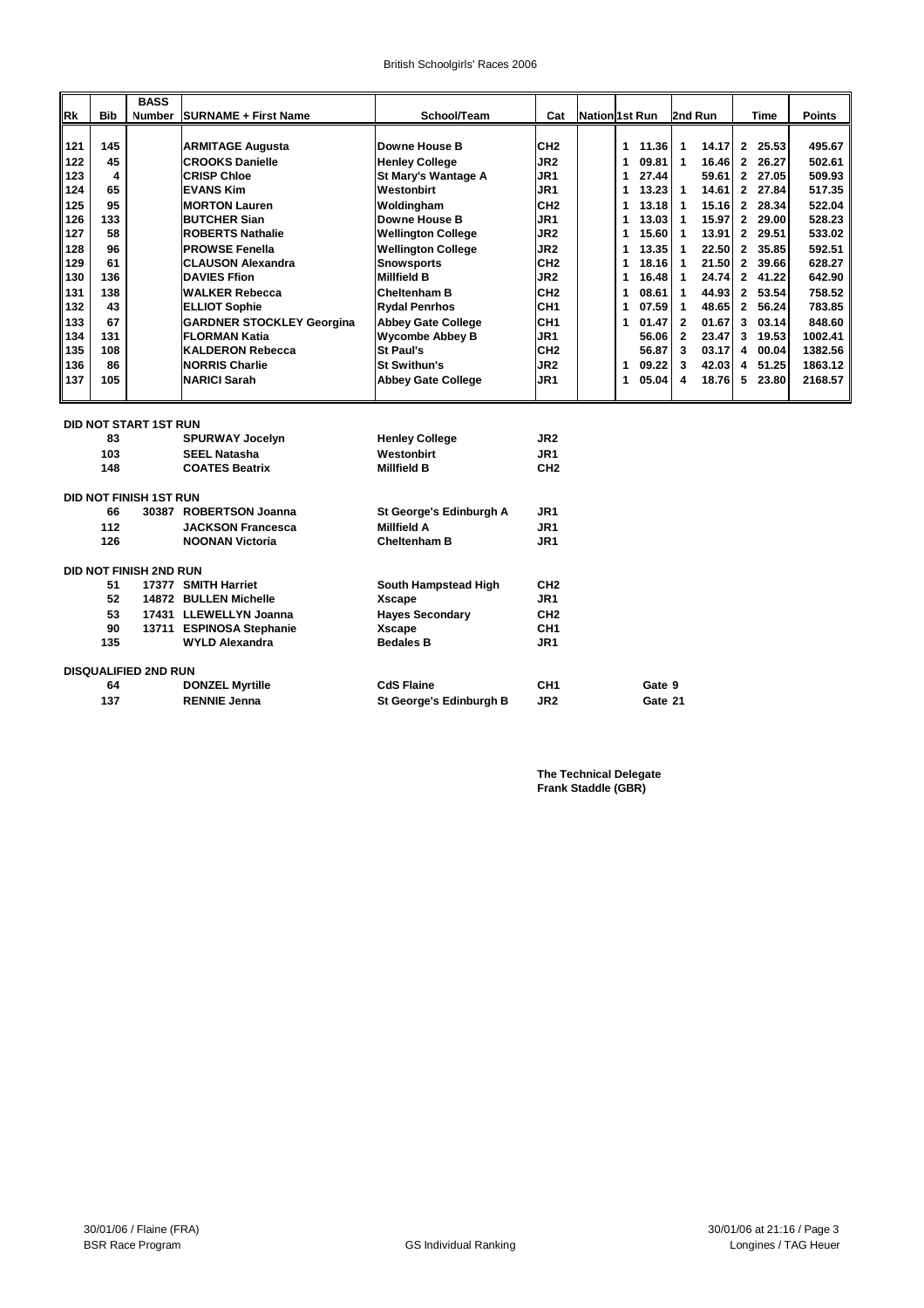|     |            | <b>BASS</b>                   |                                  |                           |                  |                       |   |         |                |         |                |       |               |
|-----|------------|-------------------------------|----------------------------------|---------------------------|------------------|-----------------------|---|---------|----------------|---------|----------------|-------|---------------|
| Rk  | <b>Bib</b> | Number                        | <b>SURNAME + First Name</b>      | School/Team               | Cat              | <b>Nation 1st Run</b> |   |         |                | 2nd Run |                | Time  | <b>Points</b> |
|     |            |                               |                                  |                           |                  |                       |   |         |                |         |                |       |               |
| 121 | 145        |                               | <b>ARMITAGE Augusta</b>          | Downe House B             | CH <sub>2</sub>  |                       | 1 | 11.36   | 1              | 14.17   | $\mathbf{2}$   | 25.53 | 495.67        |
| 122 | 45         |                               | <b>CROOKS Danielle</b>           | <b>Henley College</b>     | JR2              |                       | 1 | 09.81   | 1              | 16.46   | $\mathbf{2}$   | 26.27 | 502.61        |
| 123 | 4          |                               | <b>CRISP Chloe</b>               | St Mary's Wantage A       | JR1              |                       | 1 | 27.44   |                | 59.61   | $\mathbf{2}$   | 27.05 | 509.93        |
| 124 | 65         |                               | <b>EVANS Kim</b>                 | Westonbirt                | JR1              |                       | 1 | 13.23   | $\mathbf{1}$   | 14.61   | $\mathbf{2}$   | 27.84 | 517.35        |
| 125 | 95         |                               | <b>MORTON Lauren</b>             | Woldingham                | CH <sub>2</sub>  |                       | 1 | 13.18   | $\mathbf{1}$   | 15.16   | $\overline{2}$ | 28.34 | 522.04        |
| 126 | 133        |                               | <b>BUTCHER Sian</b>              | <b>Downe House B</b>      | JR1              |                       | 1 | 13.03   | 1              | 15.97   | $\mathbf{2}$   | 29.00 | 528.23        |
| 127 | 58         |                               | <b>ROBERTS Nathalie</b>          | <b>Wellington College</b> | JR2              |                       | 1 | 15.60   | $\mathbf{1}$   | 13.91   | $\mathbf{2}$   | 29.51 | 533.02        |
| 128 | 96         |                               | <b>PROWSE Fenella</b>            | <b>Wellington College</b> | JR2              |                       | 1 | 13.35   | 1              | 22.50   | $\overline{2}$ | 35.85 | 592.51        |
| 129 | 61         |                               | <b>CLAUSON Alexandra</b>         | <b>Snowsports</b>         | CH <sub>2</sub>  |                       | 1 | 18.16   | $\mathbf{1}$   | 21.50   | $\overline{2}$ | 39.66 | 628.27        |
| 130 | 136        |                               | <b>DAVIES Ffion</b>              | <b>Millfield B</b>        | JR <sub>2</sub>  |                       | 1 | 16.48   | $\mathbf{1}$   | 24.74   | $2^{\circ}$    | 41.22 | 642.90        |
| 131 | 138        |                               | <b>WALKER Rebecca</b>            | <b>Cheltenham B</b>       | CH <sub>2</sub>  |                       | 1 | 08.61   | 1              | 44.93   | $\mathbf{2}$   | 53.54 | 758.52        |
| 132 | 43         |                               | <b>ELLIOT Sophie</b>             | <b>Rydal Penrhos</b>      | CH <sub>1</sub>  |                       | 1 | 07.59   | $\mathbf{1}$   | 48.65   | $\mathbf{2}$   | 56.24 | 783.85        |
| 133 | 67         |                               | <b>GARDNER STOCKLEY Georgina</b> | <b>Abbey Gate College</b> | ICH <sub>1</sub> |                       | 1 | 01.47   | $\overline{2}$ | 01.67   | 3              | 03.14 | 848.60        |
| 134 | 131        |                               | <b>FLORMAN Katia</b>             | <b>Wycombe Abbey B</b>    | JR1              |                       |   | 56.06   | $\mathbf{2}$   | 23.47   | 3              | 19.53 | 1002.41       |
| 135 | 108        |                               | <b>KALDERON Rebecca</b>          | <b>St Paul's</b>          | CH <sub>2</sub>  |                       |   | 56.87   | 3              | 03.17   | 4              | 00.04 | 1382.56       |
| 136 | 86         |                               | <b>NORRIS Charlie</b>            | <b>St Swithun's</b>       | JR2              |                       | 1 | 09.22   | 3              | 42.03   | 4              | 51.25 | 1863.12       |
| 137 | 105        |                               | <b>NARICI Sarah</b>              | <b>Abbey Gate College</b> | JR1              |                       | 1 | 05.04   | 4              | 18.76   | 5              | 23.80 | 2168.57       |
|     |            |                               |                                  |                           |                  |                       |   |         |                |         |                |       |               |
|     |            |                               |                                  |                           |                  |                       |   |         |                |         |                |       |               |
|     |            | <b>DID NOT START 1ST RUN</b>  |                                  |                           |                  |                       |   |         |                |         |                |       |               |
|     | 83         |                               | <b>SPURWAY Jocelyn</b>           | <b>Henley College</b>     | JR <sub>2</sub>  |                       |   |         |                |         |                |       |               |
|     | 103        |                               | <b>SEEL Natasha</b>              | Westonbirt                | JR1              |                       |   |         |                |         |                |       |               |
|     | 148        |                               | <b>COATES Beatrix</b>            | <b>Millfield B</b>        | CH <sub>2</sub>  |                       |   |         |                |         |                |       |               |
|     |            | <b>DID NOT FINISH 1ST RUN</b> |                                  |                           |                  |                       |   |         |                |         |                |       |               |
|     | 66         |                               | 30387 ROBERTSON Joanna           | St George's Edinburgh A   | JR <sub>1</sub>  |                       |   |         |                |         |                |       |               |
|     | 112        |                               | <b>JACKSON Francesca</b>         | <b>Millfield A</b>        | JR <sub>1</sub>  |                       |   |         |                |         |                |       |               |
|     | 126        |                               | <b>NOONAN Victoria</b>           | <b>Cheltenham B</b>       | JR1              |                       |   |         |                |         |                |       |               |
|     |            |                               |                                  |                           |                  |                       |   |         |                |         |                |       |               |
|     |            | <b>DID NOT FINISH 2ND RUN</b> |                                  |                           |                  |                       |   |         |                |         |                |       |               |
|     | 51         |                               | 17377 SMITH Harriet              | South Hampstead High      | CH <sub>2</sub>  |                       |   |         |                |         |                |       |               |
|     | 52         |                               | 14872 BULLEN Michelle            | <b>Xscape</b>             | JR1              |                       |   |         |                |         |                |       |               |
|     | 53         |                               | 17431 LLEWELLYN Joanna           | <b>Hayes Secondary</b>    | CH <sub>2</sub>  |                       |   |         |                |         |                |       |               |
|     | 90         |                               | 13711 ESPINOSA Stephanie         | <b>Xscape</b>             | CH <sub>1</sub>  |                       |   |         |                |         |                |       |               |
|     | 135        |                               | <b>WYLD Alexandra</b>            | <b>Bedales B</b>          | JR <sub>1</sub>  |                       |   |         |                |         |                |       |               |
|     |            |                               |                                  |                           |                  |                       |   |         |                |         |                |       |               |
|     |            | <b>DISQUALIFIED 2ND RUN</b>   |                                  |                           |                  |                       |   |         |                |         |                |       |               |
|     | 64         |                               | <b>DONZEL Myrtille</b>           | <b>CdS Flaine</b>         | CH <sub>1</sub>  |                       |   | Gate 9  |                |         |                |       |               |
|     | 137        |                               | <b>RENNIE Jenna</b>              | St George's Edinburgh B   | JR2              |                       |   | Gate 21 |                |         |                |       |               |

**The Technical Delegate Frank Staddle (GBR)**

ī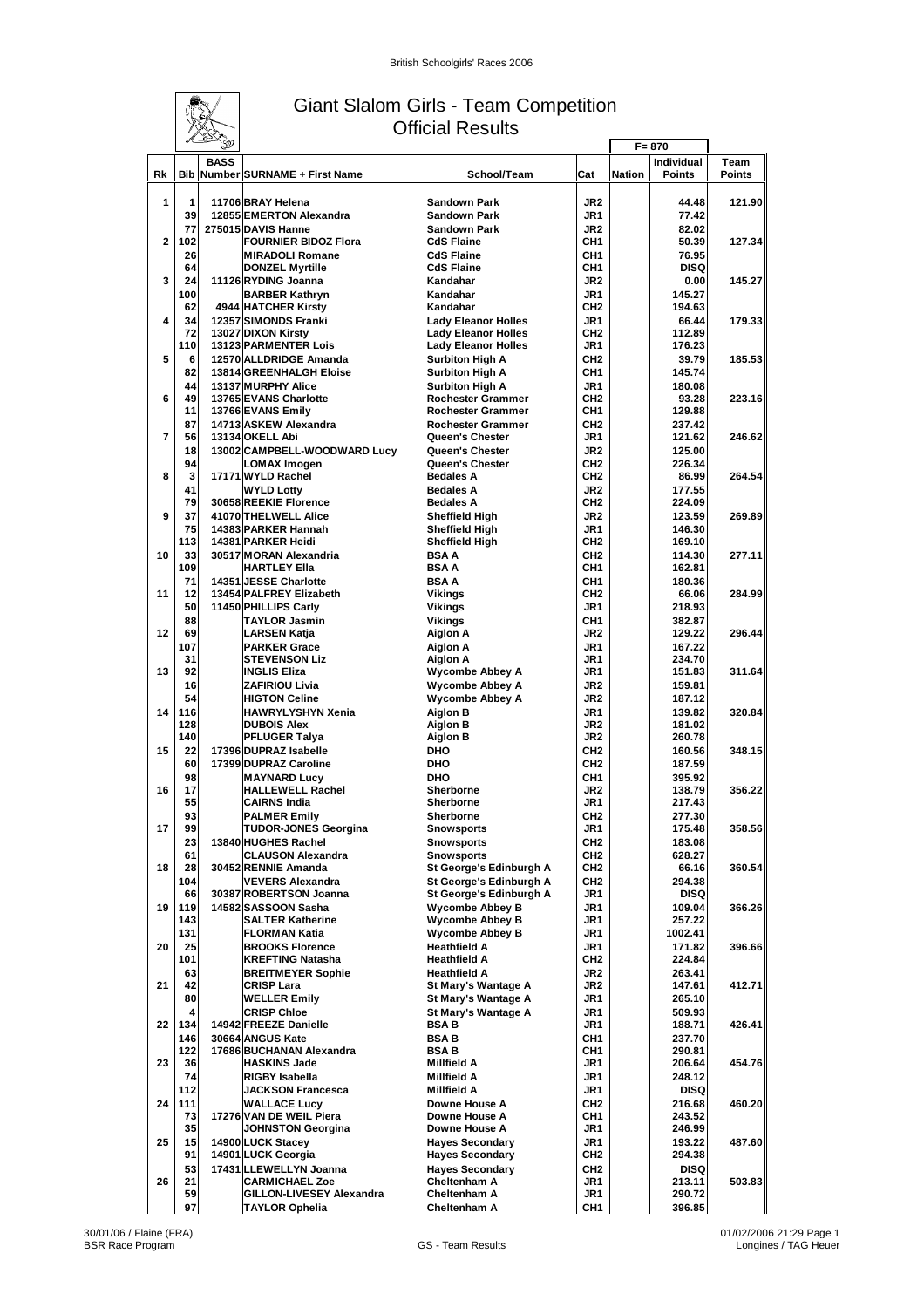

### Giant Slalom Girls - Team Competition Official Results

|                |            | $\mathbb{Z}$<br>Ď |                                                       |                                                      |                                    | $F = 870$     |                             |                       |
|----------------|------------|-------------------|-------------------------------------------------------|------------------------------------------------------|------------------------------------|---------------|-----------------------------|-----------------------|
| Rk             |            | <b>BASS</b>       | Bib Number SURNAME + First Name                       | School/Team                                          | Cat                                | <b>Nation</b> | Individual<br><b>Points</b> | Team<br><b>Points</b> |
| 1              | 1<br>39    |                   | 11706 BRAY Helena<br>12855 EMERTON Alexandra          | <b>Sandown Park</b><br><b>Sandown Park</b>           | JR <sub>2</sub><br>JR1             |               | 44.48<br>77.42              | 121.90                |
| $\overline{2}$ | 77<br>102  |                   | 275015 DAVIS Hanne<br><b>FOURNIER BIDOZ Flora</b>     | <b>Sandown Park</b><br><b>CdS Flaine</b>             | JR <sub>2</sub><br>CH1             |               | 82.02<br>50.39              | 127.34                |
|                | 26         |                   | <b>IMIRADOLI Romane</b>                               | <b>CdS Flaine</b>                                    | CH <sub>1</sub>                    |               | 76.95                       |                       |
| 3              | 64<br>24   |                   | <b>DONZEL Myrtille</b><br>11126 RYDING Joanna         | <b>CdS Flaine</b><br>Kandahar                        | CH <sub>1</sub><br>JR <sub>2</sub> |               | <b>DISQ</b><br>0.00         | 145.27                |
|                | 100        |                   | <b>BARBER Kathryn</b>                                 | Kandahar                                             | JR1                                |               | 145.27                      |                       |
| 4              | 62<br>34   |                   | 4944 HATCHER Kirsty<br>12357 SIMONDS Franki           | Kandahar<br><b>Lady Eleanor Holles</b>               | CH <sub>2</sub><br>JR <sub>1</sub> |               | 194.63<br>66.44             | 179.33                |
|                | 72         |                   | 13027 DIXON Kirsty                                    | <b>Lady Eleanor Holles</b>                           | CH <sub>2</sub>                    |               | 112.89                      |                       |
| 5              | 110<br>6   |                   | <b>13123 PARMENTER Lois</b><br>12570 ALLDRIDGE Amanda | <b>Lady Eleanor Holles</b><br><b>Surbiton High A</b> | JR <sub>1</sub><br>CH <sub>2</sub> |               | 176.23<br>39.79             | 185.53                |
|                | 82         |                   | 13814 GREENHALGH Eloise                               | <b>Surbiton High A</b>                               | CH1                                |               | 145.74                      |                       |
| 6              | 44<br>49   |                   | 13137 MURPHY Alice<br>13765 EVANS Charlotte           | <b>Surbiton High A</b><br><b>Rochester Grammer</b>   | JR <sub>1</sub><br>CH <sub>2</sub> |               | 180.08<br>93.28             | 223.16                |
|                | 11         |                   | 13766 EVANS Emily                                     | <b>Rochester Grammer</b>                             | CH <sub>1</sub>                    |               | 129.88                      |                       |
| $\overline{7}$ | 87<br>56   |                   | 14713 ASKEW Alexandra<br>13134 OKELL Abi              | <b>Rochester Grammer</b><br>Queen's Chester          | CH <sub>2</sub><br>JR <sub>1</sub> |               | 237.42<br>121.62            | 246.62                |
|                | 18         |                   | 13002 CAMPBELL-WOODWARD Lucy                          | Queen's Chester                                      | JR <sub>2</sub>                    |               | 125.00                      |                       |
| 8              | 94<br>3    |                   | LOMAX Imogen<br>17171 WYLD Rachel                     | Queen's Chester<br><b>Bedales A</b>                  | CH <sub>2</sub><br>CH <sub>2</sub> |               | 226.34<br>86.99             | 264.54                |
|                | 41         |                   | <b>WYLD Lotty</b>                                     | <b>Bedales A</b>                                     | JR <sub>2</sub>                    |               | 177.55                      |                       |
|                | 79         |                   | 30658 REEKIE Florence<br>41070 THELWELL Alice         | <b>Bedales A</b>                                     | CH <sub>2</sub>                    |               | 224.09                      |                       |
| 9              | 37<br>75   |                   | 14383 PARKER Hannah                                   | <b>Sheffield High</b><br>Sheffield High              | JR <sub>2</sub><br>JR <sub>1</sub> |               | 123.59<br>146.30            | 269.89                |
|                | 113        |                   | 14381 PARKER Heidi                                    | <b>Sheffield High</b>                                | CH <sub>2</sub>                    |               | 169.10                      |                       |
| 10             | 33<br>109  |                   | 30517 MORAN Alexandria<br><b>HARTLEY Ella</b>         | <b>BSAA</b><br><b>BSAA</b>                           | CH <sub>2</sub><br>CH <sub>1</sub> |               | 114.30<br>162.81            | 277.11                |
|                | 71         |                   | 14351 JESSE Charlotte                                 | <b>BSAA</b>                                          | CH <sub>1</sub>                    |               | 180.36                      |                       |
| 11             | 12<br>50   |                   | 13454 PALFREY Elizabeth<br>11450 PHILLIPS Carly       | Vikings<br>Vikings                                   | CH <sub>2</sub><br>JR <sub>1</sub> |               | 66.06<br>218.93             | 284.99                |
|                | 88         |                   | <b>TAYLOR Jasmin</b>                                  | Vikings                                              | CH <sub>1</sub>                    |               | 382.87                      |                       |
| 12             | 69<br>107  |                   | <b>LARSEN Katja</b><br><b>PARKER Grace</b>            | Aiglon A<br>Aiglon A                                 | JR <sub>2</sub><br>JR1             |               | 129.22<br>167.22            | 296.44                |
|                | 31         |                   | <b>STEVENSON Liz</b>                                  | Aiglon A                                             | JR1                                |               | 234.70                      |                       |
| 13             | 92<br>16   |                   | <b>INGLIS Eliza</b><br><b>ZAFIRIOU Livia</b>          | <b>Wycombe Abbey A</b><br>Wycombe Abbey A            | JR1<br>JR <sub>2</sub>             |               | 151.83<br>159.81            | 311.64                |
|                | 54         |                   | <b>HIGTON Celine</b>                                  | Wycombe Abbey A                                      | JR <sub>2</sub>                    |               | 187.12                      |                       |
| 14             | 116<br>128 |                   | <b>HAWRYLYSHYN Xenia</b><br><b>DUBOIS Alex</b>        | Aiglon B<br>Aiglon B                                 | JR1<br>JR <sub>2</sub>             |               | 139.82<br>181.02            | 320.84                |
|                | 140        |                   | <b>PFLUGER Talya</b>                                  | Aiglon B                                             | JR <sub>2</sub>                    |               | 260.78                      |                       |
| 15             | 22<br>60   |                   | 17396 DUPRAZ Isabelle<br>17399 DUPRAZ Caroline        | <b>DHO</b><br><b>DHO</b>                             | CH <sub>2</sub><br>CH <sub>2</sub> |               | 160.56<br>187.59            | 348.15                |
|                | 98         |                   | <b>MAYNARD Lucy</b>                                   | <b>DHO</b>                                           | CH <sub>1</sub>                    |               | 395.92                      |                       |
| 16             | 17<br>55   |                   | <b>HALLEWELL Rachel</b><br><b>CAIRNS India</b>        | <b>Sherborne</b><br><b>Sherborne</b>                 | JR <sub>2</sub><br>JR1             |               | 138.79<br>217.43            | 356.22                |
|                | 93         |                   | <b>PALMER Emily</b>                                   | <b>Sherborne</b>                                     | CH <sub>2</sub>                    |               | 277.30                      |                       |
| 17             | 99<br>23   |                   | <b>TUDOR-JONES Georgina</b><br>13840 HUGHES Rachel    | <b>Snowsports</b>                                    | JR1<br>CH <sub>2</sub>             |               | 175.48                      | 358.56                |
|                | 61         |                   | <b>CLAUSON Alexandra</b>                              | <b>Snowsports</b><br>Snowsports                      | CH <sub>2</sub>                    |               | 183.08<br>628.27            |                       |
| 18             | 28<br>104  |                   | 30452 RENNIE Amanda<br>VEVERS Alexandra               | St George's Edinburgh A<br>St George's Edinburgh A   | CH <sub>2</sub><br>CH <sub>2</sub> |               | 66.16<br>294.38             | 360.54                |
|                | 66         |                   | 30387 ROBERTSON Joanna                                | St George's Edinburgh A                              | JR1                                |               | <b>DISQ</b>                 |                       |
| 19             | 119<br>143 |                   | 14582 SASSOON Sasha<br><b>SALTER Katherine</b>        | Wycombe Abbey B<br>Wycombe Abbey B                   | JR1<br>JR1                         |               | 109.04<br>257.22            | 366.26                |
|                | 131        |                   | <b>FLORMAN Katia</b>                                  | Wycombe Abbey B                                      | JR1                                |               | 1002.41                     |                       |
| 20             | 25<br>101  |                   | <b>BROOKS Florence</b><br><b>KREFTING Natasha</b>     | <b>Heathfield A</b><br><b>Heathfield A</b>           | JR1<br>CH <sub>2</sub>             |               | 171.82<br>224.84            | 396.66                |
|                | 63         |                   | <b>BREITMEYER Sophie</b>                              | <b>Heathfield A</b>                                  | JR2                                |               | 263.41                      |                       |
| 21             | 42<br>80   |                   | <b>CRISP Lara</b>                                     | St Mary's Wantage A                                  | JR2                                |               | 147.61                      | 412.71                |
|                | 4          |                   | <b>WELLER Emily</b><br><b>CRISP Chloe</b>             | St Mary's Wantage A<br>St Mary's Wantage A           | JR1<br>JR1                         |               | 265.10<br>509.93            |                       |
| 22             | 134        |                   | 14942 FREEZE Danielle                                 | <b>BSAB</b>                                          | JR1                                |               | 188.71                      | 426.41                |
|                | 146<br>122 |                   | 30664 ANGUS Kate<br>17686 BUCHANAN Alexandra          | <b>BSAB</b><br><b>BSAB</b>                           | CH1<br>CH1                         |               | 237.70<br>290.81            |                       |
| 23             | 36         |                   | <b>IHASKINS Jade</b>                                  | <b>Millfield A</b>                                   | JR1                                |               | 206.64                      | 454.76                |
|                | 74<br>112  |                   | <b>RIGBY Isabella</b><br><b>JACKSON Francesca</b>     | <b>Millfield A</b><br><b>Millfield A</b>             | JR1<br>JR1                         |               | 248.12<br><b>DISQ</b>       |                       |
| 24             | 111        |                   | <b>WALLACE Lucy</b>                                   | Downe House A                                        | CH <sub>2</sub>                    |               | 216.68                      | 460.20                |
|                | 73<br>35   |                   | 17276 VAN DE WEIL Piera<br>JOHNSTON Georgina          | Downe House A<br>Downe House A                       | CH1<br>JR1                         |               | 243.52<br>246.99            |                       |
| 25             | 15         |                   | 14900 LUCK Stacey                                     | <b>Hayes Secondary</b>                               | JR1                                |               | 193.22                      | 487.60                |
|                | 91<br>53   |                   | 14901 LUCK Georgia<br>17431 LLEWELLYN Joanna          | <b>Hayes Secondary</b><br><b>Hayes Secondary</b>     | CH <sub>2</sub><br>CH <sub>2</sub> |               | 294.38<br><b>DISQ</b>       |                       |
| 26             | 21         |                   | <b>CARMICHAEL Zoe</b>                                 | Cheltenham A                                         | JR1                                |               | 213.11                      | 503.83                |
|                | 59<br>97   |                   | GILLON-LIVESEY Alexandra<br><b>TAYLOR Ophelia</b>     | <b>Cheltenham A</b><br><b>Cheltenham A</b>           | JR1<br>CH1                         |               | 290.72<br>396.85            |                       |
|                |            |                   |                                                       |                                                      |                                    |               |                             |                       |